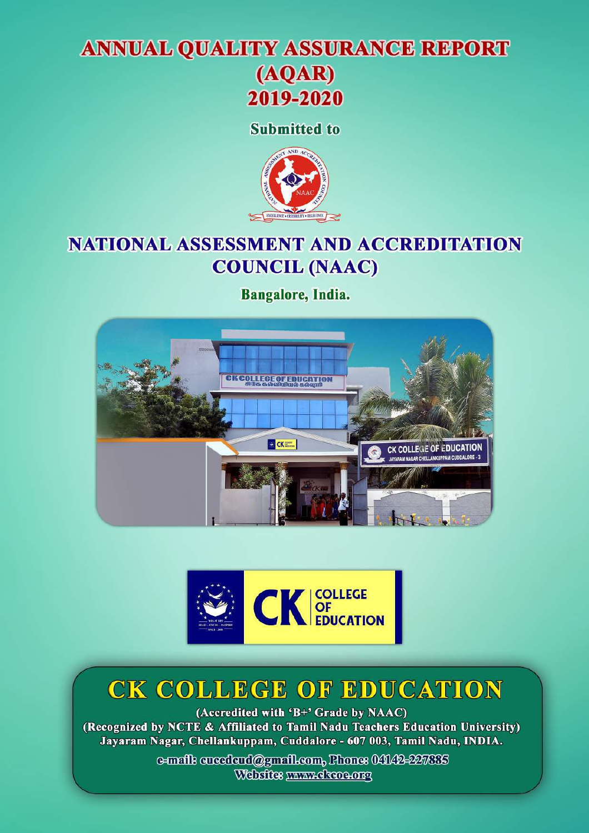## **ANNUAL QUALITY ASSURANCE REPORT**



**Submitted to** 



## **NATIONAL ASSESSMENT AND ACCREDITATION COUNCIL (NAAC)**

Bangalore, India.





# CK COLLEGE OF EDUCATION

(Accredited with 'B+' Grade by NAAC) (Recognized by NCTE & Affiliated to Tamil Nadu Teachers Education University) Jayaram Nagar, Chellankuppam, Cuddalore - 607 003, Tamil Nadu, INDIA.

> e-mails creederd@gmail.com, Phones 04142-227885 Websites www.ckcoo.org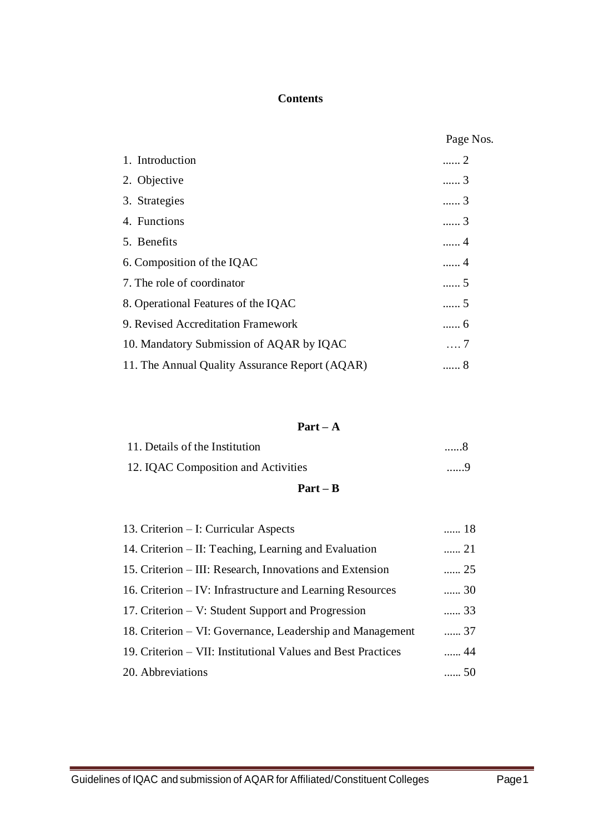#### **Contents**

|                                                | Page Nos.         |
|------------------------------------------------|-------------------|
| 1. Introduction                                | 2                 |
| 2. Objective                                   | 3                 |
| 3. Strategies                                  | 3                 |
| 4. Functions                                   | 3                 |
| 5. Benefits                                    | . 4               |
| 6. Composition of the IQAC                     | 4                 |
| 7. The role of coordinator                     | 5                 |
| 8. Operational Features of the IQAC            | $\ldots \ldots 5$ |
| 9. Revised Accreditation Framework             | 6                 |
| 10. Mandatory Submission of AQAR by IQAC       | . 7               |
| 11. The Annual Quality Assurance Report (AQAR) | 8                 |

#### **Part – A**

| 9 |
|---|
| 8 |
|   |

| 13. Criterion – I: Curricular Aspects                        | 18 |
|--------------------------------------------------------------|----|
| 14. Criterion – II: Teaching, Learning and Evaluation        | 21 |
| 15. Criterion – III: Research, Innovations and Extension     | 25 |
| 16. Criterion – IV: Infrastructure and Learning Resources    | 30 |
| 17. Criterion – V: Student Support and Progression           | 33 |
| 18. Criterion – VI: Governance, Leadership and Management    | 37 |
| 19. Criterion – VII: Institutional Values and Best Practices | 44 |
| 20. Abbreviations                                            | 50 |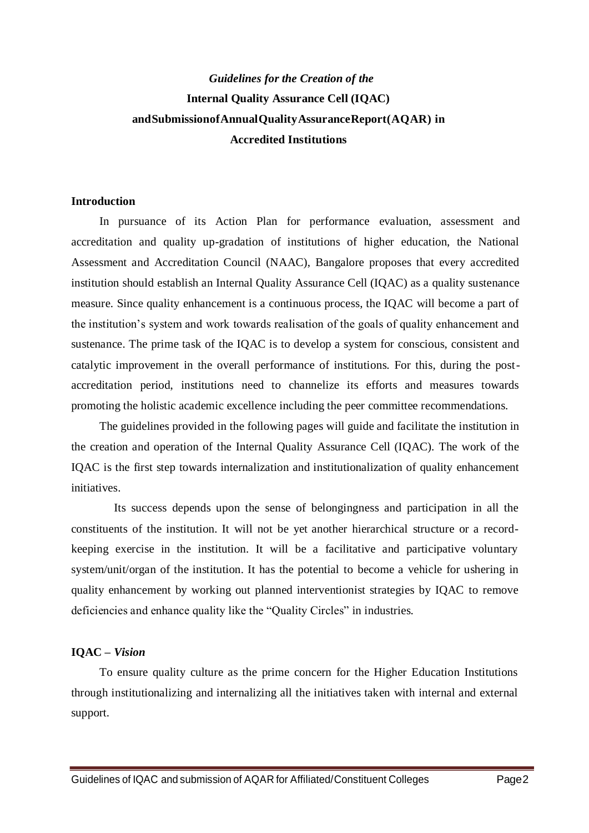## *Guidelines for the Creation of the* **Internal Quality Assurance Cell (IQAC) andSubmissionofAnnualQualityAssuranceReport(AQAR) in Accredited Institutions**

#### **Introduction**

In pursuance of its Action Plan for performance evaluation, assessment and accreditation and quality up-gradation of institutions of higher education, the National Assessment and Accreditation Council (NAAC), Bangalore proposes that every accredited institution should establish an Internal Quality Assurance Cell (IQAC) as a quality sustenance measure. Since quality enhancement is a continuous process, the IQAC will become a part of the institution's system and work towards realisation of the goals of quality enhancement and sustenance. The prime task of the IQAC is to develop a system for conscious, consistent and catalytic improvement in the overall performance of institutions. For this, during the postaccreditation period, institutions need to channelize its efforts and measures towards promoting the holistic academic excellence including the peer committee recommendations.

The guidelines provided in the following pages will guide and facilitate the institution in the creation and operation of the Internal Quality Assurance Cell (IQAC). The work of the IQAC is the first step towards internalization and institutionalization of quality enhancement initiatives.

 Its success depends upon the sense of belongingness and participation in all the constituents of the institution. It will not be yet another hierarchical structure or a recordkeeping exercise in the institution. It will be a facilitative and participative voluntary system/unit/organ of the institution. It has the potential to become a vehicle for ushering in quality enhancement by working out planned interventionist strategies by IQAC to remove deficiencies and enhance quality like the "Quality Circles" in industries.

#### **IQAC –** *Vision*

To ensure quality culture as the prime concern for the Higher Education Institutions through institutionalizing and internalizing all the initiatives taken with internal and external support.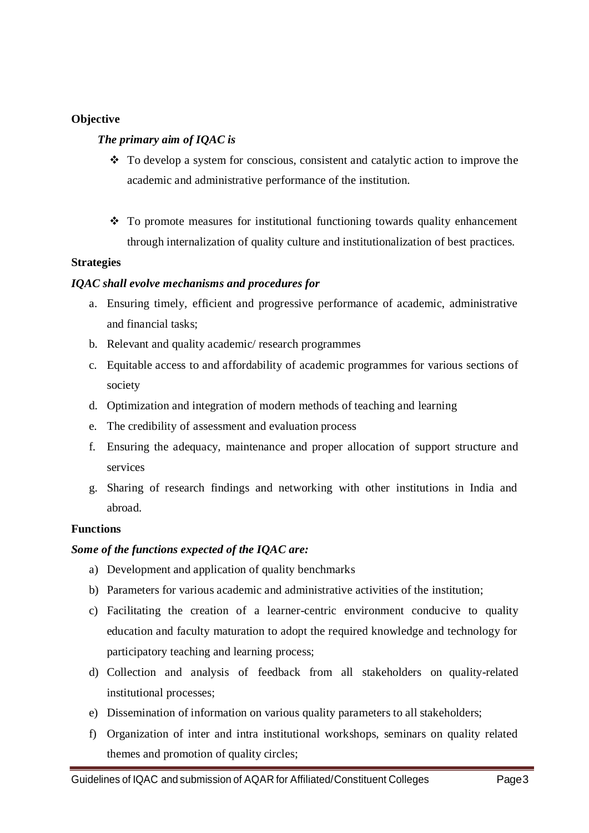### **Objective**

#### *The primary aim of IQAC is*

- $\bullet$  To develop a system for conscious, consistent and catalytic action to improve the academic and administrative performance of the institution.
- To promote measures for institutional functioning towards quality enhancement through internalization of quality culture and institutionalization of best practices.

#### **Strategies**

### *IQAC shall evolve mechanisms and procedures for*

- a. Ensuring timely, efficient and progressive performance of academic, administrative and financial tasks;
- b. Relevant and quality academic/ research programmes
- c. Equitable access to and affordability of academic programmes for various sections of society
- d. Optimization and integration of modern methods of teaching and learning
- e. The credibility of assessment and evaluation process
- f. Ensuring the adequacy, maintenance and proper allocation of support structure and services
- g. Sharing of research findings and networking with other institutions in India and abroad.

### **Functions**

#### *Some of the functions expected of the IQAC are:*

- a) Development and application of quality benchmarks
- b) Parameters for various academic and administrative activities of the institution;
- c) Facilitating the creation of a learner-centric environment conducive to quality education and faculty maturation to adopt the required knowledge and technology for participatory teaching and learning process;
- d) Collection and analysis of feedback from all stakeholders on quality-related institutional processes;
- e) Dissemination of information on various quality parameters to all stakeholders;
- f) Organization of inter and intra institutional workshops, seminars on quality related themes and promotion of quality circles;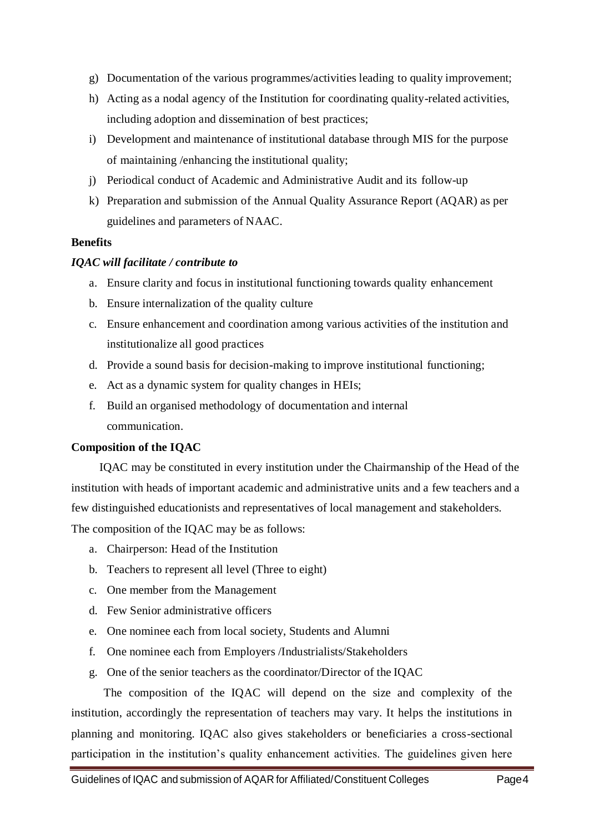- g) Documentation of the various programmes/activities leading to quality improvement;
- h) Acting as a nodal agency of the Institution for coordinating quality-related activities, including adoption and dissemination of best practices;
- i) Development and maintenance of institutional database through MIS for the purpose of maintaining /enhancing the institutional quality;
- j) Periodical conduct of Academic and Administrative Audit and its follow-up
- k) Preparation and submission of the Annual Quality Assurance Report (AQAR) as per guidelines and parameters of NAAC.

### **Benefits**

### *IQAC will facilitate / contribute to*

- a. Ensure clarity and focus in institutional functioning towards quality enhancement
- b. Ensure internalization of the quality culture
- c. Ensure enhancement and coordination among various activities of the institution and institutionalize all good practices
- d. Provide a sound basis for decision-making to improve institutional functioning;
- e. Act as a dynamic system for quality changes in HEIs;
- f. Build an organised methodology of documentation and internal communication.

### **Composition of the IQAC**

IQAC may be constituted in every institution under the Chairmanship of the Head of the institution with heads of important academic and administrative units and a few teachers and a few distinguished educationists and representatives of local management and stakeholders.

The composition of the IQAC may be as follows:

- a. Chairperson: Head of the Institution
- b. Teachers to represent all level (Three to eight)
- c. One member from the Management
- d. Few Senior administrative officers
- e. One nominee each from local society, Students and Alumni
- f. One nominee each from Employers /Industrialists/Stakeholders
- g. One of the senior teachers as the coordinator/Director of the IQAC

 The composition of the IQAC will depend on the size and complexity of the institution, accordingly the representation of teachers may vary. It helps the institutions in planning and monitoring. IQAC also gives stakeholders or beneficiaries a cross-sectional participation in the institution's quality enhancement activities. The guidelines given here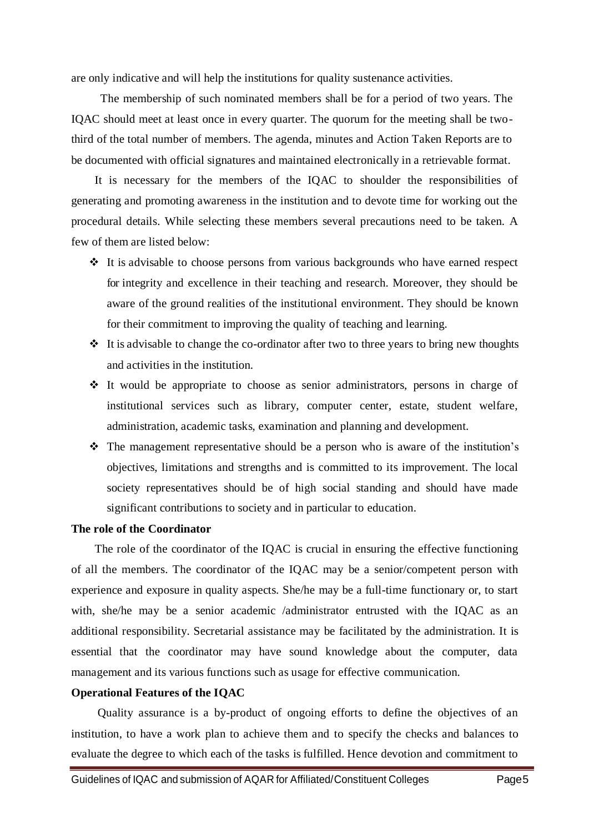are only indicative and will help the institutions for quality sustenance activities.

 The membership of such nominated members shall be for a period of two years. The IQAC should meet at least once in every quarter. The quorum for the meeting shall be twothird of the total number of members. The agenda, minutes and Action Taken Reports are to be documented with official signatures and maintained electronically in a retrievable format.

 It is necessary for the members of the IQAC to shoulder the responsibilities of generating and promoting awareness in the institution and to devote time for working out the procedural details. While selecting these members several precautions need to be taken. A few of them are listed below:

- It is advisable to choose persons from various backgrounds who have earned respect for integrity and excellence in their teaching and research. Moreover, they should be aware of the ground realities of the institutional environment. They should be known for their commitment to improving the quality of teaching and learning.
- $\triangle$  It is advisable to change the co-ordinator after two to three years to bring new thoughts and activities in the institution.
- $\div$  It would be appropriate to choose as senior administrators, persons in charge of institutional services such as library, computer center, estate, student welfare, administration, academic tasks, examination and planning and development.
- The management representative should be a person who is aware of the institution's objectives, limitations and strengths and is committed to its improvement. The local society representatives should be of high social standing and should have made significant contributions to society and in particular to education.

#### **The role of the Coordinator**

 The role of the coordinator of the IQAC is crucial in ensuring the effective functioning of all the members. The coordinator of the IQAC may be a senior/competent person with experience and exposure in quality aspects. She/he may be a full-time functionary or, to start with, she/he may be a senior academic /administrator entrusted with the IQAC as an additional responsibility. Secretarial assistance may be facilitated by the administration. It is essential that the coordinator may have sound knowledge about the computer, data management and its various functions such as usage for effective communication.

#### **Operational Features of the IQAC**

 Quality assurance is a by-product of ongoing efforts to define the objectives of an institution, to have a work plan to achieve them and to specify the checks and balances to evaluate the degree to which each of the tasks is fulfilled. Hence devotion and commitment to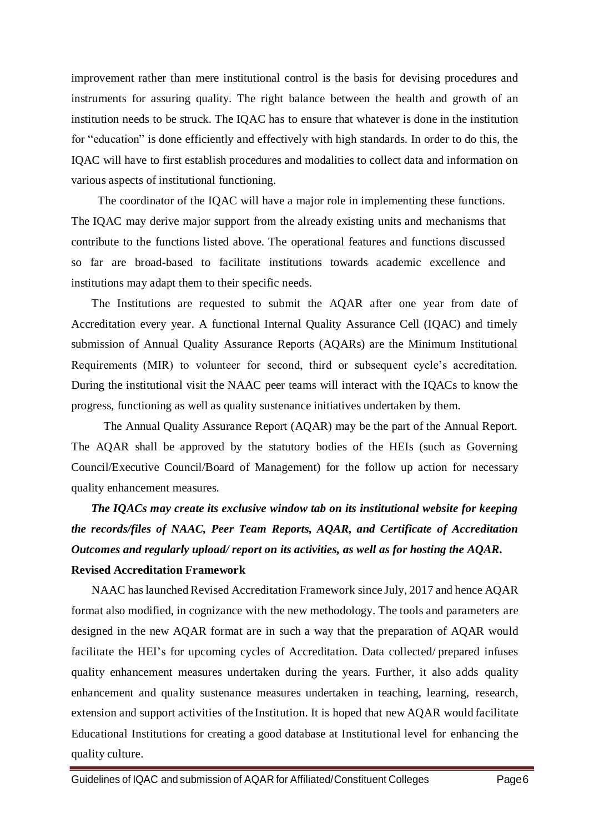improvement rather than mere institutional control is the basis for devising procedures and instruments for assuring quality. The right balance between the health and growth of an institution needs to be struck. The IQAC has to ensure that whatever is done in the institution for "education" is done efficiently and effectively with high standards. In order to do this, the IQAC will have to first establish procedures and modalities to collect data and information on various aspects of institutional functioning.

 The coordinator of the IQAC will have a major role in implementing these functions. The IQAC may derive major support from the already existing units and mechanisms that contribute to the functions listed above. The operational features and functions discussed so far are broad-based to facilitate institutions towards academic excellence and institutions may adapt them to their specific needs.

 The Institutions are requested to submit the AQAR after one year from date of Accreditation every year. A functional Internal Quality Assurance Cell (IQAC) and timely submission of Annual Quality Assurance Reports (AQARs) are the Minimum Institutional Requirements (MIR) to volunteer for second, third or subsequent cycle's accreditation. During the institutional visit the NAAC peer teams will interact with the IQACs to know the progress, functioning as well as quality sustenance initiatives undertaken by them.

 The Annual Quality Assurance Report (AQAR) may be the part of the Annual Report. The AQAR shall be approved by the statutory bodies of the HEIs (such as Governing Council/Executive Council/Board of Management) for the follow up action for necessary quality enhancement measures.

*The IQACs may create its exclusive window tab on its institutional website for keeping the records/files of NAAC, Peer Team Reports, AQAR, and Certificate of Accreditation Outcomes and regularly upload/ report on its activities, as well as for hosting the AQAR.*

#### **Revised Accreditation Framework**

 NAAC haslaunched Revised Accreditation Framework since July, 2017 and hence AQAR format also modified, in cognizance with the new methodology. The tools and parameters are designed in the new AQAR format are in such a way that the preparation of AQAR would facilitate the HEI's for upcoming cycles of Accreditation. Data collected/ prepared infuses quality enhancement measures undertaken during the years. Further, it also adds quality enhancement and quality sustenance measures undertaken in teaching, learning, research, extension and support activities of the Institution. It is hoped that new AQAR would facilitate Educational Institutions for creating a good database at Institutional level for enhancing the quality culture.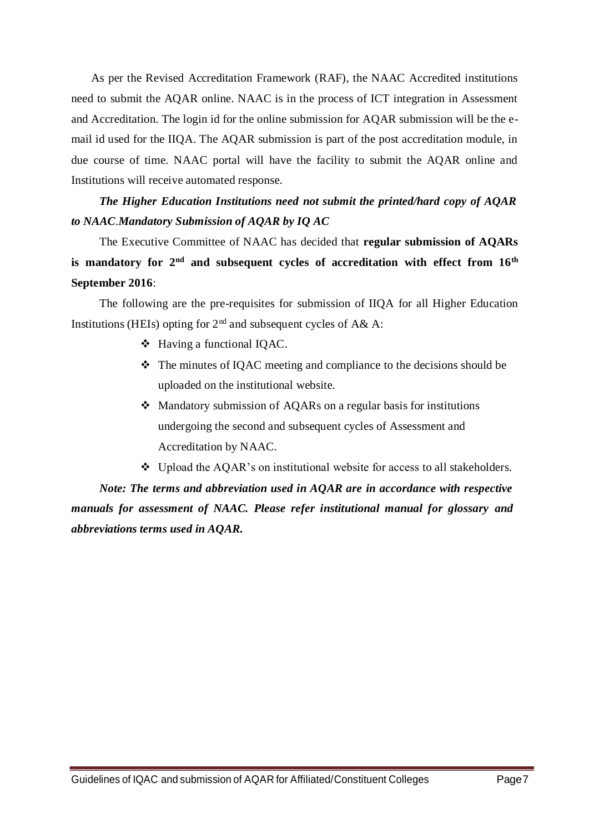As per the Revised Accreditation Framework (RAF), the NAAC Accredited institutions need to submit the AQAR online. NAAC is in the process of ICT integration in Assessment and Accreditation. The login id for the online submission for AQAR submission will be the email id used for the IIQA. The AQAR submission is part of the post accreditation module, in due course of time. NAAC portal will have the facility to submit the AQAR online and Institutions will receive automated response.

## *The Higher Education Institutions need not submit the printed/hard copy of AQAR to NAAC*.*Mandatory Submission of AQAR by IQ AC*

The Executive Committee of NAAC has decided that **regular submission of AQARs is mandatory for 2nd and subsequent cycles of accreditation with effect from 16th September 2016**:

The following are the pre-requisites for submission of IIQA for all Higher Education Institutions (HEIs) opting for  $2<sup>nd</sup>$  and subsequent cycles of A& A:

- Having a functional IQAC.
- The minutes of IQAC meeting and compliance to the decisions should be uploaded on the institutional website.
- Mandatory submission of AQARs on a regular basis for institutions undergoing the second and subsequent cycles of Assessment and Accreditation by NAAC.
- $\bullet$  Upload the AQAR's on institutional website for access to all stakeholders.

*Note: The terms and abbreviation used in AQAR are in accordance with respective manuals for assessment of NAAC. Please refer institutional manual for glossary and abbreviations terms used in AQAR.*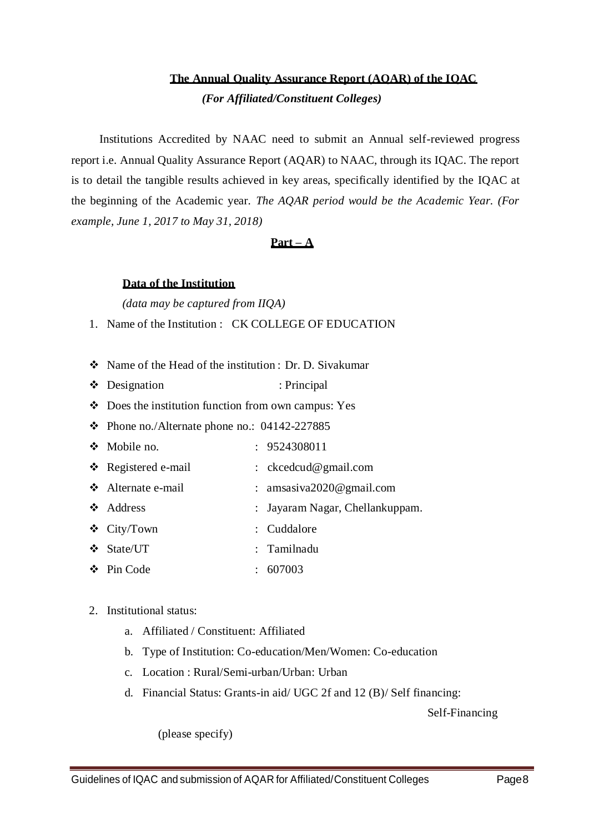### **The Annual Quality Assurance Report (AQAR) of the IQAC**

*(For Affiliated/Constituent Colleges)*

Institutions Accredited by NAAC need to submit an Annual self-reviewed progress report i.e. Annual Quality Assurance Report (AQAR) to NAAC, through its IQAC. The report is to detail the tangible results achieved in key areas, specifically identified by the IQAC at the beginning of the Academic year. *The AQAR period would be the Academic Year. (For example, June 1, 2017 to May 31, 2018)*

### **Part – A**

#### **Data of the Institution**

*(data may be captured from IIQA)*

1. Name of the Institution : CK COLLEGE OF EDUCATION

- Name of the Head of the institution : Dr. D. Sivakumar
- Designation : Principal
- Does the institution function from own campus: Yes
- $\div$  Phone no./Alternate phone no.: 04142-227885
- Mobile no. : 9524308011
- \* Registered e-mail : ckcedcud@gmail.com
- ◆ Alternate e-mail : amsasiva2020@gmail.com
- Address : Jayaram Nagar, Chellankuppam.
- City/Town : Cuddalore
- ◆ State/UT : Tamilnadu
- $\div$  Pin Code : 607003

#### 2. Institutional status:

- a. Affiliated / Constituent: Affiliated
- b. Type of Institution: Co-education/Men/Women: Co-education
- c. Location : Rural/Semi-urban/Urban: Urban
- d. Financial Status: Grants-in aid/ UGC 2f and 12 (B)/ Self financing:

Self-Financing

(please specify)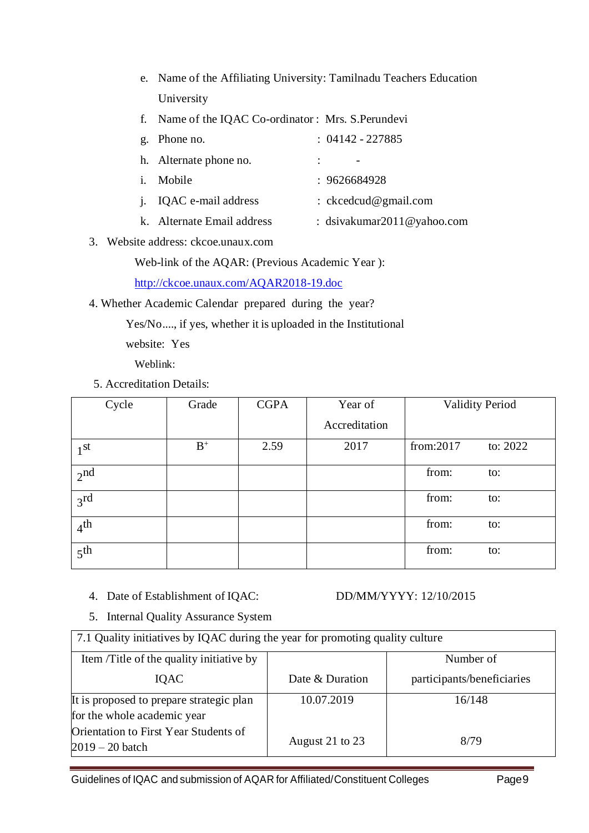- e. Name of the Affiliating University: Tamilnadu Teachers Education University
- f. Name of the IQAC Co-ordinator : Mrs. S.Perundevi

| g. Phone no.                  | $: 04142 - 227885$         |
|-------------------------------|----------------------------|
| h. Alternate phone no.        |                            |
| <i>i</i> . Mobile             | : 9626684928               |
| <i>i.</i> IQAC e-mail address | : $ckcedcu d@gmail.com$    |
| k. Alternate Email address    | : dsivakumar2011@yahoo.com |

3. Website address: ckcoe.unaux.com

Web-link of the AQAR: (Previous Academic Year ):

<http://ckcoe.unaux.com/AQAR2018-19.doc>

4. Whether Academic Calendar prepared during the year?

Yes/No...., if yes, whether it is uploaded in the Institutional

website: Yes

Weblink:

5. Accreditation Details:

| Cycle           | Grade | <b>CGPA</b> | Year of       |           | <b>Validity Period</b> |
|-----------------|-------|-------------|---------------|-----------|------------------------|
|                 |       |             | Accreditation |           |                        |
| 1 <sup>st</sup> | $B^+$ | 2.59        | 2017          | from:2017 | to: $2022$             |
| 2 <sub>nd</sub> |       |             |               | from:     | to:                    |
| 3 <sup>rd</sup> |       |             |               | from:     | to:                    |
| 4 <sup>th</sup> |       |             |               | from:     | to:                    |
| 5 <sup>th</sup> |       |             |               | from:     | to:                    |

4. Date of Establishment of IQAC: DD/MM/YYYY: 12/10/2015

5. Internal Quality Assurance System

| 7.1 Quality initiatives by IQAC during the year for promoting quality culture |                 |                            |  |  |  |
|-------------------------------------------------------------------------------|-----------------|----------------------------|--|--|--|
| Item /Title of the quality initiative by                                      |                 | Number of                  |  |  |  |
| <b>IOAC</b>                                                                   | Date & Duration | participants/beneficiaries |  |  |  |
| It is proposed to prepare strategic plan                                      | 10.07.2019      | 16/148                     |  |  |  |
| for the whole academic year                                                   |                 |                            |  |  |  |
| Orientation to First Year Students of<br>$2019 - 20$ batch                    | August 21 to 23 | 8/79                       |  |  |  |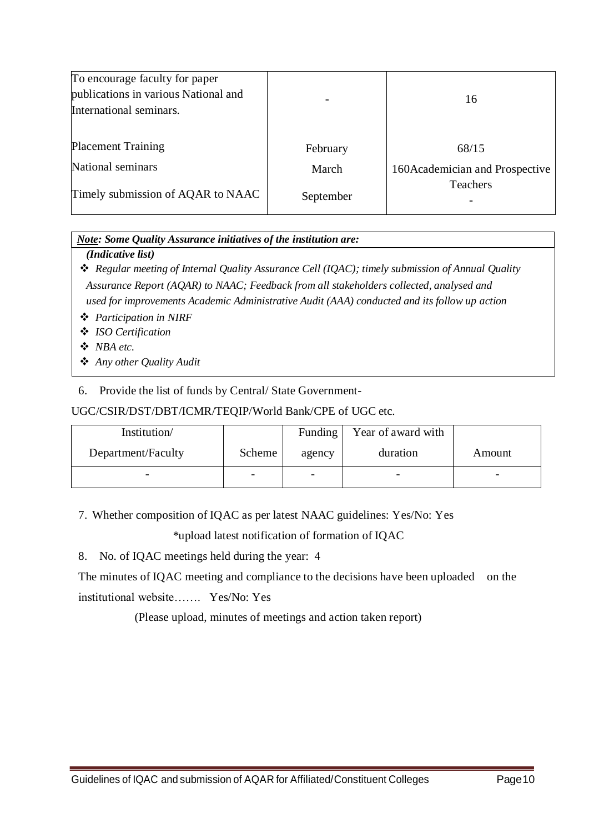| To encourage faculty for paper<br>publications in various National and<br>International seminars. |           | 16                              |
|---------------------------------------------------------------------------------------------------|-----------|---------------------------------|
| <b>Placement Training</b>                                                                         | February  | 68/15                           |
| National seminars                                                                                 | March     | 160 Academician and Prospective |
| Timely submission of AQAR to NAAC                                                                 | September | <b>Teachers</b>                 |

### *Note: Some Quality Assurance initiatives of the institution are:*

### *(Indicative list)*

 *Regular meeting of Internal Quality Assurance Cell (IQAC); timely submission of Annual Quality Assurance Report (AQAR) to NAAC; Feedback from all stakeholders collected, analysed and used for improvements Academic Administrative Audit (AAA) conducted and its follow up action*

*Participation in NIRF*

*ISO Certification*

*NBA etc.*

*Any other Quality Audit*

### 6. Provide the list of funds by Central/ State Government-

### UGC/CSIR/DST/DBT/ICMR/TEQIP/World Bank/CPE of UGC etc.

| Institution/       |        | Funding                      | Year of award with |        |
|--------------------|--------|------------------------------|--------------------|--------|
| Department/Faculty | Scheme | agency                       | duration           | Amount |
|                    |        | $\qquad \qquad \blacksquare$ |                    | -      |

7. Whether composition of IQAC as per latest NAAC guidelines: Yes/No: Yes

\*upload latest notification of formation of IQAC

8. No. of IQAC meetings held during the year: 4

The minutes of IQAC meeting and compliance to the decisions have been uploaded on the institutional website……. Yes/No: Yes

(Please upload, minutes of meetings and action taken report)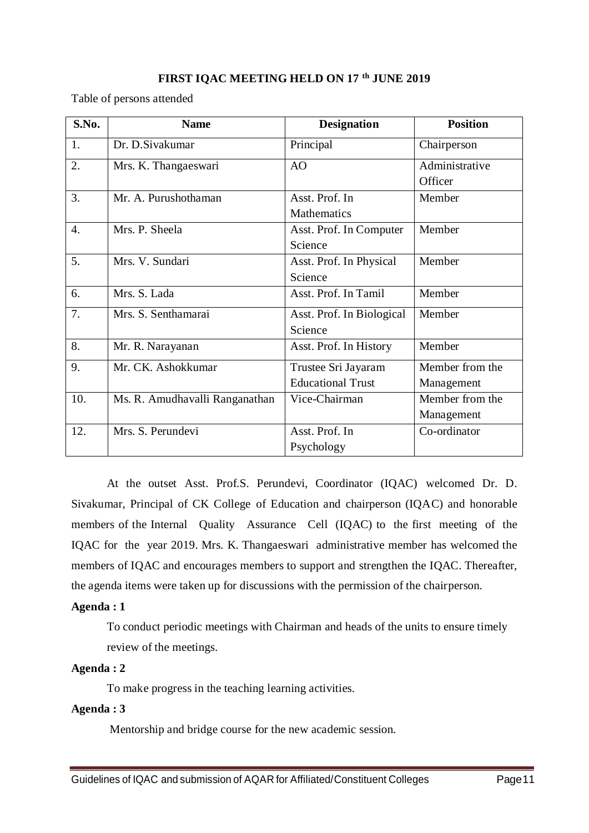#### **FIRST IQAC MEETING HELD ON 17 th JUNE 2019**

Table of persons attended

| S.No. | <b>Name</b>                    | <b>Designation</b>        | <b>Position</b> |
|-------|--------------------------------|---------------------------|-----------------|
| 1.    | Dr. D. Sivakumar               | Principal                 | Chairperson     |
| 2.    | Mrs. K. Thangaeswari           | AO                        | Administrative  |
|       |                                |                           | Officer         |
| 3.    | Mr. A. Purushothaman           | Asst. Prof. In            | Member          |
|       |                                | Mathematics               |                 |
| 4.    | Mrs. P. Sheela                 | Asst. Prof. In Computer   | Member          |
|       |                                | Science                   |                 |
| 5.    | Mrs. V. Sundari                | Asst. Prof. In Physical   | Member          |
|       |                                | Science                   |                 |
| 6.    | Mrs. S. Lada                   | Asst. Prof. In Tamil      | Member          |
| 7.    | Mrs. S. Senthamarai            | Asst. Prof. In Biological | Member          |
|       |                                | Science                   |                 |
| 8.    | Mr. R. Narayanan               | Asst. Prof. In History    | Member          |
| 9.    | Mr. CK. Ashokkumar             | Trustee Sri Jayaram       | Member from the |
|       |                                | <b>Educational Trust</b>  | Management      |
| 10.   | Ms. R. Amudhavalli Ranganathan | Vice-Chairman             | Member from the |
|       |                                |                           | Management      |
| 12.   | Mrs. S. Perundevi              | Asst. Prof. In            | Co-ordinator    |
|       |                                | Psychology                |                 |

At the outset Asst. Prof.S. Perundevi, Coordinator (IQAC) welcomed Dr. D. Sivakumar, Principal of CK College of Education and chairperson (IQAC) and honorable members of the Internal Quality Assurance Cell (IQAC) to the first meeting of the IQAC for the year 2019. Mrs. K. Thangaeswari administrative member has welcomed the members of IQAC and encourages members to support and strengthen the IQAC. Thereafter, the agenda items were taken up for discussions with the permission of the chairperson.

#### **Agenda : 1**

To conduct periodic meetings with Chairman and heads of the units to ensure timely review of the meetings.

### **Agenda : 2**

To make progress in the teaching learning activities.

### **Agenda : 3**

Mentorship and bridge course for the new academic session.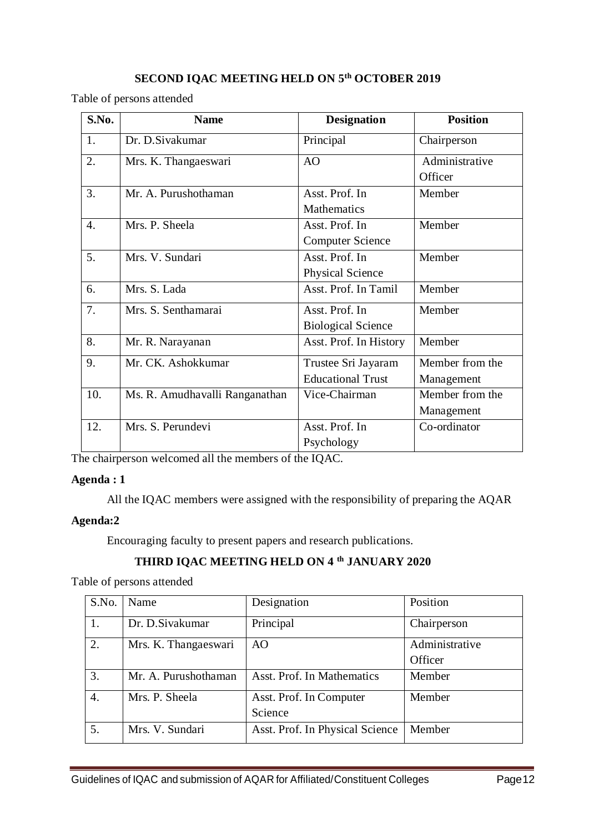### **SECOND IQAC MEETING HELD ON 5 th OCTOBER 2019**

Table of persons attended

| S.No. | <b>Name</b>                    | <b>Designation</b>        | <b>Position</b> |
|-------|--------------------------------|---------------------------|-----------------|
| 1.    | Dr. D. Sivakumar               | Principal                 | Chairperson     |
| 2.    | Mrs. K. Thangaeswari           | AO                        | Administrative  |
|       |                                |                           | Officer         |
| 3.    | Mr. A. Purushothaman           | Asst. Prof. In            | Member          |
|       |                                | <b>Mathematics</b>        |                 |
| 4.    | Mrs. P. Sheela                 | Asst. Prof. In            | Member          |
|       |                                | <b>Computer Science</b>   |                 |
| 5.    | Mrs. V. Sundari                | Asst. Prof. In            | Member          |
|       |                                | Physical Science          |                 |
| 6.    | Mrs. S. Lada                   | Asst. Prof. In Tamil      | Member          |
| 7.    | Mrs. S. Senthamarai            | Asst. Prof. In            | Member          |
|       |                                | <b>Biological Science</b> |                 |
| 8.    | Mr. R. Narayanan               | Asst. Prof. In History    | Member          |
| 9.    | Mr. CK. Ashokkumar             | Trustee Sri Jayaram       | Member from the |
|       |                                | <b>Educational Trust</b>  | Management      |
| 10.   | Ms. R. Amudhavalli Ranganathan | Vice-Chairman             | Member from the |
|       |                                |                           | Management      |
| 12.   | Mrs. S. Perundevi              | Asst. Prof. In            | Co-ordinator    |
|       |                                | Psychology                |                 |

The chairperson welcomed all the members of the IQAC.

#### **Agenda : 1**

All the IQAC members were assigned with the responsibility of preparing the AQAR

### **Agenda:2**

Encouraging faculty to present papers and research publications.

### **THIRD IQAC MEETING HELD ON 4 th JANUARY 2020**

Table of persons attended

| S.No.            | Name                 | Designation                     | Position       |
|------------------|----------------------|---------------------------------|----------------|
| 1.               | Dr. D. Sivakumar     | Principal                       | Chairperson    |
| 2.               | Mrs. K. Thangaeswari | A <sub>O</sub>                  | Administrative |
|                  |                      |                                 | Officer        |
| 3.               | Mr. A. Purushothaman | Asst. Prof. In Mathematics      | Member         |
| $\overline{4}$ . | Mrs. P. Sheela       | Asst. Prof. In Computer         | Member         |
|                  |                      | Science                         |                |
| 5.               | Mrs. V. Sundari      | Asst. Prof. In Physical Science | Member         |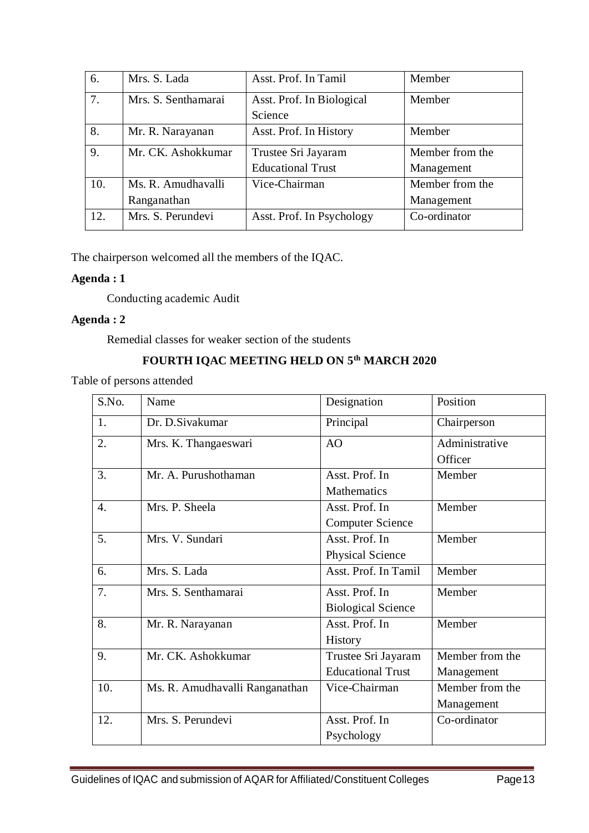| 6.  | Mrs. S. Lada        | Asst. Prof. In Tamil      | Member          |
|-----|---------------------|---------------------------|-----------------|
| 7.  | Mrs. S. Senthamarai | Asst. Prof. In Biological | Member          |
|     |                     | Science                   |                 |
| 8.  | Mr. R. Narayanan    | Asst. Prof. In History    | Member          |
| 9.  | Mr. CK. Ashokkumar  | Trustee Sri Jayaram       | Member from the |
|     |                     | <b>Educational Trust</b>  | Management      |
| 10. | Ms. R. Amudhavalli  | Vice-Chairman             | Member from the |
|     | Ranganathan         |                           | Management      |
| 12. | Mrs. S. Perundevi   | Asst. Prof. In Psychology | Co-ordinator    |
|     |                     |                           |                 |

The chairperson welcomed all the members of the IQAC.

### **Agenda : 1**

Conducting academic Audit

### **Agenda : 2**

Remedial classes for weaker section of the students

### **FOURTH IQAC MEETING HELD ON 5th MARCH 2020**

Table of persons attended

| S.No.            | Name                           | Designation               | Position        |
|------------------|--------------------------------|---------------------------|-----------------|
| 1.               | Dr. D. Sivakumar               | Principal                 | Chairperson     |
| 2.               | Mrs. K. Thangaeswari           | AO                        | Administrative  |
|                  |                                |                           | Officer         |
| 3.               | Mr. A. Purushothaman           | Asst. Prof. In            | Member          |
|                  |                                | Mathematics               |                 |
| $\overline{4}$ . | Mrs. P. Sheela                 | Asst. Prof. In            | Member          |
|                  |                                | <b>Computer Science</b>   |                 |
| 5.               | Mrs. V. Sundari                | Asst. Prof. In            | Member          |
|                  |                                | <b>Physical Science</b>   |                 |
| 6.               | Mrs. S. Lada                   | Asst. Prof. In Tamil      | Member          |
| 7.               | Mrs. S. Senthamarai            | Asst. Prof. In            | Member          |
|                  |                                | <b>Biological Science</b> |                 |
| 8.               | Mr. R. Narayanan               | Asst. Prof. In            | Member          |
|                  |                                | <b>History</b>            |                 |
| 9.               | Mr. CK. Ashokkumar             | Trustee Sri Jayaram       | Member from the |
|                  |                                | <b>Educational Trust</b>  | Management      |
| 10.              | Ms. R. Amudhavalli Ranganathan | Vice-Chairman             | Member from the |
|                  |                                |                           | Management      |
| 12.              | Mrs. S. Perundevi              | Asst. Prof. In            | Co-ordinator    |
|                  |                                | Psychology                |                 |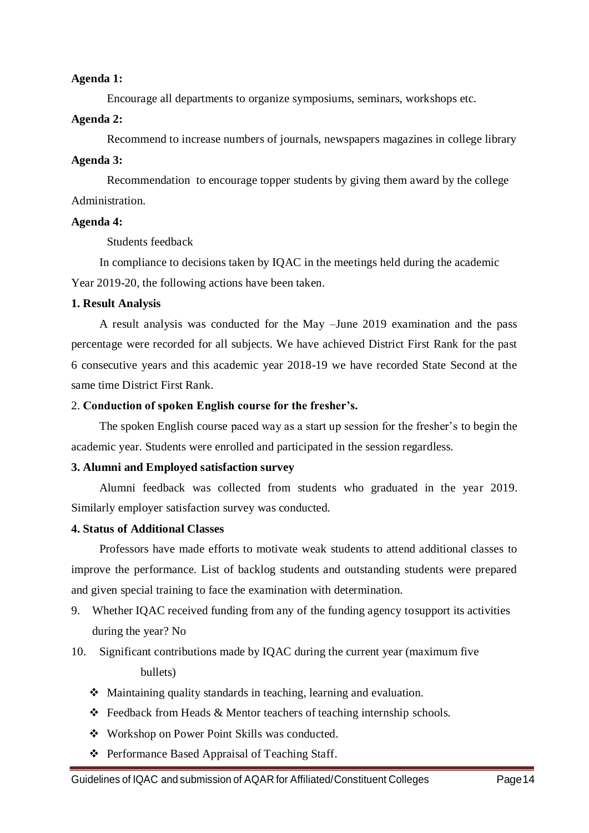#### **Agenda 1:**

Encourage all departments to organize symposiums, seminars, workshops etc.

#### **Agenda 2:**

Recommend to increase numbers of journals, newspapers magazines in college library

#### **Agenda 3:**

Recommendation to encourage topper students by giving them award by the college Administration.

#### **Agenda 4:**

Students feedback

In compliance to decisions taken by IQAC in the meetings held during the academic Year 2019-20, the following actions have been taken.

#### **1. Result Analysis**

A result analysis was conducted for the May –June 2019 examination and the pass percentage were recorded for all subjects. We have achieved District First Rank for the past 6 consecutive years and this academic year 2018-19 we have recorded State Second at the same time District First Rank.

#### 2. **Conduction of spoken English course for the fresher's.**

The spoken English course paced way as a start up session for the fresher's to begin the academic year. Students were enrolled and participated in the session regardless.

### **3. Alumni and Employed satisfaction survey**

Alumni feedback was collected from students who graduated in the year 2019. Similarly employer satisfaction survey was conducted.

### **4. Status of Additional Classes**

Professors have made efforts to motivate weak students to attend additional classes to improve the performance. List of backlog students and outstanding students were prepared and given special training to face the examination with determination.

- 9. Whether IQAC received funding from any of the funding agency tosupport its activities during the year? No
- 10. Significant contributions made by IQAC during the current year (maximum five bullets)
	- Maintaining quality standards in teaching, learning and evaluation.
	- Feedback from Heads & Mentor teachers of teaching internship schools.
	- Workshop on Power Point Skills was conducted.
	- ❖ Performance Based Appraisal of Teaching Staff.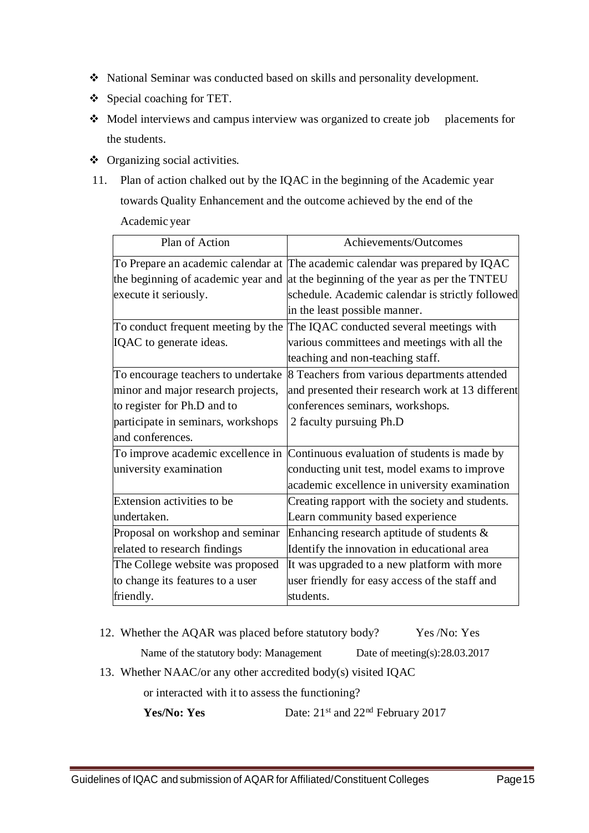- National Seminar was conducted based on skills and personality development.
- $\triangleleft$  Special coaching for TET.
- Model interviews and campus interview was organized to create job placements for the students.
- Organizing social activities.
- 11. Plan of action chalked out by the IQAC in the beginning of the Academic year towards Quality Enhancement and the outcome achieved by the end of the Academic year

| Plan of Action                     | Achievements/Outcomes                                                            |
|------------------------------------|----------------------------------------------------------------------------------|
|                                    | To Prepare an academic calendar at The academic calendar was prepared by IQAC    |
|                                    | the beginning of academic year and at the beginning of the year as per the TNTEU |
| execute it seriously.              | schedule. Academic calendar is strictly followed                                 |
|                                    | in the least possible manner.                                                    |
| To conduct frequent meeting by the | The IQAC conducted several meetings with                                         |
| IQAC to generate ideas.            | various committees and meetings with all the                                     |
|                                    | teaching and non-teaching staff.                                                 |
| To encourage teachers to undertake | 8 Teachers from various departments attended                                     |
| minor and major research projects, | and presented their research work at 13 different                                |
| to register for Ph.D and to        | conferences seminars, workshops.                                                 |
| participate in seminars, workshops | 2 faculty pursuing Ph.D                                                          |
| and conferences.                   |                                                                                  |
|                                    | To improve academic excellence in Continuous evaluation of students is made by   |
| university examination             | conducting unit test, model exams to improve                                     |
|                                    | academic excellence in university examination                                    |
| Extension activities to be         | Creating rapport with the society and students.                                  |
| undertaken.                        | Learn community based experience                                                 |
| Proposal on workshop and seminar   | Enhancing research aptitude of students $\&$                                     |
| related to research findings       | Identify the innovation in educational area                                      |
| The College website was proposed   | It was upgraded to a new platform with more                                      |
| to change its features to a user   | user friendly for easy access of the staff and                                   |
| friendly.                          | students.                                                                        |

12. Whether the AQAR was placed before statutory body? Yes /No: Yes

Name of the statutory body: Management Date of meeting(s):28.03.2017

13. Whether NAAC/or any other accredited body(s) visited IQAC

or interacted with it to assess the functioning?

**Yes/No: Yes** Date: 21<sup>st</sup> and 22<sup>nd</sup> February 2017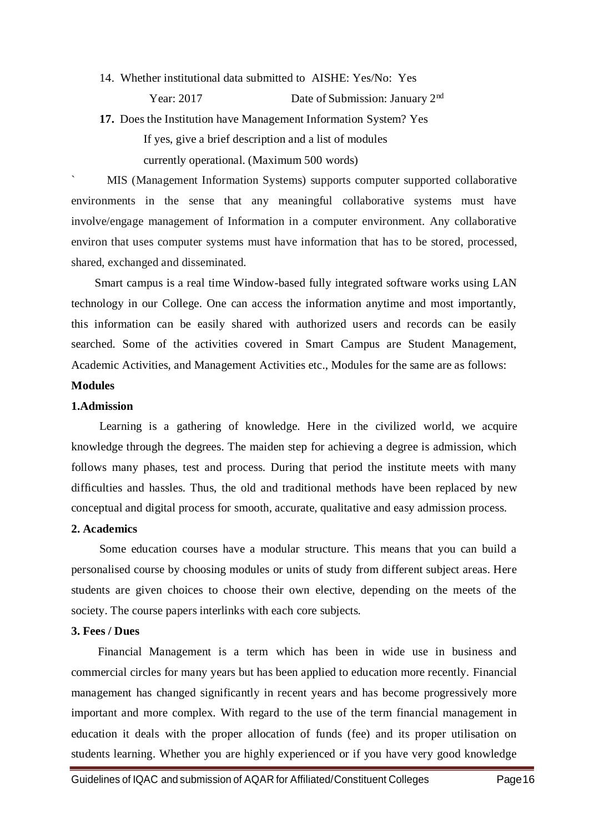14. Whether institutional data submitted to AISHE: Yes/No: Yes

Year: 2017 Date of Submission: January 2<sup>nd</sup>

**17.** Does the Institution have Management Information System? Yes

If yes, give a brief description and a list of modules currently operational. (Maximum 500 words)

` MIS (Management Information Systems) supports computer supported collaborative environments in the sense that any meaningful collaborative systems must have involve/engage management of Information in a computer environment. Any collaborative environ that uses computer systems must have information that has to be stored, processed, shared, exchanged and disseminated.

 Smart campus is a real time Window-based fully integrated software works using LAN technology in our College. One can access the information anytime and most importantly, this information can be easily shared with authorized users and records can be easily searched. Some of the activities covered in Smart Campus are Student Management, Academic Activities, and Management Activities etc., Modules for the same are as follows:

### **Modules**

### **1.Admission**

Learning is a gathering of knowledge. Here in the civilized world, we acquire knowledge through the degrees. The maiden step for achieving a degree is admission, which follows many phases, test and process. During that period the institute meets with many difficulties and hassles. Thus, the old and traditional methods have been replaced by new conceptual and digital process for smooth, accurate, qualitative and easy admission process.

#### **2. Academics**

Some education courses have a modular structure. This means that you can build a personalised course by choosing modules or units of study from different subject areas. Here students are given choices to choose their own elective, depending on the meets of the society. The course papers interlinks with each core subjects.

#### **3. Fees / Dues**

 Financial Management is a term which has been in wide use in business and commercial circles for many years but has been applied to education more recently. Financial management has changed significantly in recent years and has become progressively more important and more complex. With regard to the use of the term financial management in education it deals with the proper allocation of funds (fee) and its proper utilisation on students learning. Whether you are highly experienced or if you have very good knowledge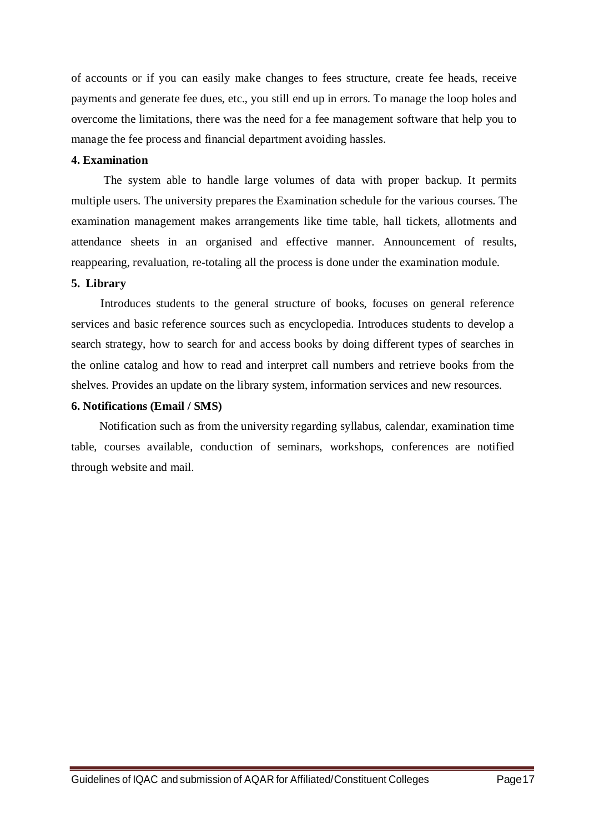of accounts or if you can easily make changes to fees structure, create fee heads, receive payments and generate fee dues, etc., you still end up in errors. To manage the loop holes and overcome the limitations, there was the need for a fee management software that help you to manage the fee process and financial department avoiding hassles.

#### **4. Examination**

 The system able to handle large volumes of data with proper backup. It permits multiple users. The university prepares the Examination schedule for the various courses. The examination management makes arrangements like time table, hall tickets, allotments and attendance sheets in an organised and effective manner. Announcement of results, reappearing, revaluation, re-totaling all the process is done under the examination module.

#### **5. Library**

 Introduces students to the general structure of books, focuses on general reference services and basic reference sources such as encyclopedia. Introduces students to develop a search strategy, how to search for and access books by doing different types of searches in the online catalog and how to read and interpret call numbers and retrieve books from the shelves. Provides an update on the library system, information services and new resources.

#### **6. Notifications (Email / SMS)**

Notification such as from the university regarding syllabus, calendar, examination time table, courses available, conduction of seminars, workshops, conferences are notified through website and mail.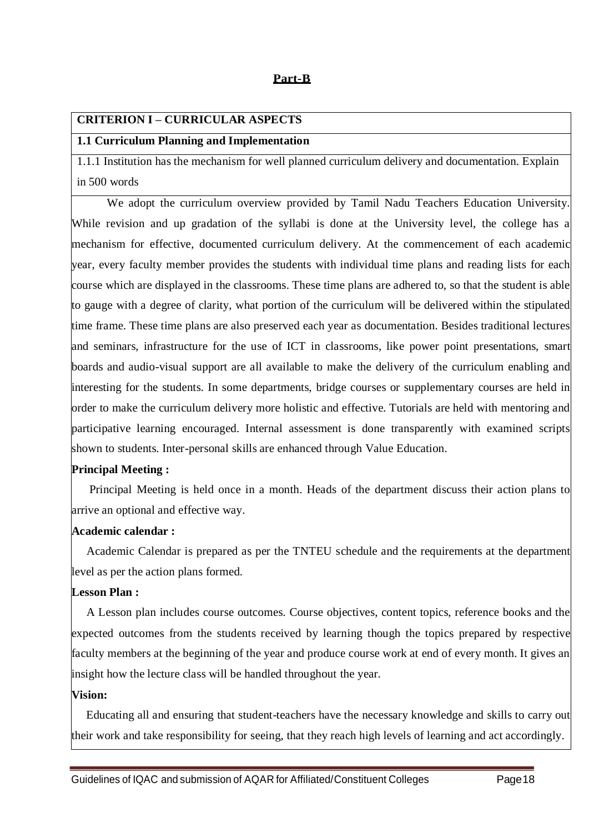### **Part-B**

#### **CRITERION I – CURRICULAR ASPECTS**

#### **1.1 Curriculum Planning and Implementation**

1.1.1 Institution has the mechanism for well planned curriculum delivery and documentation. Explain in 500 words

 We adopt the curriculum overview provided by Tamil Nadu Teachers Education University. While revision and up gradation of the syllabi is done at the University level, the college has a mechanism for effective, documented curriculum delivery. At the commencement of each academic year, every faculty member provides the students with individual time plans and reading lists for each course which are displayed in the classrooms. These time plans are adhered to, so that the student is able to gauge with a degree of clarity, what portion of the curriculum will be delivered within the stipulated time frame. These time plans are also preserved each year as documentation. Besides traditional lectures and seminars, infrastructure for the use of ICT in classrooms, like power point presentations, smart boards and audio-visual support are all available to make the delivery of the curriculum enabling and interesting for the students. In some departments, bridge courses or supplementary courses are held in order to make the curriculum delivery more holistic and effective. Tutorials are held with mentoring and participative learning encouraged. Internal assessment is done transparently with examined scripts shown to students. Inter-personal skills are enhanced through Value Education.

### **Principal Meeting :**

 Principal Meeting is held once in a month. Heads of the department discuss their action plans to arrive an optional and effective way.

### **Academic calendar :**

 Academic Calendar is prepared as per the TNTEU schedule and the requirements at the department level as per the action plans formed.

#### **Lesson Plan :**

 A Lesson plan includes course outcomes. Course objectives, content topics, reference books and the expected outcomes from the students received by learning though the topics prepared by respective faculty members at the beginning of the year and produce course work at end of every month. It gives an insight how the lecture class will be handled throughout the year.

#### **Vision:**

 Educating all and ensuring that student-teachers have the necessary knowledge and skills to carry out their work and take responsibility for seeing, that they reach high levels of learning and act accordingly.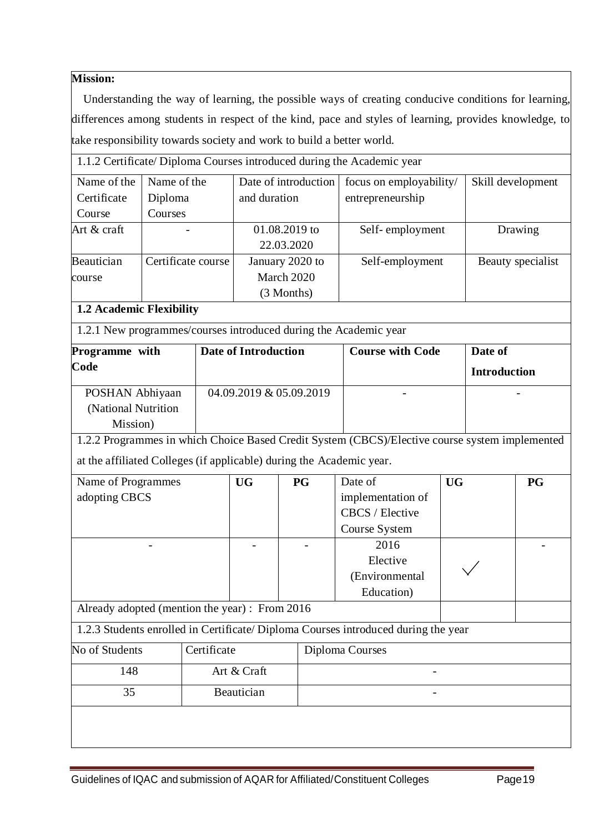### **Mission:**

 Understanding the way of learning, the possible ways of creating conducive conditions for learning, differences among students in respect of the kind, pace and styles of learning, provides knowledge, to take responsibility towards society and work to build a better world.

1.1.2 Certificate/ Diploma Courses introduced during the Academic year

| Name of the   | Name of the        | Date of introduction | focus on employability/ | Skill development |
|---------------|--------------------|----------------------|-------------------------|-------------------|
| Certificate   | Diploma            | and duration         | entrepreneurship        |                   |
| Course        | Courses            |                      |                         |                   |
| Art $&$ craft |                    | 01.08.2019 to        | Self-employment         | Drawing           |
|               |                    | 22.03.2020           |                         |                   |
| Beautician    | Certificate course | January 2020 to      | Self-employment         | Beauty specialist |
| course        |                    | March 2020           |                         |                   |
|               |                    | (3 Months)           |                         |                   |
|               |                    |                      |                         |                   |

### **1.2 Academic Flexibility**

1.2.1 New programmes/courses introduced during the Academic year

| Programme with      | <b>Date of Introduction</b> | <b>Course with Code</b> | Date of             |
|---------------------|-----------------------------|-------------------------|---------------------|
| Code                |                             |                         | <b>Introduction</b> |
| POSHAN Abhiyaan     | 04.09.2019 & 05.09.2019     |                         |                     |
| (National Nutrition |                             |                         |                     |
| Mission)            |                             |                         |                     |

1.2.2 Programmes in which Choice Based Credit System (CBCS)/Elective course system implemented

at the affiliated Colleges (if applicable) during the Academic year.

|                                                |  |                           |                   | <b>UG</b>       | <b>PG</b>                                                                         |
|------------------------------------------------|--|---------------------------|-------------------|-----------------|-----------------------------------------------------------------------------------|
|                                                |  |                           | implementation of |                 |                                                                                   |
|                                                |  |                           | CBCS / Elective   |                 |                                                                                   |
|                                                |  |                           | Course System     |                 |                                                                                   |
|                                                |  |                           | 2016              |                 |                                                                                   |
|                                                |  |                           | Elective          |                 |                                                                                   |
|                                                |  |                           | (Environmental    |                 |                                                                                   |
|                                                |  |                           | Education)        |                 |                                                                                   |
| Already adopted (mention the year) : From 2016 |  |                           |                   |                 |                                                                                   |
|                                                |  |                           |                   |                 |                                                                                   |
| Certificate                                    |  |                           |                   |                 |                                                                                   |
|                                                |  |                           |                   |                 |                                                                                   |
|                                                |  |                           |                   |                 |                                                                                   |
|                                                |  |                           |                   |                 |                                                                                   |
|                                                |  | Art & Craft<br>Beautician |                   | Diploma Courses | 1.2.3 Students enrolled in Certificate/Diploma Courses introduced during the year |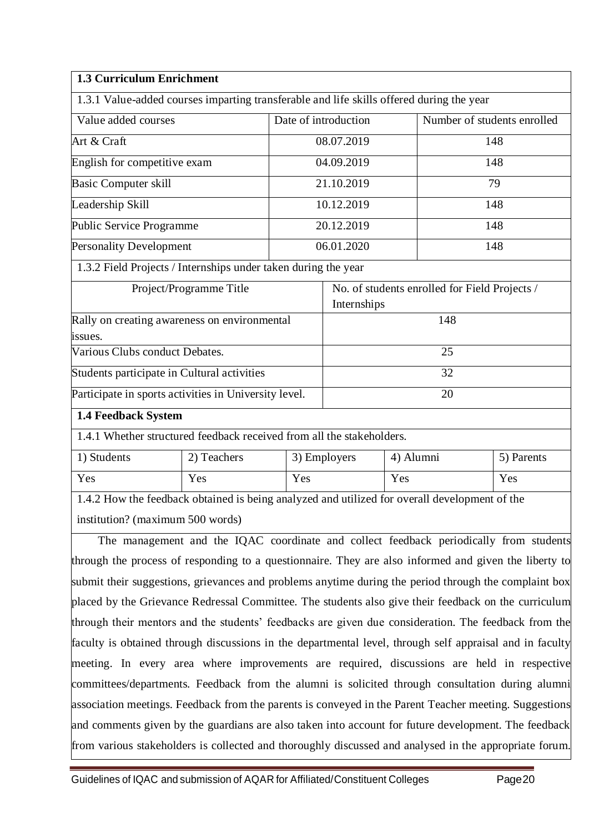| <b>1.3 Curriculum Enrichment</b>                                                         |                      |             |                                               |
|------------------------------------------------------------------------------------------|----------------------|-------------|-----------------------------------------------|
| 1.3.1 Value-added courses imparting transferable and life skills offered during the year |                      |             |                                               |
| Value added courses                                                                      | Date of introduction |             | Number of students enrolled                   |
| Art & Craft                                                                              |                      | 08.07.2019  | 148                                           |
| English for competitive exam                                                             |                      | 04.09.2019  | 148                                           |
| <b>Basic Computer skill</b>                                                              |                      | 21.10.2019  | 79                                            |
| Leadership Skill                                                                         |                      | 10.12.2019  | 148                                           |
| Public Service Programme                                                                 |                      | 20.12.2019  | 148                                           |
| <b>Personality Development</b>                                                           | 06.01.2020           |             | 148                                           |
| 1.3.2 Field Projects / Internships under taken during the year                           |                      |             |                                               |
| Project/Programme Title                                                                  |                      |             | No. of students enrolled for Field Projects / |
|                                                                                          |                      | Internships |                                               |
| Rally on creating awareness on environmental                                             |                      |             | 148                                           |
| issues.                                                                                  |                      |             |                                               |
| Various Clubs conduct Debates.                                                           |                      |             | 25                                            |

Participate in sports activities in University level. 20

### **1.4 Feedback System**

1.4.1 Whether structured feedback received from all the stakeholders.

Students participate in Cultural activities and students participate in Cultural activities and students of  $32$ 

| <sup>1</sup> ) Students | 2) Teachers | 3) Employers | 4) Alumni | 5) Parents |
|-------------------------|-------------|--------------|-----------|------------|
| Yes                     | Yes         | Yes          | Yes       | Yes        |

1.4.2 How the feedback obtained is being analyzed and utilized for overall development of the institution? (maximum 500 words)

 The management and the IQAC coordinate and collect feedback periodically from students through the process of responding to a questionnaire. They are also informed and given the liberty to submit their suggestions, grievances and problems anytime during the period through the complaint box placed by the Grievance Redressal Committee. The students also give their feedback on the curriculum through their mentors and the students' feedbacks are given due consideration. The feedback from the faculty is obtained through discussions in the departmental level, through self appraisal and in faculty meeting. In every area where improvements are required, discussions are held in respective committees/departments. Feedback from the alumni is solicited through consultation during alumni association meetings. Feedback from the parents is conveyed in the Parent Teacher meeting. Suggestions and comments given by the guardians are also taken into account for future development. The feedback from various stakeholders is collected and thoroughly discussed and analysed in the appropriate forum.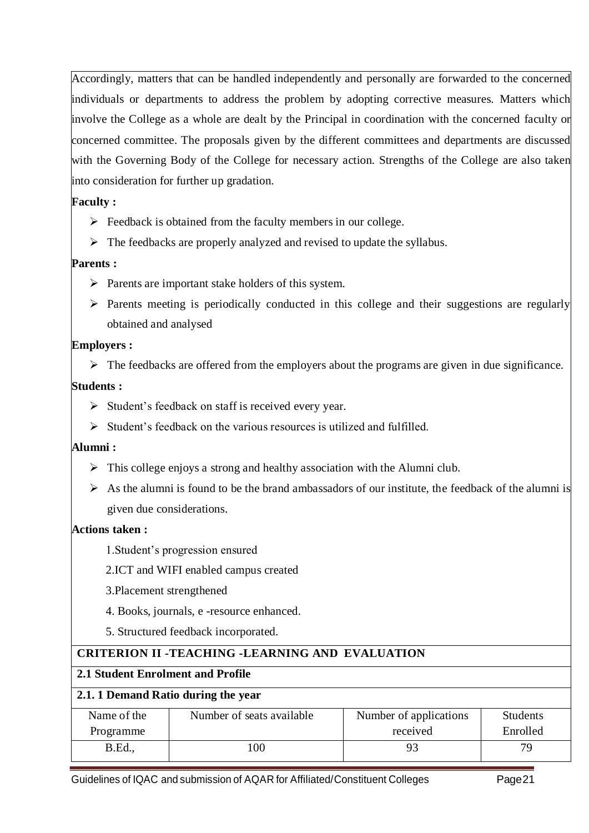Accordingly, matters that can be handled independently and personally are forwarded to the concerned individuals or departments to address the problem by adopting corrective measures. Matters which involve the College as a whole are dealt by the Principal in coordination with the concerned faculty or concerned committee. The proposals given by the different committees and departments are discussed with the Governing Body of the College for necessary action. Strengths of the College are also taken into consideration for further up gradation.

### **Faculty :**

- $\triangleright$  Feedback is obtained from the faculty members in our college.
- $\triangleright$  The feedbacks are properly analyzed and revised to update the syllabus.

### **Parents :**

- $\triangleright$  Parents are important stake holders of this system.
- $\triangleright$  Parents meeting is periodically conducted in this college and their suggestions are regularly obtained and analysed

### **Employers :**

 $\triangleright$  The feedbacks are offered from the employers about the programs are given in due significance.

### **Students :**

- $\triangleright$  Student's feedback on staff is received every year.
- $\triangleright$  Student's feedback on the various resources is utilized and fulfilled.

### **Alumni :**

- $\triangleright$  This college enjoys a strong and healthy association with the Alumni club.
- $\triangleright$  As the alumni is found to be the brand ambassadors of our institute, the feedback of the alumni is given due considerations.

### **Actions taken :**

- 1.Student's progression ensured
- 2.ICT and WIFI enabled campus created
- 3.Placement strengthened
- 4. Books, journals, e -resource enhanced.
- 5. Structured feedback incorporated.

### **CRITERION II -TEACHING -LEARNING AND EVALUATION**

### **2.1 Student Enrolment and Profile**

### **2.1. 1 Demand Ratio during the year**

| Name of the    | Number of seats available | Number of applications | <b>Students</b> |
|----------------|---------------------------|------------------------|-----------------|
| Programme      |                           | received               | Enrolled        |
| <b>B.Ed.</b> , | 100                       |                        | 79              |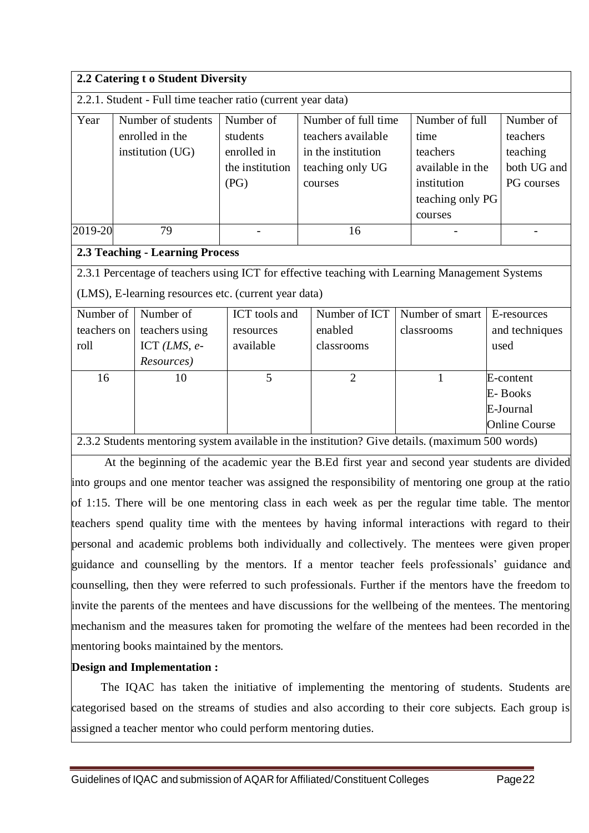| 2.2 Catering t o Student Diversity |                                                                                                   |                                                                 |                                                                                                |                                                                                                      |                                                                |  |
|------------------------------------|---------------------------------------------------------------------------------------------------|-----------------------------------------------------------------|------------------------------------------------------------------------------------------------|------------------------------------------------------------------------------------------------------|----------------------------------------------------------------|--|
|                                    | 2.2.1. Student - Full time teacher ratio (current year data)                                      |                                                                 |                                                                                                |                                                                                                      |                                                                |  |
| Year                               | Number of students<br>enrolled in the<br>institution (UG)                                         | Number of<br>students<br>enrolled in<br>the institution<br>(PG) | Number of full time<br>teachers available<br>in the institution<br>teaching only UG<br>courses | Number of full<br>time<br>teachers<br>available in the<br>institution<br>teaching only PG<br>courses | Number of<br>teachers<br>teaching<br>both UG and<br>PG courses |  |
| 2019-20                            | 79                                                                                                |                                                                 | 16                                                                                             |                                                                                                      |                                                                |  |
|                                    | <b>2.3 Teaching - Learning Process</b>                                                            |                                                                 |                                                                                                |                                                                                                      |                                                                |  |
|                                    | 2.3.1 Percentage of teachers using ICT for effective teaching with Learning Management Systems    |                                                                 |                                                                                                |                                                                                                      |                                                                |  |
|                                    | (LMS), E-learning resources etc. (current year data)                                              |                                                                 |                                                                                                |                                                                                                      |                                                                |  |
| Number of                          | Number of                                                                                         | ICT tools and                                                   | Number of ICT                                                                                  | Number of smart                                                                                      | E-resources                                                    |  |
| teachers on                        | teachers using                                                                                    | resources                                                       | enabled                                                                                        | classrooms                                                                                           | and techniques                                                 |  |
| roll                               | ICT $(LMS, e$ -                                                                                   | available                                                       | classrooms                                                                                     |                                                                                                      | used                                                           |  |
|                                    | Resources)                                                                                        |                                                                 |                                                                                                |                                                                                                      |                                                                |  |
| 16                                 | 10                                                                                                | 5                                                               | $\overline{2}$                                                                                 | 1                                                                                                    | E-content                                                      |  |
|                                    |                                                                                                   |                                                                 |                                                                                                |                                                                                                      | E-Books                                                        |  |
|                                    |                                                                                                   |                                                                 |                                                                                                |                                                                                                      | E-Journal                                                      |  |
|                                    |                                                                                                   |                                                                 |                                                                                                |                                                                                                      | <b>Online Course</b>                                           |  |
|                                    | 2.3.2.3. Students mentering system evailable in the institution? Give details (maximum 500 words) |                                                                 |                                                                                                |                                                                                                      |                                                                |  |

2.3.2 Students mentoring system available in the institution? Give details. (maximum 500 words)

 At the beginning of the academic year the B.Ed first year and second year students are divided into groups and one mentor teacher was assigned the responsibility of mentoring one group at the ratio of 1:15. There will be one mentoring class in each week as per the regular time table. The mentor teachers spend quality time with the mentees by having informal interactions with regard to their personal and academic problems both individually and collectively. The mentees were given proper guidance and counselling by the mentors. If a mentor teacher feels professionals' guidance and counselling, then they were referred to such professionals. Further if the mentors have the freedom to invite the parents of the mentees and have discussions for the wellbeing of the mentees. The mentoring mechanism and the measures taken for promoting the welfare of the mentees had been recorded in the mentoring books maintained by the mentors.

### **Design and Implementation :**

 The IQAC has taken the initiative of implementing the mentoring of students. Students are categorised based on the streams of studies and also according to their core subjects. Each group is assigned a teacher mentor who could perform mentoring duties.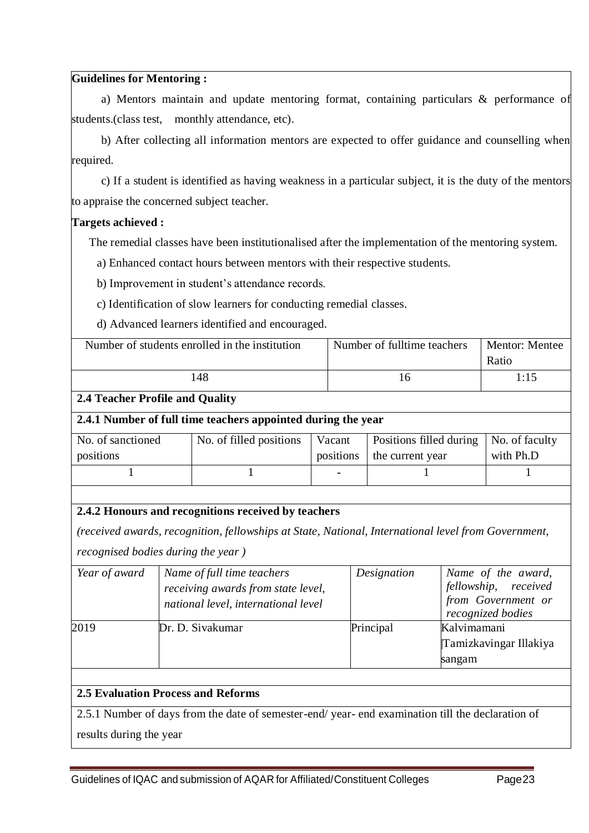#### **Guidelines for Mentoring :**

a) Mentors maintain and update mentoring format, containing particulars & performance of students.(class test, monthly attendance, etc).

b) After collecting all information mentors are expected to offer guidance and counselling when required.

c) If a student is identified as having weakness in a particular subject, it is the duty of the mentors to appraise the concerned subject teacher.

### **Targets achieved :**

The remedial classes have been institutionalised after the implementation of the mentoring system.

a) Enhanced contact hours between mentors with their respective students.

b) Improvement in student's attendance records.

c) Identification of slow learners for conducting remedial classes.

d) Advanced learners identified and encouraged.

| Number of students enrolled in the institution | Number of fulltime teachers | Mentor: Mentee |
|------------------------------------------------|-----------------------------|----------------|
|                                                |                             | Ratio          |
| 48                                             | <sup>t</sup>                | 1:15           |
| - - -<br>$-22$<br>$\sim$ $\sim$<br>$\sim$      |                             |                |

### **2.4 Teacher Profile and Quality**

### **2.4.1 Number of full time teachers appointed during the year**

| No. of sanctioned | No. of filled positions | Vacant    | Positions filled during | $\vert$ No. of faculty |
|-------------------|-------------------------|-----------|-------------------------|------------------------|
| positions         |                         | positions | the current year        | with Ph.D              |
|                   |                         |           |                         |                        |

### **2.4.2 Honours and recognitions received by teachers**

*(received awards, recognition, fellowships at State, National, International level from Government,* 

*recognised bodies during the year )*

| Year of award | Name of full time teachers<br>receiving awards from state level,<br>national level, international level | Designation | Name of the award,<br>fellowship, received<br>from Government or<br>recognized bodies |
|---------------|---------------------------------------------------------------------------------------------------------|-------------|---------------------------------------------------------------------------------------|
| 2019          | Dr. D. Sivakumar                                                                                        | Principal   | Kalvimamani<br>Tamizkavingar Illakiya<br>sangam                                       |

### **2.5 Evaluation Process and Reforms**

2.5.1 Number of days from the date of semester-end/ year- end examination till the declaration of results during the year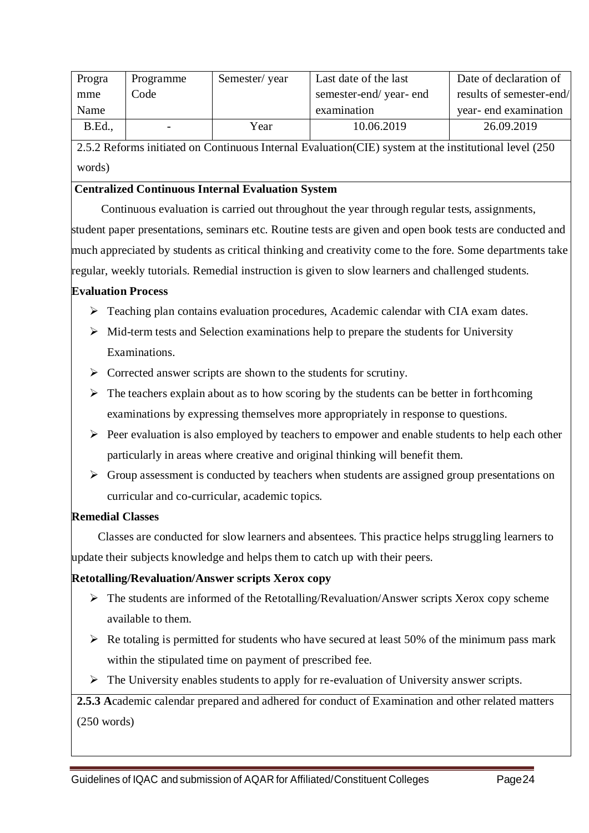| Progra | Programme | Semester/year | Last date of the last | Date of declaration of   |
|--------|-----------|---------------|-----------------------|--------------------------|
| mme    | Code      |               | semester-end/year-end | results of semester-end/ |
| Name   |           |               | examination           | year- end examination    |
| B.Ed., |           | Year          | 10.06.2019            | 26.09.2019               |

2.5.2 Reforms initiated on Continuous Internal Evaluation(CIE) system at the institutional level (250 words)

### **Centralized Continuous Internal Evaluation System**

 Continuous evaluation is carried out throughout the year through regular tests, assignments, student paper presentations, seminars etc. Routine tests are given and open book tests are conducted and much appreciated by students as critical thinking and creativity come to the fore. Some departments take regular, weekly tutorials. Remedial instruction is given to slow learners and challenged students.

### **Evaluation Process**

- Teaching plan contains evaluation procedures, Academic calendar with CIA exam dates.
- $\triangleright$  Mid-term tests and Selection examinations help to prepare the students for University Examinations.
- $\triangleright$  Corrected answer scripts are shown to the students for scrutiny.
- $\triangleright$  The teachers explain about as to how scoring by the students can be better in forthcoming examinations by expressing themselves more appropriately in response to questions.
- $\triangleright$  Peer evaluation is also employed by teachers to empower and enable students to help each other particularly in areas where creative and original thinking will benefit them.
- $\triangleright$  Group assessment is conducted by teachers when students are assigned group presentations on curricular and co-curricular, academic topics.

### **Remedial Classes**

 Classes are conducted for slow learners and absentees. This practice helps struggling learners to update their subjects knowledge and helps them to catch up with their peers.

### **Retotalling/Revaluation/Answer scripts Xerox copy**

- $\triangleright$  The students are informed of the Retotalling/Revaluation/Answer scripts Xerox copy scheme available to them.
- $\triangleright$  Re totaling is permitted for students who have secured at least 50% of the minimum pass mark within the stipulated time on payment of prescribed fee.
- $\triangleright$  The University enables students to apply for re-evaluation of University answer scripts.

**2.5.3 A**cademic calendar prepared and adhered for conduct of Examination and other related matters (250 words)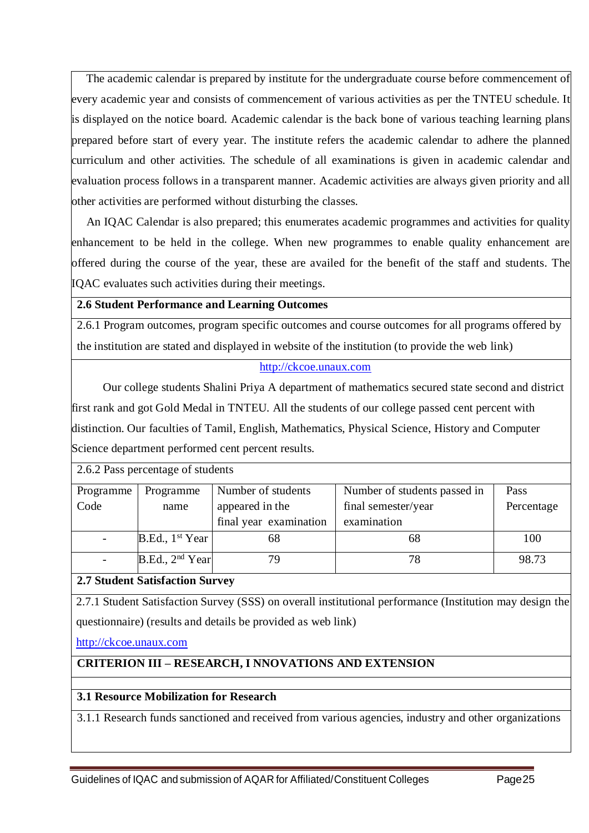The academic calendar is prepared by institute for the undergraduate course before commencement of every academic year and consists of commencement of various activities as per the TNTEU schedule. It is displayed on the notice board. Academic calendar is the back bone of various teaching learning plans prepared before start of every year. The institute refers the academic calendar to adhere the planned curriculum and other activities. The schedule of all examinations is given in academic calendar and evaluation process follows in a transparent manner. Academic activities are always given priority and all other activities are performed without disturbing the classes.

 An IQAC Calendar is also prepared; this enumerates academic programmes and activities for quality enhancement to be held in the college. When new programmes to enable quality enhancement are offered during the course of the year, these are availed for the benefit of the staff and students. The IQAC evaluates such activities during their meetings.

### **2.6 Student Performance and Learning Outcomes**

2.6.1 Program outcomes, program specific outcomes and course outcomes for all programs offered by the institution are stated and displayed in website of the institution (to provide the web link)

### [http://ckcoe.unaux.com](http://ckcoe.unaux.com/)

Our college students Shalini Priya A department of mathematics secured state second and district first rank and got Gold Medal in TNTEU. All the students of our college passed cent percent with distinction. Our faculties of Tamil, English, Mathematics, Physical Science, History and Computer Science department performed cent percent results.

2.6.2 Pass percentage of students

| Programme | Programme                   | Number of students     | Number of students passed in | <b>Pass</b> |
|-----------|-----------------------------|------------------------|------------------------------|-------------|
| Code      | name                        | appeared in the        | final semester/year          | Percentage  |
|           |                             | final year examination | examination                  |             |
|           | B.Ed., 1 <sup>st</sup> Year | 68                     | 68                           | 100         |
|           | B.Ed., 2 <sup>nd</sup> Year | 79                     | 78                           | 98.73       |

### **2.7 Student Satisfaction Survey**

2.7.1 Student Satisfaction Survey (SSS) on overall institutional performance (Institution may design the questionnaire) (results and details be provided as web link)

### [http://ckcoe.unaux.com](http://ckcoe.unaux.com/)

### **CRITERION III – RESEARCH, I NNOVATIONS AND EXTENSION**

### **3.1 Resource Mobilization for Research**

3.1.1 Research funds sanctioned and received from various agencies, industry and other organizations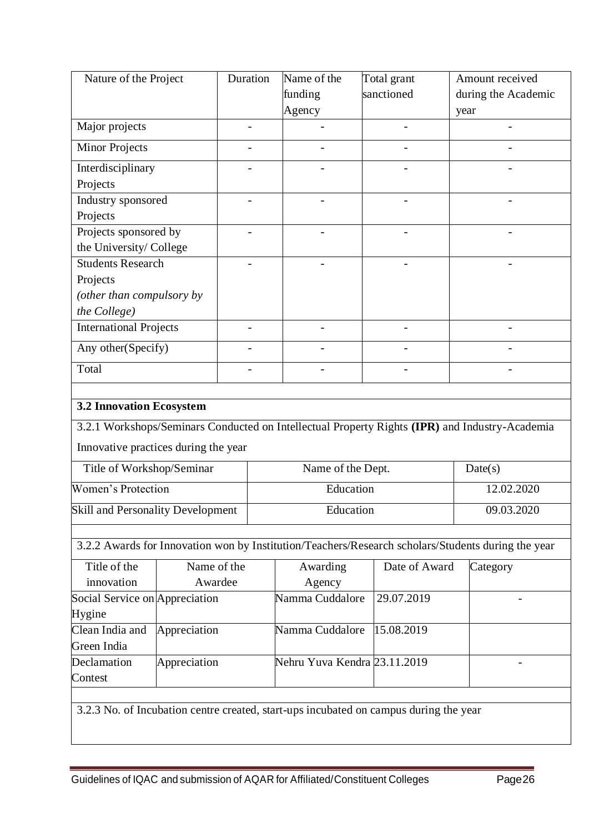| Nature of the Project                |                    | Duration | Name of the<br>funding                                                                | Total grant<br>sanctioned | Amount received<br>during the Academic                                                             |  |  |  |
|--------------------------------------|--------------------|----------|---------------------------------------------------------------------------------------|---------------------------|----------------------------------------------------------------------------------------------------|--|--|--|
|                                      |                    |          | Agency                                                                                |                           | year                                                                                               |  |  |  |
| Major projects                       |                    |          |                                                                                       |                           |                                                                                                    |  |  |  |
| <b>Minor Projects</b>                |                    |          |                                                                                       |                           |                                                                                                    |  |  |  |
| Interdisciplinary                    |                    |          |                                                                                       |                           |                                                                                                    |  |  |  |
| Projects                             |                    |          |                                                                                       |                           |                                                                                                    |  |  |  |
| Industry sponsored                   |                    |          |                                                                                       |                           |                                                                                                    |  |  |  |
| Projects                             |                    |          |                                                                                       |                           |                                                                                                    |  |  |  |
| Projects sponsored by                |                    |          |                                                                                       |                           |                                                                                                    |  |  |  |
| the University/ College              |                    |          |                                                                                       |                           |                                                                                                    |  |  |  |
| <b>Students Research</b>             |                    |          |                                                                                       |                           |                                                                                                    |  |  |  |
| Projects                             |                    |          |                                                                                       |                           |                                                                                                    |  |  |  |
| (other than compulsory by            |                    |          |                                                                                       |                           |                                                                                                    |  |  |  |
| the College)                         |                    |          |                                                                                       |                           |                                                                                                    |  |  |  |
| <b>International Projects</b>        |                    |          |                                                                                       |                           |                                                                                                    |  |  |  |
|                                      | Any other(Specify) |          |                                                                                       |                           |                                                                                                    |  |  |  |
| Total                                |                    |          |                                                                                       |                           |                                                                                                    |  |  |  |
|                                      |                    |          |                                                                                       |                           |                                                                                                    |  |  |  |
| <b>3.2 Innovation Ecosystem</b>      |                    |          |                                                                                       |                           |                                                                                                    |  |  |  |
|                                      |                    |          |                                                                                       |                           | 3.2.1 Workshops/Seminars Conducted on Intellectual Property Rights (IPR) and Industry-Academia     |  |  |  |
| Innovative practices during the year |                    |          |                                                                                       |                           |                                                                                                    |  |  |  |
| Title of Workshop/Seminar            |                    |          | Name of the Dept.                                                                     | Date(s)                   |                                                                                                    |  |  |  |
| <b>Women's Protection</b>            |                    |          | Education                                                                             | 12.02.2020                |                                                                                                    |  |  |  |
| Skill and Personality Development    |                    |          | Education                                                                             | 09.03.2020                |                                                                                                    |  |  |  |
|                                      |                    |          |                                                                                       |                           |                                                                                                    |  |  |  |
|                                      |                    |          |                                                                                       |                           | 3.2.2 Awards for Innovation won by Institution/Teachers/Research scholars/Students during the year |  |  |  |
| Title of the                         | Name of the        |          | Awarding                                                                              | Date of Award             | Category                                                                                           |  |  |  |
| innovation                           | Awardee            |          | Agency                                                                                |                           |                                                                                                    |  |  |  |
| Social Service on Appreciation       |                    |          | Namma Cuddalore                                                                       | 29.07.2019                |                                                                                                    |  |  |  |
| Hygine                               |                    |          |                                                                                       |                           |                                                                                                    |  |  |  |
| Clean India and<br>Green India       | Appreciation       |          | Namma Cuddalore                                                                       | 15.08.2019                |                                                                                                    |  |  |  |
| Declamation<br>Contest               | Appreciation       |          | Nehru Yuva Kendra 23.11.2019                                                          |                           |                                                                                                    |  |  |  |
|                                      |                    |          |                                                                                       |                           |                                                                                                    |  |  |  |
|                                      |                    |          | 3.2.3 No. of Incubation centre created, start-ups incubated on campus during the year |                           |                                                                                                    |  |  |  |
|                                      |                    |          |                                                                                       |                           |                                                                                                    |  |  |  |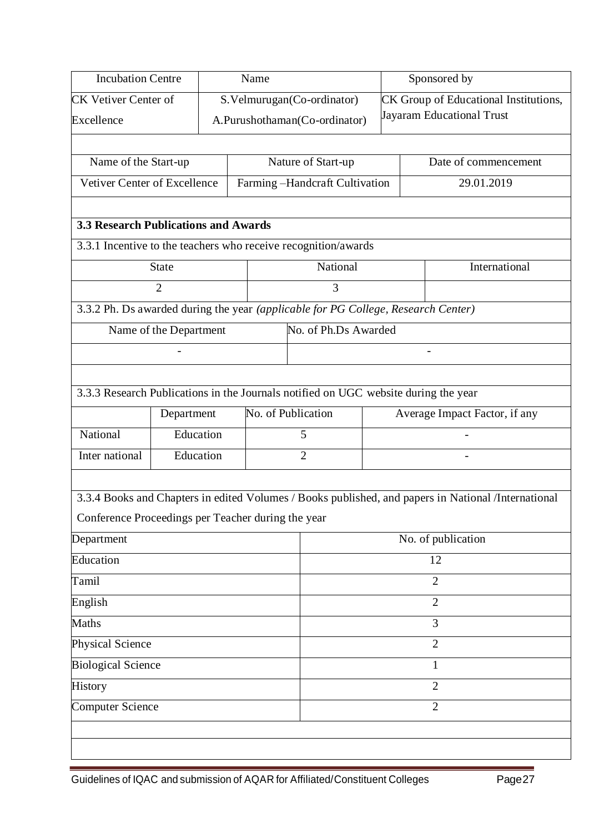| <b>Incubation Centre</b><br>Name                   |                                            |           |  |                                                                                     | Sponsored by       |  |                                                                                                     |  |
|----------------------------------------------------|--------------------------------------------|-----------|--|-------------------------------------------------------------------------------------|--------------------|--|-----------------------------------------------------------------------------------------------------|--|
| <b>CK Vetiver Center of</b>                        |                                            |           |  | S.Velmurugan(Co-ordinator)                                                          |                    |  | CK Group of Educational Institutions,                                                               |  |
| Excellence                                         |                                            |           |  | A.Purushothaman(Co-ordinator)                                                       |                    |  | <b>Jayaram Educational Trust</b>                                                                    |  |
|                                                    |                                            |           |  |                                                                                     |                    |  |                                                                                                     |  |
|                                                    | Name of the Start-up<br>Nature of Start-up |           |  |                                                                                     |                    |  | Date of commencement                                                                                |  |
| Vetiver Center of Excellence                       |                                            |           |  | Farming-Handcraft Cultivation                                                       |                    |  | 29.01.2019                                                                                          |  |
|                                                    |                                            |           |  |                                                                                     |                    |  |                                                                                                     |  |
| <b>3.3 Research Publications and Awards</b>        |                                            |           |  |                                                                                     |                    |  |                                                                                                     |  |
|                                                    |                                            |           |  | 3.3.1 Incentive to the teachers who receive recognition/awards                      |                    |  |                                                                                                     |  |
|                                                    | <b>State</b>                               |           |  | National                                                                            |                    |  | International                                                                                       |  |
|                                                    | $\overline{2}$                             |           |  | 3                                                                                   |                    |  |                                                                                                     |  |
|                                                    |                                            |           |  | 3.3.2 Ph. Ds awarded during the year (applicable for PG College, Research Center)   |                    |  |                                                                                                     |  |
|                                                    | Name of the Department                     |           |  | No. of Ph.Ds Awarded                                                                |                    |  |                                                                                                     |  |
|                                                    |                                            |           |  |                                                                                     |                    |  |                                                                                                     |  |
|                                                    |                                            |           |  |                                                                                     |                    |  |                                                                                                     |  |
|                                                    |                                            |           |  | 3.3.3 Research Publications in the Journals notified on UGC website during the year |                    |  |                                                                                                     |  |
|                                                    | Department                                 |           |  | No. of Publication                                                                  |                    |  | Average Impact Factor, if any                                                                       |  |
| National                                           |                                            | Education |  | 5                                                                                   |                    |  |                                                                                                     |  |
| Inter national                                     |                                            | Education |  | $\overline{2}$                                                                      |                    |  |                                                                                                     |  |
|                                                    |                                            |           |  |                                                                                     |                    |  |                                                                                                     |  |
|                                                    |                                            |           |  |                                                                                     |                    |  | 3.3.4 Books and Chapters in edited Volumes / Books published, and papers in National /International |  |
| Conference Proceedings per Teacher during the year |                                            |           |  |                                                                                     |                    |  |                                                                                                     |  |
| Department                                         |                                            |           |  |                                                                                     | No. of publication |  |                                                                                                     |  |
| Education                                          |                                            |           |  |                                                                                     | 12                 |  |                                                                                                     |  |
| Tamil                                              |                                            |           |  |                                                                                     | $\overline{2}$     |  |                                                                                                     |  |
| English                                            |                                            |           |  |                                                                                     |                    |  | $\overline{2}$                                                                                      |  |
| Maths                                              |                                            |           |  |                                                                                     |                    |  | 3                                                                                                   |  |
| Physical Science                                   |                                            |           |  |                                                                                     | $\overline{2}$     |  |                                                                                                     |  |
| <b>Biological Science</b>                          |                                            |           |  | 1                                                                                   |                    |  |                                                                                                     |  |
| History                                            |                                            |           |  |                                                                                     | $\overline{2}$     |  |                                                                                                     |  |
| Computer Science                                   |                                            |           |  |                                                                                     |                    |  | $\overline{2}$                                                                                      |  |
|                                                    |                                            |           |  |                                                                                     |                    |  |                                                                                                     |  |
|                                                    |                                            |           |  |                                                                                     |                    |  |                                                                                                     |  |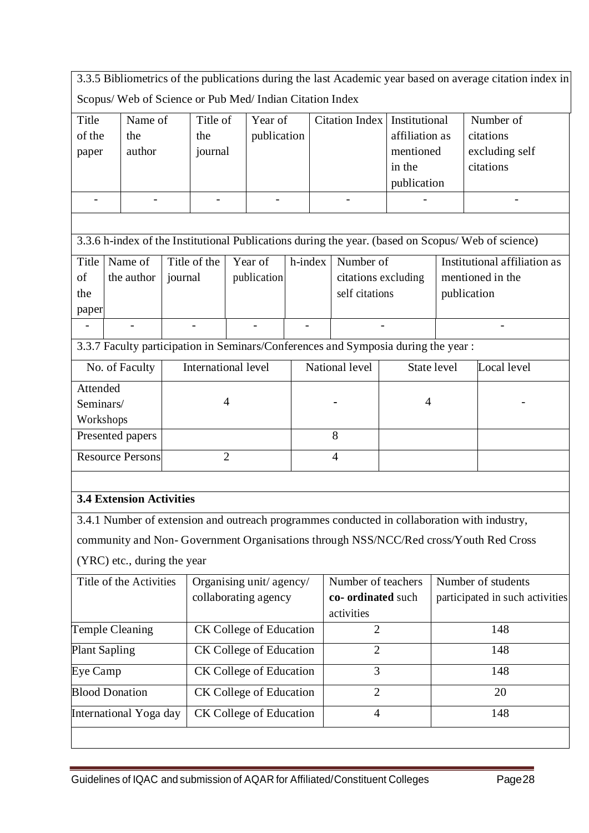3.3.5 Bibliometrics of the publications during the last Academic year based on average citation index in Scopus/ Web of Science or Pub Med/ Indian Citation Index

|                      | $S$ copus/ $W$ co of $S$ cience of $I$ up $M$ cu/ filman Chation filmex            |         |                     |                     |                                |                                        |                |                    |                     |             |                                                                                                    |
|----------------------|------------------------------------------------------------------------------------|---------|---------------------|---------------------|--------------------------------|----------------------------------------|----------------|--------------------|---------------------|-------------|----------------------------------------------------------------------------------------------------|
| Title                | Name of                                                                            |         | Title of<br>Year of |                     |                                | <b>Citation Index</b><br>Institutional |                |                    | Number of           |             |                                                                                                    |
| of the               | the                                                                                |         | the                 |                     | publication                    |                                        |                |                    | affiliation as      |             | citations                                                                                          |
| paper                | author                                                                             |         | journal             |                     |                                |                                        |                |                    | mentioned           |             | excluding self                                                                                     |
|                      |                                                                                    |         |                     |                     |                                |                                        |                |                    | in the              |             | citations                                                                                          |
|                      |                                                                                    |         |                     |                     |                                |                                        |                |                    | publication         |             |                                                                                                    |
|                      |                                                                                    |         |                     |                     |                                |                                        |                | $\overline{a}$     |                     |             |                                                                                                    |
|                      |                                                                                    |         |                     |                     |                                |                                        |                |                    |                     |             |                                                                                                    |
|                      |                                                                                    |         |                     |                     |                                |                                        |                |                    |                     |             | 3.3.6 h-index of the Institutional Publications during the year. (based on Scopus/ Web of science) |
| Title                | Name of                                                                            |         | Title of the        |                     | Year of                        | h-index                                |                | Number of          |                     |             | Institutional affiliation as                                                                       |
| of                   | the author                                                                         | journal |                     |                     | publication                    |                                        |                |                    | citations excluding |             | mentioned in the                                                                                   |
| the                  |                                                                                    |         |                     |                     |                                |                                        |                | self citations     |                     |             | publication                                                                                        |
| paper                |                                                                                    |         |                     |                     |                                |                                        |                |                    |                     |             |                                                                                                    |
|                      |                                                                                    |         |                     |                     |                                |                                        |                |                    |                     |             |                                                                                                    |
|                      | 3.3.7 Faculty participation in Seminars/Conferences and Symposia during the year : |         |                     |                     |                                |                                        |                |                    |                     |             |                                                                                                    |
|                      | No. of Faculty                                                                     |         |                     | International level |                                |                                        | National level |                    |                     | State level | Local level                                                                                        |
| Attended             |                                                                                    |         |                     |                     |                                |                                        |                |                    |                     |             |                                                                                                    |
|                      | Seminars/                                                                          |         |                     | $\overline{4}$      |                                |                                        |                |                    | $\overline{4}$      |             |                                                                                                    |
| Workshops            |                                                                                    |         |                     |                     |                                |                                        |                |                    |                     |             |                                                                                                    |
|                      | Presented papers                                                                   |         |                     |                     |                                |                                        |                | 8                  |                     |             |                                                                                                    |
|                      | <b>Resource Persons</b>                                                            |         |                     | $\overline{2}$      |                                |                                        |                | $\overline{4}$     |                     |             |                                                                                                    |
|                      |                                                                                    |         |                     |                     |                                |                                        |                |                    |                     |             |                                                                                                    |
|                      | <b>3.4 Extension Activities</b>                                                    |         |                     |                     |                                |                                        |                |                    |                     |             |                                                                                                    |
|                      |                                                                                    |         |                     |                     |                                |                                        |                |                    |                     |             | 3.4.1 Number of extension and outreach programmes conducted in collaboration with industry,        |
|                      |                                                                                    |         |                     |                     |                                |                                        |                |                    |                     |             | community and Non-Government Organisations through NSS/NCC/Red cross/Youth Red Cross               |
|                      | (YRC) etc., during the year                                                        |         |                     |                     |                                |                                        |                |                    |                     |             |                                                                                                    |
|                      | Title of the Activities                                                            |         |                     |                     | Organising unit/agency/        |                                        |                | Number of teachers |                     |             | Number of students                                                                                 |
|                      |                                                                                    |         |                     |                     | collaborating agency           |                                        |                | co- ordinated such |                     |             | participated in such activities                                                                    |
|                      |                                                                                    |         |                     |                     |                                |                                        |                | activities         |                     |             |                                                                                                    |
|                      | <b>Temple Cleaning</b>                                                             |         |                     |                     | CK College of Education        |                                        |                | $\overline{2}$     |                     |             | 148                                                                                                |
| <b>Plant Sapling</b> |                                                                                    |         |                     |                     | <b>CK College of Education</b> |                                        |                | 2                  |                     |             | 148                                                                                                |
| Eye Camp             |                                                                                    |         |                     |                     | CK College of Education        |                                        |                | 3                  |                     |             | 148                                                                                                |
|                      | <b>Blood Donation</b>                                                              |         |                     |                     | <b>CK College of Education</b> |                                        |                | $\overline{2}$     |                     |             | 20                                                                                                 |
|                      | International Yoga day                                                             |         |                     |                     | CK College of Education        |                                        |                | 4                  |                     |             | 148                                                                                                |
|                      |                                                                                    |         |                     |                     |                                |                                        |                |                    |                     |             |                                                                                                    |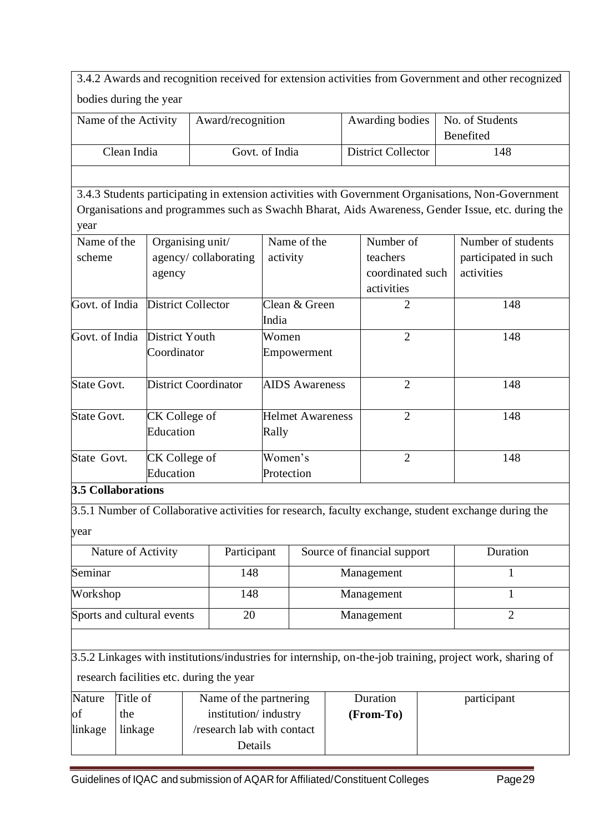|                               |             |                            |                             |                                          |                         |               |                           |                             |             | 3.4.2 Awards and recognition received for extension activities from Government and other recognized       |
|-------------------------------|-------------|----------------------------|-----------------------------|------------------------------------------|-------------------------|---------------|---------------------------|-----------------------------|-------------|-----------------------------------------------------------------------------------------------------------|
|                               |             | bodies during the year     |                             |                                          |                         |               |                           |                             |             |                                                                                                           |
|                               |             |                            |                             |                                          |                         |               |                           |                             |             |                                                                                                           |
| Name of the Activity          |             |                            |                             | Award/recognition                        |                         |               |                           | Awarding bodies             |             | No. of Students                                                                                           |
|                               | Clean India |                            |                             |                                          |                         |               | <b>District Collector</b> |                             | Benefited   |                                                                                                           |
|                               |             |                            |                             |                                          | Govt. of India          |               |                           |                             | 148         |                                                                                                           |
|                               |             |                            |                             |                                          |                         |               |                           |                             |             |                                                                                                           |
|                               |             |                            |                             |                                          |                         |               |                           |                             |             | 3.4.3 Students participating in extension activities with Government Organisations, Non-Government        |
|                               |             |                            |                             |                                          |                         |               |                           |                             |             | Organisations and programmes such as Swachh Bharat, Aids Awareness, Gender Issue, etc. during the         |
| year                          |             |                            |                             |                                          |                         |               |                           |                             |             |                                                                                                           |
| Name of the                   |             | Organising unit/           |                             |                                          |                         | Name of the   |                           | Number of                   |             | Number of students                                                                                        |
| scheme                        |             |                            |                             | agency/collaborating                     | activity                |               |                           | teachers                    |             | participated in such                                                                                      |
|                               |             | agency                     |                             |                                          |                         |               |                           | coordinated such            |             | activities                                                                                                |
|                               |             |                            |                             |                                          |                         |               |                           | activities                  |             |                                                                                                           |
| Govt. of India                |             | <b>District Collector</b>  |                             |                                          | India                   | Clean & Green |                           | $\overline{2}$              |             | 148                                                                                                       |
| Govt. of India District Youth |             |                            |                             |                                          | Women                   |               |                           | $\overline{2}$              |             | 148                                                                                                       |
|                               |             | Coordinator                |                             |                                          | Empowerment             |               |                           |                             |             |                                                                                                           |
|                               |             |                            |                             |                                          |                         |               |                           |                             |             |                                                                                                           |
| <b>State Govt.</b>            |             |                            | <b>District Coordinator</b> |                                          | <b>AIDS</b> Awareness   |               | $\overline{2}$            |                             | 148         |                                                                                                           |
| <b>State Govt.</b>            |             | CK College of              |                             |                                          | <b>Helmet Awareness</b> |               | $\overline{2}$            |                             | 148         |                                                                                                           |
|                               |             | Education                  |                             |                                          | Rally                   |               |                           |                             |             |                                                                                                           |
|                               |             |                            |                             |                                          |                         |               | $\overline{2}$            |                             |             |                                                                                                           |
| State Govt.                   |             | CK College of<br>Education |                             |                                          | Women's                 |               |                           |                             | 148         |                                                                                                           |
| <b>3.5 Collaborations</b>     |             |                            |                             |                                          | Protection              |               |                           |                             |             |                                                                                                           |
|                               |             |                            |                             |                                          |                         |               |                           |                             |             |                                                                                                           |
|                               |             |                            |                             |                                          |                         |               |                           |                             |             | 3.5.1 Number of Collaborative activities for research, faculty exchange, student exchange during the      |
| year                          |             |                            |                             |                                          |                         |               |                           |                             |             |                                                                                                           |
|                               |             | Nature of Activity         |                             | Participant                              |                         |               |                           | Source of financial support |             | Duration                                                                                                  |
| Seminar                       |             |                            |                             | 148                                      |                         |               |                           | Management                  |             | $\mathbf{1}$                                                                                              |
| Workshop                      |             |                            |                             | 148                                      |                         |               |                           | Management                  |             | 1                                                                                                         |
| Sports and cultural events    |             |                            |                             | 20                                       |                         |               |                           | Management                  |             | $\overline{2}$                                                                                            |
|                               |             |                            |                             |                                          |                         |               |                           |                             |             |                                                                                                           |
|                               |             |                            |                             |                                          |                         |               |                           |                             |             | 3.5.2 Linkages with institutions/industries for internship, on-the-job training, project work, sharing of |
|                               |             |                            |                             |                                          |                         |               |                           |                             |             |                                                                                                           |
|                               |             |                            |                             | research facilities etc. during the year |                         |               |                           |                             |             |                                                                                                           |
| Nature                        | Title of    |                            |                             | Name of the partnering                   |                         | Duration      |                           |                             | participant |                                                                                                           |
| of                            | the         |                            |                             | institution/industry                     |                         |               |                           | (From-To)                   |             |                                                                                                           |
| linkage                       | linkage     |                            |                             | /research lab with contact               |                         |               |                           |                             |             |                                                                                                           |
|                               | Details     |                            |                             |                                          |                         |               |                           |                             |             |                                                                                                           |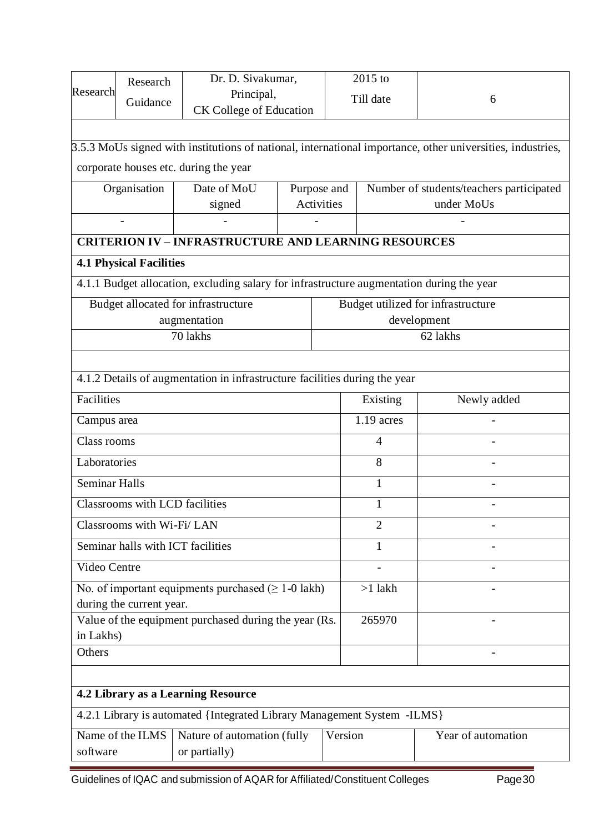| Research                                                                                                      | Research<br>Guidance              | Dr. D. Sivakumar,<br>Principal,<br><b>CK College of Education</b>                         | 2015 to<br>Till date<br>6<br>3.5.3 MoUs signed with institutions of national, international importance, other universities, industries, |              |                |                                                        |  |  |
|---------------------------------------------------------------------------------------------------------------|-----------------------------------|-------------------------------------------------------------------------------------------|-----------------------------------------------------------------------------------------------------------------------------------------|--------------|----------------|--------------------------------------------------------|--|--|
|                                                                                                               |                                   | corporate houses etc. during the year                                                     |                                                                                                                                         |              |                |                                                        |  |  |
|                                                                                                               | Organisation                      | Date of MoU<br>signed                                                                     | Purpose and<br><b>Activities</b>                                                                                                        |              |                | Number of students/teachers participated<br>under MoUs |  |  |
| <b>CRITERION IV - INFRASTRUCTURE AND LEARNING RESOURCES</b>                                                   |                                   |                                                                                           |                                                                                                                                         |              |                |                                                        |  |  |
|                                                                                                               | <b>4.1 Physical Facilities</b>    |                                                                                           |                                                                                                                                         |              |                |                                                        |  |  |
|                                                                                                               |                                   | 4.1.1 Budget allocation, excluding salary for infrastructure augmentation during the year |                                                                                                                                         |              |                |                                                        |  |  |
|                                                                                                               |                                   | Budget allocated for infrastructure                                                       |                                                                                                                                         |              |                | Budget utilized for infrastructure                     |  |  |
|                                                                                                               |                                   | augmentation                                                                              |                                                                                                                                         |              |                | development                                            |  |  |
|                                                                                                               |                                   | 70 lakhs                                                                                  |                                                                                                                                         |              |                | 62 lakhs                                               |  |  |
|                                                                                                               |                                   |                                                                                           |                                                                                                                                         |              |                |                                                        |  |  |
| 4.1.2 Details of augmentation in infrastructure facilities during the year                                    |                                   |                                                                                           |                                                                                                                                         |              |                |                                                        |  |  |
| Facilities                                                                                                    |                                   |                                                                                           |                                                                                                                                         |              | Existing       | Newly added                                            |  |  |
| Campus area                                                                                                   |                                   |                                                                                           |                                                                                                                                         | $1.19$ acres |                |                                                        |  |  |
| Class rooms                                                                                                   |                                   |                                                                                           |                                                                                                                                         |              | 4              |                                                        |  |  |
| Laboratories                                                                                                  |                                   |                                                                                           |                                                                                                                                         |              | 8              |                                                        |  |  |
| <b>Seminar Halls</b>                                                                                          |                                   |                                                                                           |                                                                                                                                         |              | $\mathbf{1}$   |                                                        |  |  |
|                                                                                                               | Classrooms with LCD facilities    |                                                                                           |                                                                                                                                         |              | $\mathbf{1}$   |                                                        |  |  |
|                                                                                                               | Classrooms with Wi-Fi/LAN         |                                                                                           |                                                                                                                                         |              | $\overline{2}$ |                                                        |  |  |
|                                                                                                               | Seminar halls with ICT facilities |                                                                                           |                                                                                                                                         |              | 1              |                                                        |  |  |
| Video Centre                                                                                                  |                                   |                                                                                           |                                                                                                                                         |              |                |                                                        |  |  |
|                                                                                                               | during the current year.          | No. of important equipments purchased $( \geq 1-0$ lakh)                                  |                                                                                                                                         |              | $>1$ lakh      |                                                        |  |  |
| in Lakhs)                                                                                                     |                                   | Value of the equipment purchased during the year (Rs.                                     |                                                                                                                                         |              | 265970         |                                                        |  |  |
| Others                                                                                                        |                                   |                                                                                           |                                                                                                                                         |              |                |                                                        |  |  |
|                                                                                                               |                                   |                                                                                           |                                                                                                                                         |              |                |                                                        |  |  |
| 4.2 Library as a Learning Resource                                                                            |                                   |                                                                                           |                                                                                                                                         |              |                |                                                        |  |  |
|                                                                                                               |                                   | 4.2.1 Library is automated {Integrated Library Management System -ILMS}                   |                                                                                                                                         |              |                |                                                        |  |  |
| Name of the ILMS<br>Nature of automation (fully<br>Version<br>Year of automation<br>software<br>or partially) |                                   |                                                                                           |                                                                                                                                         |              |                |                                                        |  |  |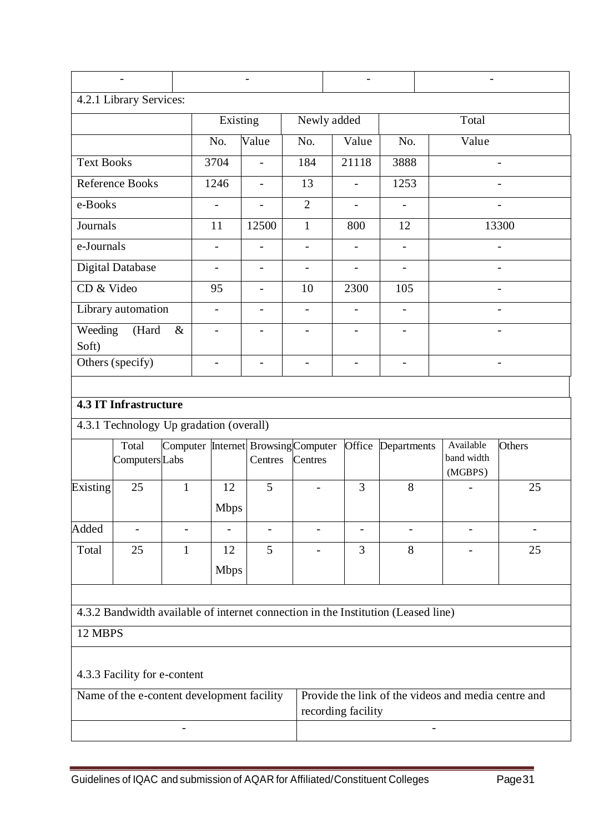|                                                                  | 4.2.1 Library Services:                 |                |                          |                                                |                          |                                                                                   |                          |                                                     |                          |
|------------------------------------------------------------------|-----------------------------------------|----------------|--------------------------|------------------------------------------------|--------------------------|-----------------------------------------------------------------------------------|--------------------------|-----------------------------------------------------|--------------------------|
|                                                                  |                                         |                | Existing                 |                                                |                          | Newly added                                                                       |                          | Total                                               |                          |
|                                                                  |                                         |                | No.                      | Value                                          | No.                      | Value                                                                             | No.                      | Value                                               |                          |
| <b>Text Books</b>                                                |                                         |                | 3704                     |                                                | 184                      | 21118                                                                             | 3888                     |                                                     |                          |
|                                                                  | <b>Reference Books</b>                  |                | 1246                     | $\overline{\phantom{a}}$                       | 13                       | $\blacksquare$                                                                    | 1253                     |                                                     |                          |
| e-Books                                                          |                                         |                |                          |                                                | $\overline{2}$           |                                                                                   |                          |                                                     |                          |
| Journals                                                         |                                         |                | 11                       | 12500                                          | $\mathbf{1}$             | 800                                                                               | 12                       |                                                     | 13300                    |
| e-Journals                                                       |                                         |                |                          | $\overline{a}$                                 | $\overline{a}$           |                                                                                   |                          |                                                     |                          |
|                                                                  | <b>Digital Database</b>                 |                | $\overline{\phantom{a}}$ | $\qquad \qquad -$                              | $\overline{a}$           | $\overline{a}$                                                                    | $\overline{\phantom{0}}$ |                                                     |                          |
| CD & Video                                                       |                                         |                | 95                       | $\overline{\phantom{0}}$                       | 10                       | 2300                                                                              | 105                      |                                                     |                          |
|                                                                  | Library automation                      |                | $\overline{\phantom{0}}$ | $\qquad \qquad -$                              | $\blacksquare$           | $\overline{\phantom{a}}$                                                          | $\blacksquare$           |                                                     | $\overline{\phantom{0}}$ |
| Weeding<br>Soft)                                                 | (Hard                                   | &              |                          |                                                |                          |                                                                                   |                          |                                                     |                          |
|                                                                  | Others (specify)                        |                | $\overline{\phantom{a}}$ | $\qquad \qquad -$                              | $\qquad \qquad -$        | $\overline{\phantom{a}}$                                                          | $\overline{\phantom{0}}$ |                                                     |                          |
|                                                                  |                                         |                |                          |                                                |                          |                                                                                   |                          |                                                     |                          |
|                                                                  | <b>4.3 IT Infrastructure</b>            |                |                          |                                                |                          |                                                                                   |                          |                                                     |                          |
|                                                                  | 4.3.1 Technology Up gradation (overall) |                |                          |                                                |                          |                                                                                   |                          |                                                     |                          |
|                                                                  | Total<br>Computers Labs                 |                |                          | Computer Internet Browsing Computer<br>Centres | Centres                  |                                                                                   | Office Departments       | Available<br>band width<br>(MGBPS)                  | Others                   |
| Existing                                                         | 25                                      | $\mathbf{1}$   | 12                       | 5                                              | $\overline{\phantom{a}}$ | 3                                                                                 | 8                        |                                                     | 25                       |
|                                                                  |                                         |                | <b>Mbps</b>              |                                                |                          |                                                                                   |                          |                                                     |                          |
| Added                                                            | $\overline{a}$                          | $\overline{a}$ | $\overline{\phantom{0}}$ | $\overline{\phantom{0}}$                       | $\overline{a}$           | $\overline{\phantom{a}}$                                                          |                          |                                                     |                          |
| Total                                                            | 25                                      | 1              | 12<br><b>Mbps</b>        | 5                                              |                          | 3                                                                                 | 8                        |                                                     | 25                       |
|                                                                  |                                         |                |                          |                                                |                          |                                                                                   |                          |                                                     |                          |
|                                                                  |                                         |                |                          |                                                |                          | 4.3.2 Bandwidth available of internet connection in the Institution (Leased line) |                          |                                                     |                          |
|                                                                  | 12 MBPS                                 |                |                          |                                                |                          |                                                                                   |                          |                                                     |                          |
|                                                                  | 4.3.3 Facility for e-content            |                |                          |                                                |                          |                                                                                   |                          |                                                     |                          |
| Name of the e-content development facility<br>recording facility |                                         |                |                          |                                                |                          |                                                                                   |                          | Provide the link of the videos and media centre and |                          |
|                                                                  |                                         |                |                          |                                                |                          |                                                                                   |                          |                                                     |                          |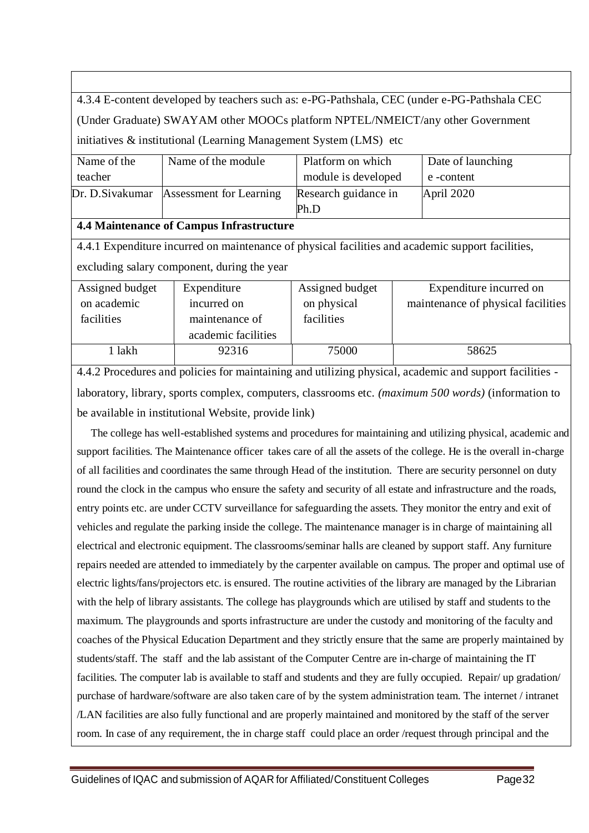4.3.4 E-content developed by teachers such as: e-PG-Pathshala, CEC (under e-PG-Pathshala CEC (Under Graduate) SWAYAM other MOOCs platform NPTEL/NMEICT/any other Government initiatives & institutional (Learning Management System (LMS) etc

| Name of the | Name of the module                       | Platform on which    | Date of launching |
|-------------|------------------------------------------|----------------------|-------------------|
| teacher     |                                          | module is developed  | e -content        |
|             | Dr. D. Sivakumar Assessment for Learning | Research guidance in | April 2020        |
|             |                                          | Ph.D                 |                   |

#### **4.4 Maintenance of Campus Infrastructure**

4.4.1 Expenditure incurred on maintenance of physical facilities and academic support facilities, excluding salary component, during the year

| Assigned budget | Expenditure         | Assigned budget | Expenditure incurred on            |
|-----------------|---------------------|-----------------|------------------------------------|
| on academic     | incurred on         | on physical     | maintenance of physical facilities |
| facilities      | maintenance of      | facilities      |                                    |
|                 | academic facilities |                 |                                    |
| 1 lakh          | 92316               | 75000           | 58625                              |

4.4.2 Procedures and policies for maintaining and utilizing physical, academic and support facilities laboratory, library, sports complex, computers, classrooms etc. *(maximum 500 words)* (information to be available in institutional Website, provide link)

 The college has well-established systems and procedures for maintaining and utilizing physical, academic and support facilities. The Maintenance officer takes care of all the assets of the college. He is the overall in-charge of all facilities and coordinates the same through Head of the institution. There are security personnel on duty round the clock in the campus who ensure the safety and security of all estate and infrastructure and the roads, entry points etc. are under CCTV surveillance for safeguarding the assets. They monitor the entry and exit of vehicles and regulate the parking inside the college. The maintenance manager is in charge of maintaining all electrical and electronic equipment. The classrooms/seminar halls are cleaned by support staff. Any furniture repairs needed are attended to immediately by the carpenter available on campus. The proper and optimal use of electric lights/fans/projectors etc. is ensured. The routine activities of the library are managed by the Librarian with the help of library assistants. The college has playgrounds which are utilised by staff and students to the maximum. The playgrounds and sports infrastructure are under the custody and monitoring of the faculty and coaches of the Physical Education Department and they strictly ensure that the same are properly maintained by students/staff. The staff and the lab assistant of the Computer Centre are in-charge of maintaining the IT facilities. The computer lab is available to staff and students and they are fully occupied. Repair/ up gradation/ purchase of hardware/software are also taken care of by the system administration team. The internet / intranet /LAN facilities are also fully functional and are properly maintained and monitored by the staff of the server room. In case of any requirement, the in charge staff could place an order /request through principal and the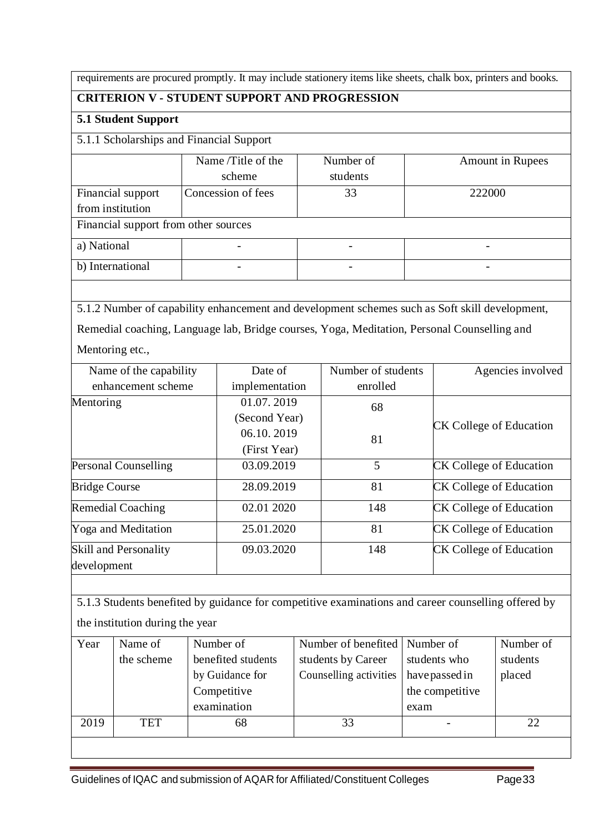requirements are procured promptly. It may include stationery items like sheets, chalk box, printers and books.

### **CRITERION V - STUDENT SUPPORT AND PROGRESSION**

#### **5.1 Student Support**

5.1.1 Scholarships and Financial Support

|                   | Name/Title of the                    | Number of | <b>Amount in Rupees</b> |  |  |  |  |  |  |
|-------------------|--------------------------------------|-----------|-------------------------|--|--|--|--|--|--|
|                   | scheme                               | students  |                         |  |  |  |  |  |  |
| Financial support | Concession of fees                   | 33        | 222000                  |  |  |  |  |  |  |
| from institution  |                                      |           |                         |  |  |  |  |  |  |
|                   | Financial support from other sources |           |                         |  |  |  |  |  |  |
| a) National       |                                      |           |                         |  |  |  |  |  |  |
| b) International  |                                      |           | -                       |  |  |  |  |  |  |

5.1.2 Number of capability enhancement and development schemes such as Soft skill development, Remedial coaching, Language lab, Bridge courses, Yoga, Meditation, Personal Counselling and

Mentoring etc.,

| Name of the capability       | Date of        | Number of students | Agencies involved              |  |
|------------------------------|----------------|--------------------|--------------------------------|--|
| enhancement scheme           | implementation | enrolled           |                                |  |
| Mentoring                    | 01.07.2019     | 68                 |                                |  |
|                              | (Second Year)  |                    |                                |  |
|                              | 06.10.2019     | 81                 | <b>CK College of Education</b> |  |
|                              | (First Year)   |                    |                                |  |
| Personal Counselling         | 03.09.2019     | 5                  | <b>CK College of Education</b> |  |
| <b>Bridge Course</b>         | 28.09.2019     | 81                 | <b>CK College of Education</b> |  |
| <b>Remedial Coaching</b>     | 02.01 2020     | 148                | <b>CK College of Education</b> |  |
| <b>Yoga and Meditation</b>   | 25.01.2020     | 81                 | <b>CK College of Education</b> |  |
| <b>Skill and Personality</b> | 09.03.2020     | 148                | <b>CK College of Education</b> |  |
| development                  |                |                    |                                |  |

5.1.3 Students benefited by guidance for competitive examinations and career counselling offered by the institution during the year

| Year | Name of    | Number of          | Number of benefited   Number of |                 | Number of |
|------|------------|--------------------|---------------------------------|-----------------|-----------|
|      | the scheme | benefited students | students by Career              | students who    | students  |
|      |            | by Guidance for    | Counselling activities          | have passed in  | placed    |
|      |            | Competitive        |                                 | the competitive |           |
|      |            | examination        |                                 | exam            |           |
| 2019 | TET        | 68                 | 33                              |                 | 22        |
|      |            |                    |                                 |                 |           |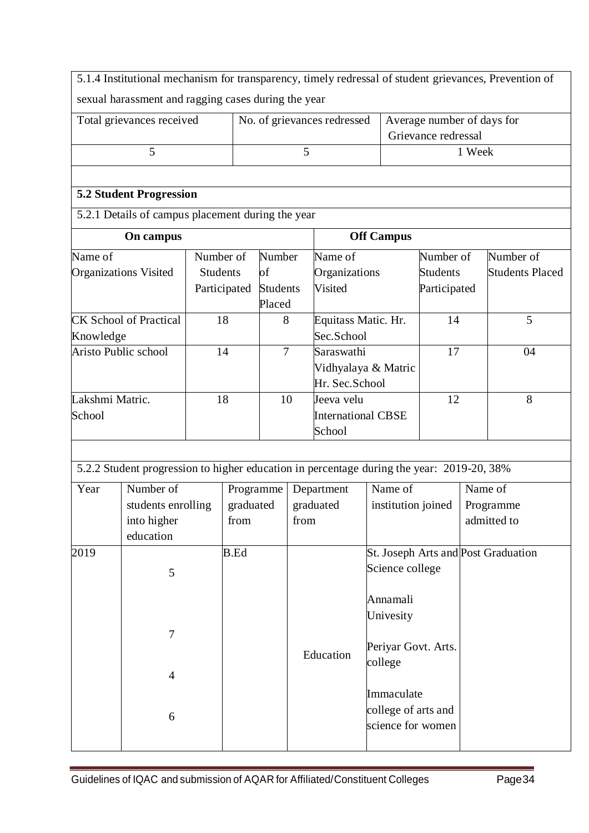5.1.4 Institutional mechanism for transparency, timely redressal of student grievances, Prevention of sexual harassment and ragging cases during the year

| Total grievances received | No. of grievances redressed   Average number of days for |                     |  |  |  |
|---------------------------|----------------------------------------------------------|---------------------|--|--|--|
|                           |                                                          | Grievance redressal |  |  |  |
|                           |                                                          | . Week              |  |  |  |

### **5.2 Student Progression**

5.2.1 Details of campus placement during the year

| On campus                     |                 |                 | <b>Off Campus</b>         |                 |                 |  |
|-------------------------------|-----------------|-----------------|---------------------------|-----------------|-----------------|--|
| Name of                       | Number of       | Number          | Name of                   | Number of       | Number of       |  |
| <b>Organizations Visited</b>  | <b>Students</b> | of              | Organizations             | <b>Students</b> | Students Placed |  |
|                               | Participated    | <b>Students</b> | Visited                   | Participated    |                 |  |
|                               |                 | Placed          |                           |                 |                 |  |
| <b>CK School of Practical</b> | 18              | 8               | Equitass Matic. Hr.       | 14              | 5               |  |
| Knowledge                     |                 |                 | Sec.School                |                 |                 |  |
| Aristo Public school          | 14              | 7               | Saraswathi                | 17              | 04              |  |
|                               |                 |                 | Vidhyalaya & Matric       |                 |                 |  |
|                               |                 |                 | Hr. Sec. School           |                 |                 |  |
| Lakshmi Matric.               | 18              | 10              | Jeeva velu                | 12              | 8               |  |
| School                        |                 |                 | <b>International CBSE</b> |                 |                 |  |
|                               |                 |                 | School                    |                 |                 |  |

| 5.2.2 Student progression to higher education in percentage during the year: 2019-20, 38% |  |
|-------------------------------------------------------------------------------------------|--|

| Year | Number of<br>students enrolling<br>into higher | Programme<br>graduated<br>from | Department<br>graduated<br>from | Name of<br>institution joined                          | Name of<br>Programme<br>admitted to |
|------|------------------------------------------------|--------------------------------|---------------------------------|--------------------------------------------------------|-------------------------------------|
| 2019 | education                                      | B.Ed                           |                                 | St. Joseph Arts and Post Graduation<br>Science college |                                     |
|      | 5<br>7                                         |                                |                                 | Annamali<br>Univesity<br>Periyar Govt. Arts.           |                                     |
|      | $\overline{4}$                                 |                                | Education                       | college                                                |                                     |
|      | 6                                              |                                |                                 | Immaculate<br>college of arts and<br>science for women |                                     |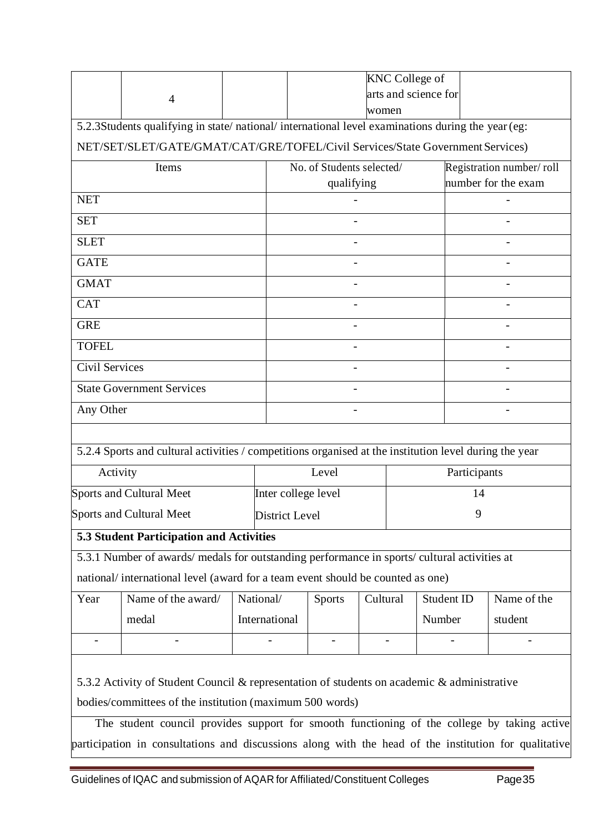|                                                                                                       |                                                                                                        |                           |                       |                               |          |                          | <b>KNC College of</b> |  |             |  |
|-------------------------------------------------------------------------------------------------------|--------------------------------------------------------------------------------------------------------|---------------------------|-----------------------|-------------------------------|----------|--------------------------|-----------------------|--|-------------|--|
|                                                                                                       | $\overline{4}$                                                                                         |                           |                       | arts and science for<br>women |          |                          |                       |  |             |  |
|                                                                                                       | 5.2.3Students qualifying in state/national/international level examinations during the year (eg:       |                           |                       |                               |          |                          |                       |  |             |  |
| NET/SET/SLET/GATE/GMAT/CAT/GRE/TOFEL/Civil Services/State Government Services)                        |                                                                                                        |                           |                       |                               |          |                          |                       |  |             |  |
|                                                                                                       | Items                                                                                                  | No. of Students selected/ |                       |                               |          | Registration number/roll |                       |  |             |  |
|                                                                                                       |                                                                                                        |                           | qualifying            |                               |          |                          | number for the exam   |  |             |  |
| <b>NET</b>                                                                                            |                                                                                                        |                           |                       |                               |          |                          |                       |  |             |  |
| <b>SET</b>                                                                                            |                                                                                                        |                           |                       |                               |          |                          |                       |  |             |  |
| <b>SLET</b>                                                                                           |                                                                                                        |                           |                       |                               |          |                          |                       |  |             |  |
| <b>GATE</b>                                                                                           |                                                                                                        |                           |                       |                               |          |                          |                       |  |             |  |
| <b>GMAT</b>                                                                                           |                                                                                                        |                           |                       |                               |          |                          |                       |  |             |  |
| <b>CAT</b>                                                                                            |                                                                                                        |                           |                       |                               |          |                          |                       |  |             |  |
| <b>GRE</b>                                                                                            |                                                                                                        |                           |                       |                               |          |                          |                       |  |             |  |
| <b>TOFEL</b>                                                                                          |                                                                                                        |                           |                       |                               |          |                          |                       |  |             |  |
| Civil Services                                                                                        |                                                                                                        |                           |                       |                               |          |                          |                       |  |             |  |
|                                                                                                       | <b>State Government Services</b>                                                                       |                           |                       |                               |          |                          |                       |  |             |  |
| Any Other                                                                                             |                                                                                                        |                           |                       |                               |          |                          |                       |  |             |  |
|                                                                                                       |                                                                                                        |                           |                       |                               |          |                          |                       |  |             |  |
|                                                                                                       | 5.2.4 Sports and cultural activities / competitions organised at the institution level during the year |                           |                       |                               |          |                          |                       |  |             |  |
| Activity                                                                                              |                                                                                                        |                           | Level                 |                               |          |                          | Participants          |  |             |  |
|                                                                                                       | Sports and Cultural Meet                                                                               |                           | Inter college level   |                               |          |                          | 14                    |  |             |  |
|                                                                                                       | <b>Sports and Cultural Meet</b>                                                                        |                           | <b>District Level</b> |                               |          |                          | 9                     |  |             |  |
|                                                                                                       | 5.3 Student Participation and Activities                                                               |                           |                       |                               |          |                          |                       |  |             |  |
|                                                                                                       | 5.3.1 Number of awards/ medals for outstanding performance in sports/ cultural activities at           |                           |                       |                               |          |                          |                       |  |             |  |
|                                                                                                       | national/international level (award for a team event should be counted as one)                         |                           |                       |                               |          |                          |                       |  |             |  |
| Year                                                                                                  | Name of the award/                                                                                     | National/                 | <b>Sports</b>         |                               | Cultural |                          | Student ID            |  | Name of the |  |
|                                                                                                       | medal                                                                                                  | International             |                       |                               |          |                          | Number                |  | student     |  |
|                                                                                                       |                                                                                                        |                           |                       |                               |          |                          |                       |  |             |  |
|                                                                                                       |                                                                                                        |                           |                       |                               |          |                          |                       |  |             |  |
| 5.3.2 Activity of Student Council & representation of students on academic & administrative           |                                                                                                        |                           |                       |                               |          |                          |                       |  |             |  |
| bodies/committees of the institution (maximum 500 words)                                              |                                                                                                        |                           |                       |                               |          |                          |                       |  |             |  |
|                                                                                                       | The student council provides support for smooth functioning of the college by taking active            |                           |                       |                               |          |                          |                       |  |             |  |
| participation in consultations and discussions along with the head of the institution for qualitative |                                                                                                        |                           |                       |                               |          |                          |                       |  |             |  |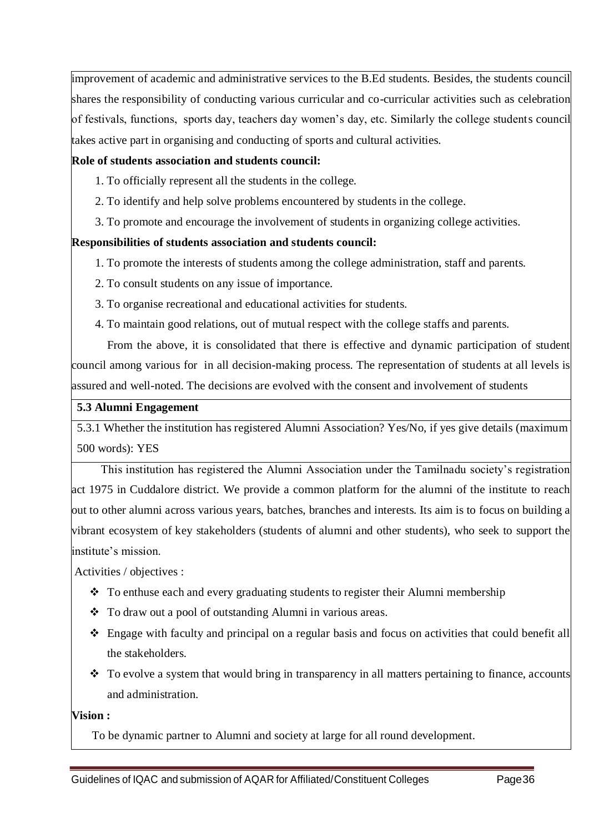improvement of academic and administrative services to the B.Ed students. Besides, the students council shares the responsibility of conducting various curricular and co-curricular activities such as celebration of festivals, functions, sports day, teachers day women's day, etc. Similarly the college students council takes active part in organising and conducting of sports and cultural activities.

### **Role of students association and students council:**

- 1. To officially represent all the students in the college.
- 2. To identify and help solve problems encountered by students in the college.
- 3. To promote and encourage the involvement of students in organizing college activities.

### **Responsibilities of students association and students council:**

- 1. To promote the interests of students among the college administration, staff and parents.
- 2. To consult students on any issue of importance.
- 3. To organise recreational and educational activities for students.
- 4. To maintain good relations, out of mutual respect with the college staffs and parents.

 From the above, it is consolidated that there is effective and dynamic participation of student council among various for in all decision-making process. The representation of students at all levels is assured and well-noted. The decisions are evolved with the consent and involvement of students

### **5.3 Alumni Engagement**

5.3.1 Whether the institution has registered Alumni Association? Yes/No, if yes give details (maximum 500 words): YES

 This institution has registered the Alumni Association under the Tamilnadu society's registration act 1975 in Cuddalore district. We provide a common platform for the alumni of the institute to reach out to other alumni across various years, batches, branches and interests. Its aim is to focus on building a vibrant ecosystem of key stakeholders (students of alumni and other students), who seek to support the institute's mission.

Activities / objectives :

- \* To enthuse each and every graduating students to register their Alumni membership
- To draw out a pool of outstanding Alumni in various areas.
- Engage with faculty and principal on a regular basis and focus on activities that could benefit all the stakeholders.
- $\bullet$  To evolve a system that would bring in transparency in all matters pertaining to finance, accounts and administration.

### **Vision :**

To be dynamic partner to Alumni and society at large for all round development.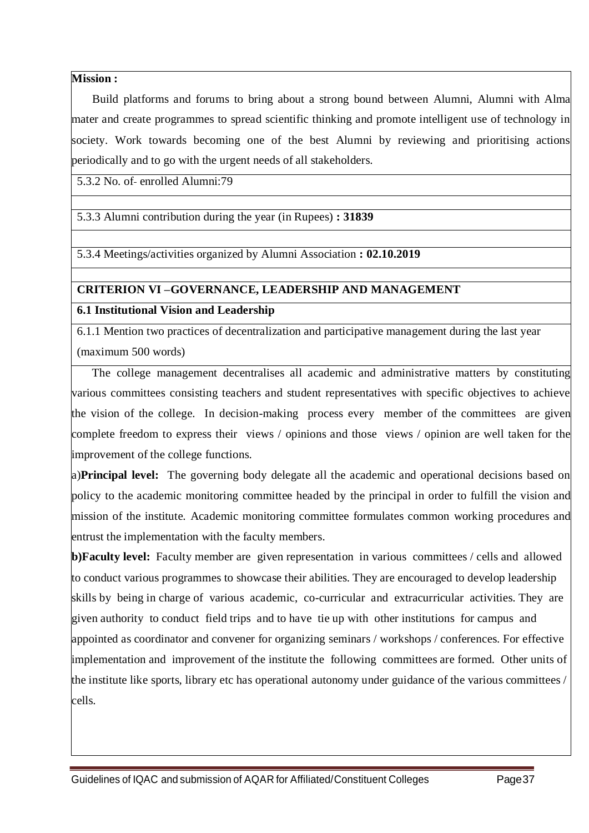### **Mission :**

 Build platforms and forums to bring about a strong bound between Alumni, Alumni with Alma mater and create programmes to spread scientific thinking and promote intelligent use of technology in society. Work towards becoming one of the best Alumni by reviewing and prioritising actions periodically and to go with the urgent needs of all stakeholders.

5.3.2 No. of enrolled Alumni:79

5.3.3 Alumni contribution during the year (in Rupees) **: 31839**

5.3.4 Meetings/activities organized by Alumni Association **: 02.10.2019**

### **CRITERION VI –GOVERNANCE, LEADERSHIP AND MANAGEMENT**

### **6.1 Institutional Vision and Leadership**

6.1.1 Mention two practices of decentralization and participative management during the last year (maximum 500 words)

 The college management decentralises all academic and administrative matters by constituting various committees consisting teachers and student representatives with specific objectives to achieve the vision of the college. In decision-making process every member of the committees are given complete freedom to express their views / opinions and those views / opinion are well taken for the improvement of the college functions.

a)**Principal level:** The governing body delegate all the academic and operational decisions based on policy to the academic monitoring committee headed by the principal in order to fulfill the vision and mission of the institute. Academic monitoring committee formulates common working procedures and entrust the implementation with the faculty members.

**b)Faculty level:** Faculty member are given representation in various committees / cells and allowed to conduct various programmes to showcase their abilities. They are encouraged to develop leadership skills by being in charge of various academic, co-curricular and extracurricular activities. They are given authority to conduct field trips and to have tie up with other institutions for campus and appointed as coordinator and convener for organizing seminars / workshops / conferences. For effective implementation and improvement of the institute the following committees are formed. Other units of the institute like sports, library etc has operational autonomy under guidance of the various committees / cells.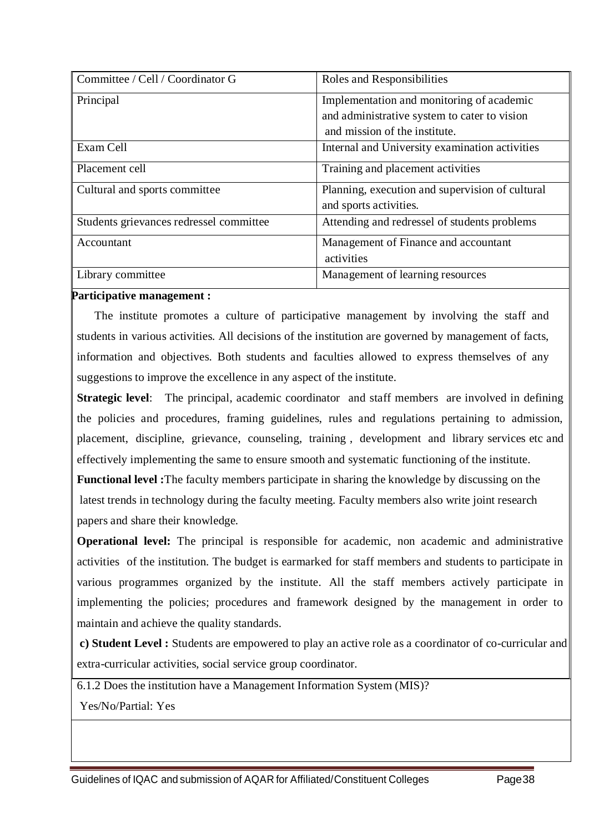| Committee / Cell / Coordinator G        | Roles and Responsibilities                      |
|-----------------------------------------|-------------------------------------------------|
| Principal                               | Implementation and monitoring of academic       |
|                                         | and administrative system to cater to vision    |
|                                         | and mission of the institute.                   |
| Exam Cell                               | Internal and University examination activities  |
| Placement cell                          | Training and placement activities               |
| Cultural and sports committee           | Planning, execution and supervision of cultural |
|                                         | and sports activities.                          |
| Students grievances redressel committee | Attending and redressel of students problems    |
| Accountant                              | Management of Finance and accountant            |
|                                         | activities                                      |
| Library committee                       | Management of learning resources                |

### **Participative management :**

 The institute promotes a culture of participative management by involving the staff and students in various activities. All decisions of the institution are governed by management of facts, information and objectives. Both students and faculties allowed to express themselves of any suggestions to improve the excellence in any aspect of the institute.

**Strategic level:** The principal, academic coordinator and staff members are involved in defining the policies and procedures, framing guidelines, rules and regulations pertaining to admission, placement, discipline, grievance, counseling, training , development and library services etc and effectively implementing the same to ensure smooth and systematic functioning of the institute.

**Functional level :**The faculty members participate in sharing the knowledge by discussing on the latest trends in technology during the faculty meeting. Faculty members also write joint research papers and share their knowledge.

**Operational level:** The principal is responsible for academic, non academic and administrative activities of the institution. The budget is earmarked for staff members and students to participate in various programmes organized by the institute. All the staff members actively participate in implementing the policies; procedures and framework designed by the management in order to maintain and achieve the quality standards.

**c) Student Level :** Students are empowered to play an active role as a coordinator of co-curricular and extra-curricular activities, social service group coordinator.

6.1.2 Does the institution have a Management Information System (MIS)?

Yes/No/Partial: Yes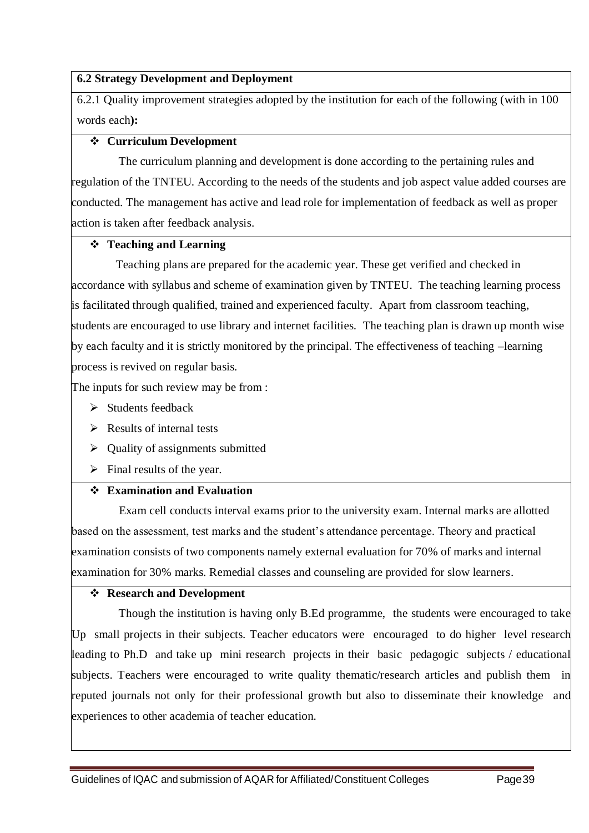### **6.2 Strategy Development and Deployment**

6.2.1 Quality improvement strategies adopted by the institution for each of the following (with in 100 words each**):**

### **Curriculum Development**

 The curriculum planning and development is done according to the pertaining rules and regulation of the TNTEU. According to the needs of the students and job aspect value added courses are conducted. The management has active and lead role for implementation of feedback as well as proper action is taken after feedback analysis.

### **Teaching and Learning**

 Teaching plans are prepared for the academic year. These get verified and checked in accordance with syllabus and scheme of examination given by TNTEU. The teaching learning process is facilitated through qualified, trained and experienced faculty. Apart from classroom teaching, students are encouraged to use library and internet facilities. The teaching plan is drawn up month wise by each faculty and it is strictly monitored by the principal. The effectiveness of teaching –learning process is revived on regular basis.

The inputs for such review may be from :

- $\triangleright$  Students feedback
- $\triangleright$  Results of internal tests
- $\triangleright$  Quality of assignments submitted
- $\triangleright$  Final results of the year.

### **Examination and Evaluation**

 Exam cell conducts interval exams prior to the university exam. Internal marks are allotted based on the assessment, test marks and the student's attendance percentage. Theory and practical examination consists of two components namely external evaluation for 70% of marks and internal examination for 30% marks. Remedial classes and counseling are provided for slow learners.

### **Research and Development**

 Though the institution is having only B.Ed programme, the students were encouraged to take Up small projects in their subjects. Teacher educators were encouraged to do higher level research leading to Ph.D and take up mini research projects in their basic pedagogic subjects / educational subjects. Teachers were encouraged to write quality thematic/research articles and publish them in reputed journals not only for their professional growth but also to disseminate their knowledge and experiences to other academia of teacher education.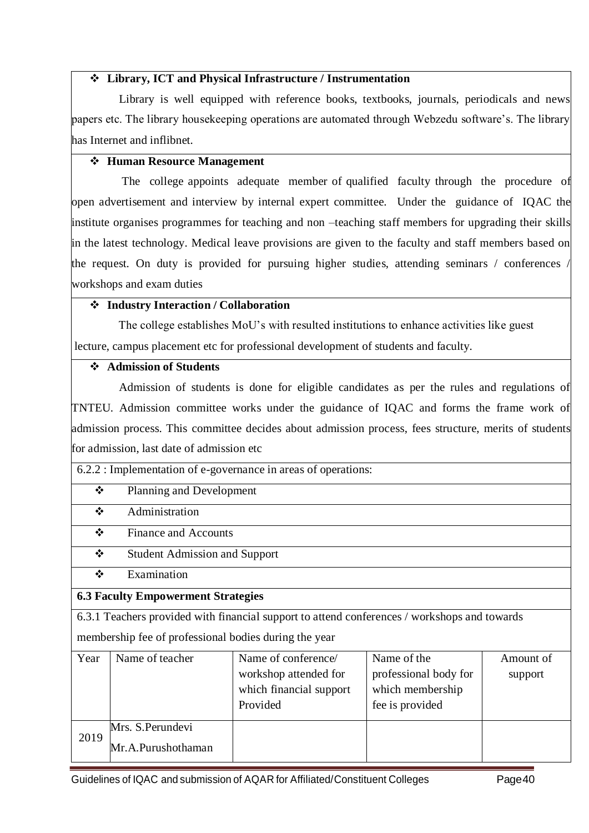### **Library, ICT and Physical Infrastructure / Instrumentation**

 Library is well equipped with reference books, textbooks, journals, periodicals and news papers etc. The library housekeeping operations are automated through Webzedu software's. The library has Internet and inflibnet.

### **Human Resource Management**

 The college appoints adequate member of qualified faculty through the procedure of open advertisement and interview by internal expert committee. Under the guidance of IQAC the institute organises programmes for teaching and non –teaching staff members for upgrading their skills in the latest technology. Medical leave provisions are given to the faculty and staff members based on the request. On duty is provided for pursuing higher studies, attending seminars / conferences / workshops and exam duties

### **Industry Interaction / Collaboration**

 The college establishes MoU's with resulted institutions to enhance activities like guest lecture, campus placement etc for professional development of students and faculty.

### **Admission of Students**

 Admission of students is done for eligible candidates as per the rules and regulations of TNTEU. Admission committee works under the guidance of IQAC and forms the frame work of admission process. This committee decides about admission process, fees structure, merits of students for admission, last date of admission etc

| 6.2.2 : Implementation of e-governance in areas of operations: |  |
|----------------------------------------------------------------|--|
|                                                                |  |

| ∗∡ |  | Planning and Development |
|----|--|--------------------------|
|----|--|--------------------------|

 $\triangle$  Administration

Finance and Accounts

- Student Admission and Support
- $\div$  Examination

### **6.3 Faculty Empowerment Strategies**

6.3.1 Teachers provided with financial support to attend conferences / workshops and towards membership fee of professional bodies during the year

| Year | Name of teacher                         | Name of conference/<br>workshop attended for<br>which financial support<br>Provided | Name of the<br>professional body for<br>which membership<br>fee is provided | Amount of<br>support |
|------|-----------------------------------------|-------------------------------------------------------------------------------------|-----------------------------------------------------------------------------|----------------------|
| 2019 | Mrs. S. Perundevi<br>Mr.A.Purushothaman |                                                                                     |                                                                             |                      |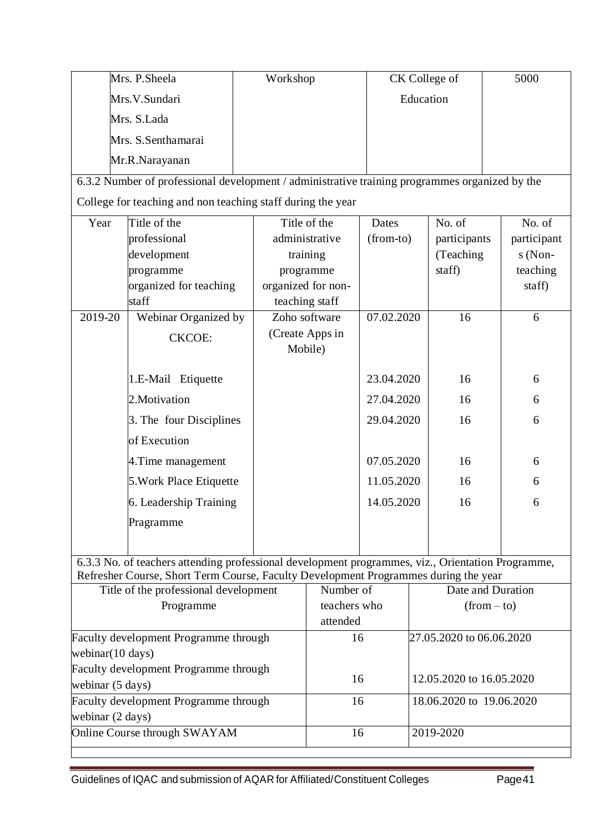|                                                                      | Mrs. P. Sheela                                                                                    |  | Workshop                   |            |           | CK College of            |  | 5000        |
|----------------------------------------------------------------------|---------------------------------------------------------------------------------------------------|--|----------------------------|------------|-----------|--------------------------|--|-------------|
|                                                                      | Mrs.V.Sundari                                                                                     |  |                            |            | Education |                          |  |             |
|                                                                      | Mrs. S.Lada                                                                                       |  |                            |            |           |                          |  |             |
|                                                                      | Mrs. S.Senthamarai                                                                                |  |                            |            |           |                          |  |             |
|                                                                      | Mr.R.Narayanan                                                                                    |  |                            |            |           |                          |  |             |
|                                                                      | 6.3.2 Number of professional development / administrative training programmes organized by the    |  |                            |            |           |                          |  |             |
|                                                                      | College for teaching and non teaching staff during the year                                       |  |                            |            |           |                          |  |             |
| Year                                                                 | Title of the                                                                                      |  | Title of the               | Dates      |           | No. of                   |  | No. of      |
|                                                                      | professional                                                                                      |  | administrative             | (from-to)  |           | participants             |  | participant |
|                                                                      | development                                                                                       |  | training                   |            |           | (Teaching                |  | $s(Non-$    |
|                                                                      | programme                                                                                         |  | programme                  |            |           | staff)                   |  | teaching    |
|                                                                      | organized for teaching                                                                            |  | organized for non-         |            |           |                          |  | staff)      |
|                                                                      | staff                                                                                             |  | teaching staff             |            |           |                          |  |             |
| 2019-20                                                              | Webinar Organized by                                                                              |  | Zoho software              | 07.02.2020 |           | 16                       |  | 6           |
|                                                                      | <b>CKCOE:</b>                                                                                     |  | (Create Apps in<br>Mobile) |            |           |                          |  |             |
|                                                                      | 1.E-Mail Etiquette                                                                                |  |                            | 23.04.2020 |           | 16                       |  | 6           |
|                                                                      | 2. Motivation                                                                                     |  | 27.04.2020                 |            |           | 16                       |  | 6           |
|                                                                      | 3. The four Disciplines                                                                           |  |                            | 29.04.2020 |           | 16                       |  | 6           |
|                                                                      | of Execution                                                                                      |  |                            |            |           |                          |  |             |
|                                                                      | 4. Time management                                                                                |  |                            | 07.05.2020 |           | 16                       |  | 6           |
|                                                                      | 5. Work Place Etiquette                                                                           |  |                            | 11.05.2020 |           | 16                       |  | 6           |
|                                                                      | 6. Leadership Training                                                                            |  |                            | 14.05.2020 |           | 16                       |  | 6           |
|                                                                      | Pragramme                                                                                         |  |                            |            |           |                          |  |             |
|                                                                      |                                                                                                   |  |                            |            |           |                          |  |             |
|                                                                      | 6.3.3 No. of teachers attending professional development programmes, viz., Orientation Programme, |  |                            |            |           |                          |  |             |
|                                                                      | Refresher Course, Short Term Course, Faculty Development Programmes during the year               |  |                            |            |           |                          |  |             |
|                                                                      | Title of the professional development                                                             |  | Number of                  |            |           | Date and Duration        |  |             |
|                                                                      | Programme                                                                                         |  | teachers who<br>attended   |            |           | $(from - to)$            |  |             |
|                                                                      |                                                                                                   |  | 16                         |            |           | 27.05.2020 to 06.06.2020 |  |             |
| Faculty development Programme through<br>webinar $(10 \text{ days})$ |                                                                                                   |  |                            |            |           |                          |  |             |
| Faculty development Programme through                                |                                                                                                   |  |                            |            |           |                          |  |             |
| webinar (5 days)                                                     |                                                                                                   |  | 16                         |            |           | 12.05.2020 to 16.05.2020 |  |             |
| Faculty development Programme through                                |                                                                                                   |  | 16                         |            |           | 18.06.2020 to 19.06.2020 |  |             |
| webinar (2 days)                                                     |                                                                                                   |  |                            |            |           |                          |  |             |
|                                                                      | Online Course through SWAYAM                                                                      |  | 16                         |            |           | 2019-2020                |  |             |
|                                                                      |                                                                                                   |  |                            |            |           |                          |  |             |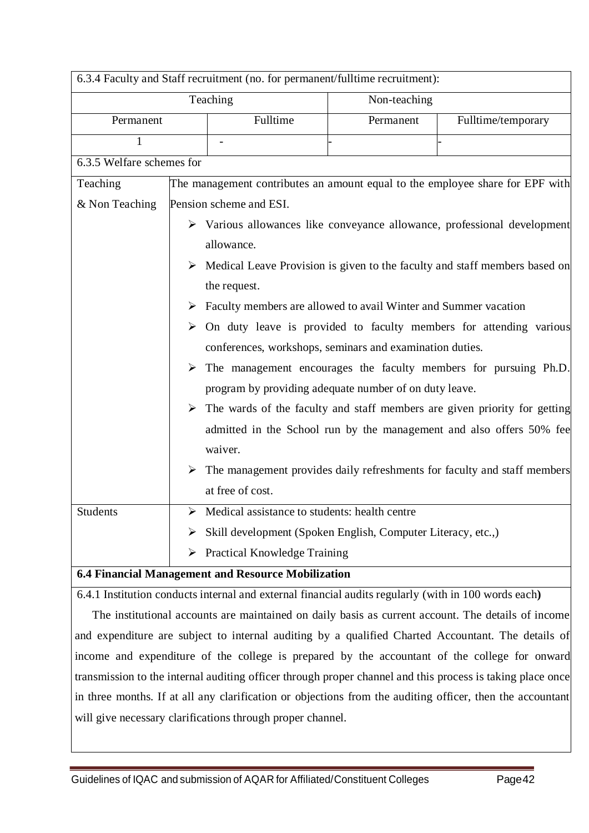| 6.3.4 Faculty and Staff recruitment (no. for permanent/fulltime recruitment): |          |                                                                                  |              |                                                                                             |  |
|-------------------------------------------------------------------------------|----------|----------------------------------------------------------------------------------|--------------|---------------------------------------------------------------------------------------------|--|
|                                                                               |          | Teaching                                                                         | Non-teaching |                                                                                             |  |
| Permanent                                                                     | Fulltime |                                                                                  | Permanent    | Fulltime/temporary                                                                          |  |
| $\mathbf{1}$                                                                  |          |                                                                                  |              |                                                                                             |  |
| 6.3.5 Welfare schemes for                                                     |          |                                                                                  |              |                                                                                             |  |
| Teaching                                                                      |          |                                                                                  |              | The management contributes an amount equal to the employee share for EPF with               |  |
| & Non Teaching                                                                |          | Pension scheme and ESI.                                                          |              |                                                                                             |  |
|                                                                               |          |                                                                                  |              | > Various allowances like conveyance allowance, professional development                    |  |
|                                                                               |          | allowance.                                                                       |              |                                                                                             |  |
|                                                                               |          |                                                                                  |              | $\triangleright$ Medical Leave Provision is given to the faculty and staff members based on |  |
|                                                                               |          | the request.                                                                     |              |                                                                                             |  |
|                                                                               |          | $\triangleright$ Faculty members are allowed to avail Winter and Summer vacation |              |                                                                                             |  |
|                                                                               |          |                                                                                  |              | $\triangleright$ On duty leave is provided to faculty members for attending various         |  |
|                                                                               |          | conferences, workshops, seminars and examination duties.                         |              |                                                                                             |  |
|                                                                               |          |                                                                                  |              | $\triangleright$ The management encourages the faculty members for pursuing Ph.D.           |  |
|                                                                               |          | program by providing adequate number of on duty leave.                           |              |                                                                                             |  |
|                                                                               |          |                                                                                  |              | $\triangleright$ The wards of the faculty and staff members are given priority for getting  |  |
|                                                                               |          |                                                                                  |              | admitted in the School run by the management and also offers 50% fee                        |  |
|                                                                               |          | waiver.                                                                          |              |                                                                                             |  |
|                                                                               |          |                                                                                  |              | $\triangleright$ The management provides daily refreshments for faculty and staff members   |  |
|                                                                               |          | at free of cost.                                                                 |              |                                                                                             |  |
| <b>Students</b>                                                               | ➤        | Medical assistance to students: health centre                                    |              |                                                                                             |  |
|                                                                               | ➤        | Skill development (Spoken English, Computer Literacy, etc.,)                     |              |                                                                                             |  |
|                                                                               |          | $\triangleright$ Practical Knowledge Training                                    |              |                                                                                             |  |
| 6.4 Financial Management and Resource Mobilization                            |          |                                                                                  |              |                                                                                             |  |

6.4.1 Institution conducts internal and external financial audits regularly (with in 100 words each**)**

 The institutional accounts are maintained on daily basis as current account. The details of income and expenditure are subject to internal auditing by a qualified Charted Accountant. The details of income and expenditure of the college is prepared by the accountant of the college for onward transmission to the internal auditing officer through proper channel and this process is taking place once in three months. If at all any clarification or objections from the auditing officer, then the accountant will give necessary clarifications through proper channel.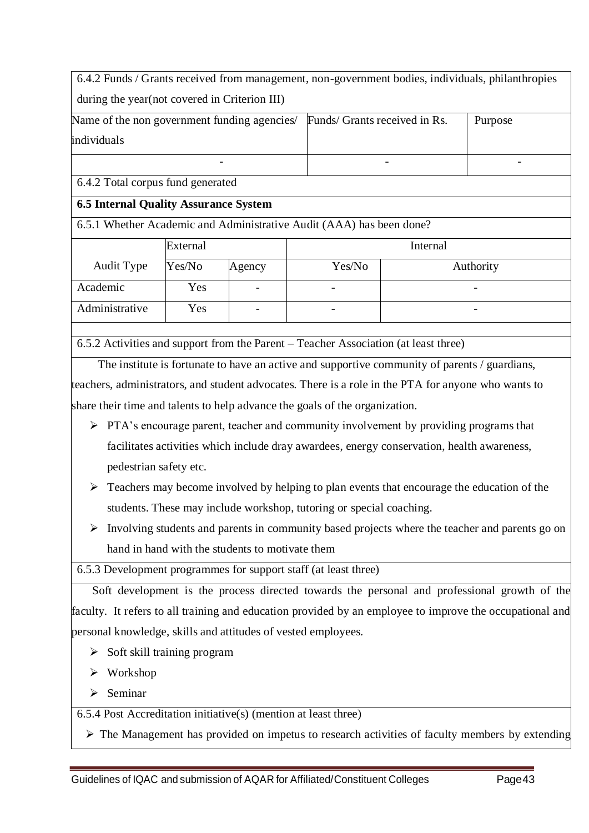| 6.4.2 Funds / Grants received from management, non-government bodies, individuals, philanthropies |        |                                                                      |                               |  |           |
|---------------------------------------------------------------------------------------------------|--------|----------------------------------------------------------------------|-------------------------------|--|-----------|
| during the year (not covered in Criterion III)                                                    |        |                                                                      |                               |  |           |
| Name of the non government funding agencies/                                                      |        |                                                                      | Funds/ Grants received in Rs. |  | Purpose   |
| individuals                                                                                       |        |                                                                      |                               |  |           |
|                                                                                                   |        |                                                                      |                               |  |           |
| 6.4.2 Total corpus fund generated                                                                 |        |                                                                      |                               |  |           |
| <b>6.5 Internal Quality Assurance System</b>                                                      |        |                                                                      |                               |  |           |
|                                                                                                   |        | 6.5.1 Whether Academic and Administrative Audit (AAA) has been done? |                               |  |           |
| External                                                                                          |        |                                                                      | Internal                      |  |           |
| Audit Type                                                                                        | Yes/No | Agency                                                               | Yes/No                        |  | Authority |
| Academic                                                                                          | Yes    |                                                                      |                               |  |           |
| Administrative                                                                                    | Yes    |                                                                      |                               |  |           |

6.5.2 Activities and support from the Parent – Teacher Association (at least three)

 The institute is fortunate to have an active and supportive community of parents / guardians, teachers, administrators, and student advocates. There is a role in the PTA for anyone who wants to share their time and talents to help advance the goals of the organization.

- PTA's encourage parent, teacher and community involvement by providing programs that facilitates activities which include dray awardees, energy conservation, health awareness, pedestrian safety etc.
- $\triangleright$  Teachers may become involved by helping to plan events that encourage the education of the students. These may include workshop, tutoring or special coaching.
- $\triangleright$  Involving students and parents in community based projects where the teacher and parents go on hand in hand with the students to motivate them

6.5.3 Development programmes for support staff (at least three)

 Soft development is the process directed towards the personal and professional growth of the faculty. It refers to all training and education provided by an employee to improve the occupational and personal knowledge, skills and attitudes of vested employees.

- $\triangleright$  Soft skill training program
- Workshop
- $\triangleright$  Seminar

6.5.4 Post Accreditation initiative(s) (mention at least three)

 $\triangleright$  The Management has provided on impetus to research activities of faculty members by extending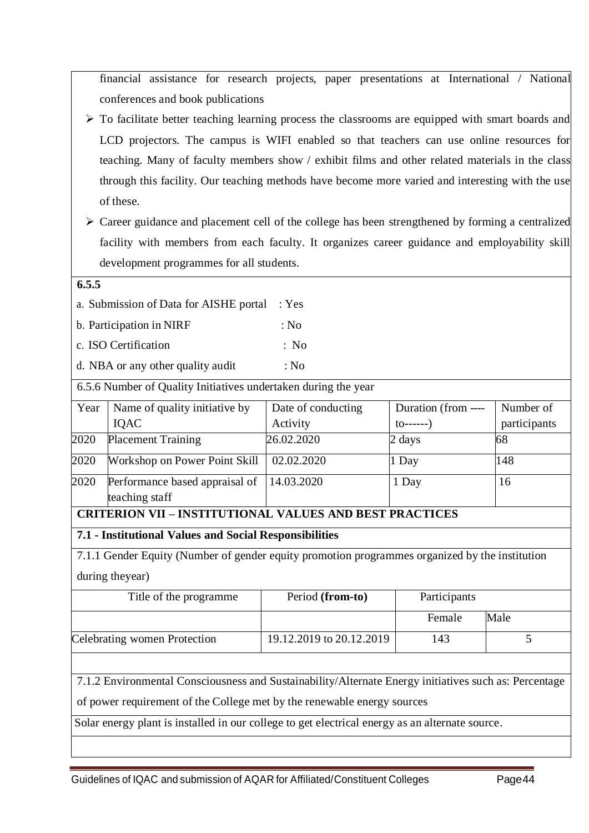financial assistance for research projects, paper presentations at International / National conferences and book publications

- $\triangleright$  To facilitate better teaching learning process the classrooms are equipped with smart boards and LCD projectors. The campus is WIFI enabled so that teachers can use online resources for teaching. Many of faculty members show / exhibit films and other related materials in the class through this facility. Our teaching methods have become more varied and interesting with the use of these.
- $\triangleright$  Career guidance and placement cell of the college has been strengthened by forming a centralized facility with members from each faculty. It organizes career guidance and employability skill development programmes for all students.

### **6.5.5**

a. Submission of Data for AISHE portal : Yes

- b. Participation in NIRF : No
- c. ISO Certification : No
- d. NBA or any other quality audit : No

6.5.6 Number of Quality Initiatives undertaken during the year

| Year | Name of quality initiative by                    | Date of conducting | Duration (from ---- | Number of    |
|------|--------------------------------------------------|--------------------|---------------------|--------------|
|      | <b>IOAC</b>                                      | Activity           | $\{0----- \}$       | participants |
| 2020 | <b>Placement Training</b>                        | 26.02.2020         | 2 days              | 68           |
| 2020 | Workshop on Power Point Skill                    | 02.02.2020         | $1$ Day             | 148          |
| 2020 | Performance based appraisal of<br>teaching staff | 14.03.2020         | 1 Day               | 16           |

# **CRITERION VII – INSTITUTIONAL VALUES AND BEST PRACTICES**

**7.1 - Institutional Values and Social Responsibilities**

7.1.1 Gender Equity (Number of gender equity promotion programmes organized by the institution during theyear)

| Title of the programme       | Period (from-to)         | Participants |      |
|------------------------------|--------------------------|--------------|------|
|                              |                          | Female       | Male |
| Celebrating women Protection | 19.12.2019 to 20.12.2019 | 143          |      |

7.1.2 Environmental Consciousness and Sustainability/Alternate Energy initiatives such as: Percentage

of power requirement of the College met by the renewable energy sources

Solar energy plant is installed in our college to get electrical energy as an alternate source.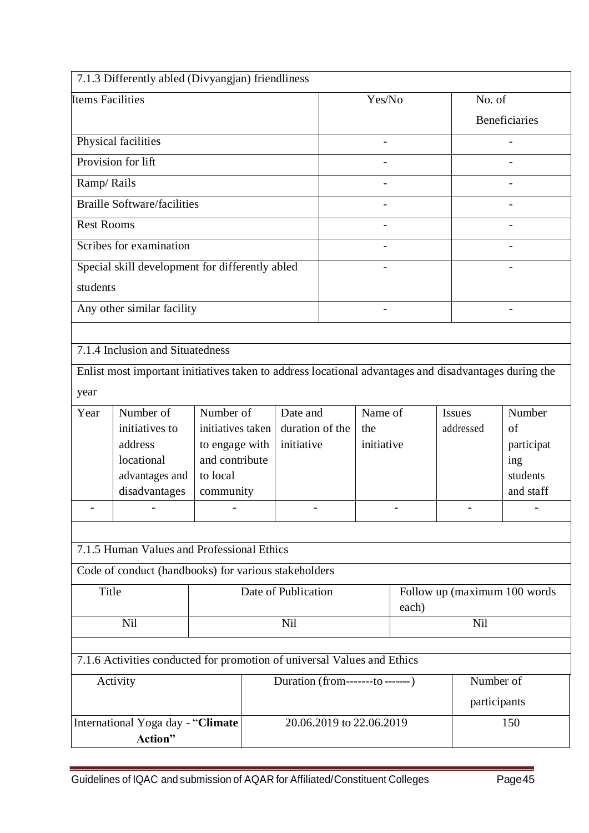|                         | 7.1.3 Differently abled (Divyangjan) friendliness                                                     |                                  |  |                                   |                                 |                   |       |               |              |                              |
|-------------------------|-------------------------------------------------------------------------------------------------------|----------------------------------|--|-----------------------------------|---------------------------------|-------------------|-------|---------------|--------------|------------------------------|
| <b>Items Facilities</b> |                                                                                                       |                                  |  |                                   |                                 | Yes/No            |       |               | No. of       |                              |
|                         |                                                                                                       |                                  |  |                                   |                                 |                   |       |               |              | Beneficiaries                |
|                         | Physical facilities                                                                                   |                                  |  |                                   |                                 |                   |       |               |              |                              |
| Provision for lift      |                                                                                                       |                                  |  |                                   |                                 |                   |       |               |              |                              |
| Ramp/Rails              |                                                                                                       |                                  |  |                                   |                                 |                   |       |               |              |                              |
|                         | <b>Braille Software/facilities</b>                                                                    |                                  |  |                                   |                                 |                   |       |               |              |                              |
| <b>Rest Rooms</b>       |                                                                                                       |                                  |  |                                   |                                 |                   |       |               |              |                              |
|                         | Scribes for examination                                                                               |                                  |  |                                   |                                 |                   |       |               |              |                              |
|                         | Special skill development for differently abled                                                       |                                  |  |                                   |                                 |                   |       |               |              |                              |
| students                |                                                                                                       |                                  |  |                                   |                                 |                   |       |               |              |                              |
|                         | Any other similar facility                                                                            |                                  |  |                                   |                                 |                   |       |               |              | $\overline{\phantom{a}}$     |
|                         |                                                                                                       |                                  |  |                                   |                                 |                   |       |               |              |                              |
|                         | 7.1.4 Inclusion and Situatedness                                                                      |                                  |  |                                   |                                 |                   |       |               |              |                              |
|                         | Enlist most important initiatives taken to address locational advantages and disadvantages during the |                                  |  |                                   |                                 |                   |       |               |              |                              |
| year                    |                                                                                                       |                                  |  |                                   |                                 |                   |       |               |              |                              |
| Year                    | Number of                                                                                             | Number of                        |  | Date and                          |                                 | Name of           |       | <b>Issues</b> |              | Number                       |
|                         | initiatives to<br>address                                                                             | initiatives taken                |  | duration of the<br>initiative     |                                 | the<br>initiative |       | addressed     |              | of                           |
|                         | locational                                                                                            | to engage with<br>and contribute |  |                                   |                                 |                   |       |               |              | participat<br>ing            |
|                         | advantages and                                                                                        | to local                         |  |                                   |                                 |                   |       |               |              | students                     |
|                         | disadvantages                                                                                         | community                        |  |                                   |                                 |                   |       |               |              | and staff                    |
|                         |                                                                                                       |                                  |  |                                   |                                 |                   |       |               |              |                              |
|                         |                                                                                                       |                                  |  |                                   |                                 |                   |       |               |              |                              |
|                         | 7.1.5 Human Values and Professional Ethics                                                            |                                  |  |                                   |                                 |                   |       |               |              |                              |
|                         | Code of conduct (handbooks) for various stakeholders                                                  |                                  |  |                                   |                                 |                   |       |               |              |                              |
| Title                   |                                                                                                       |                                  |  | Date of Publication               |                                 |                   | each) |               |              | Follow up (maximum 100 words |
|                         | Nil<br><b>Nil</b>                                                                                     |                                  |  |                                   |                                 |                   |       | <b>Nil</b>    |              |                              |
|                         |                                                                                                       |                                  |  |                                   |                                 |                   |       |               |              |                              |
|                         | 7.1.6 Activities conducted for promotion of universal Values and Ethics                               |                                  |  |                                   |                                 |                   |       |               |              |                              |
|                         | Activity                                                                                              |                                  |  | Duration (from--------to--------) |                                 |                   |       |               | Number of    |                              |
|                         |                                                                                                       |                                  |  |                                   |                                 |                   |       |               | participants |                              |
|                         | International Yoga day - "Climate                                                                     |                                  |  |                                   | 20.06.2019 to 22.06.2019<br>150 |                   |       |               |              |                              |
|                         | Action"                                                                                               |                                  |  |                                   |                                 |                   |       |               |              |                              |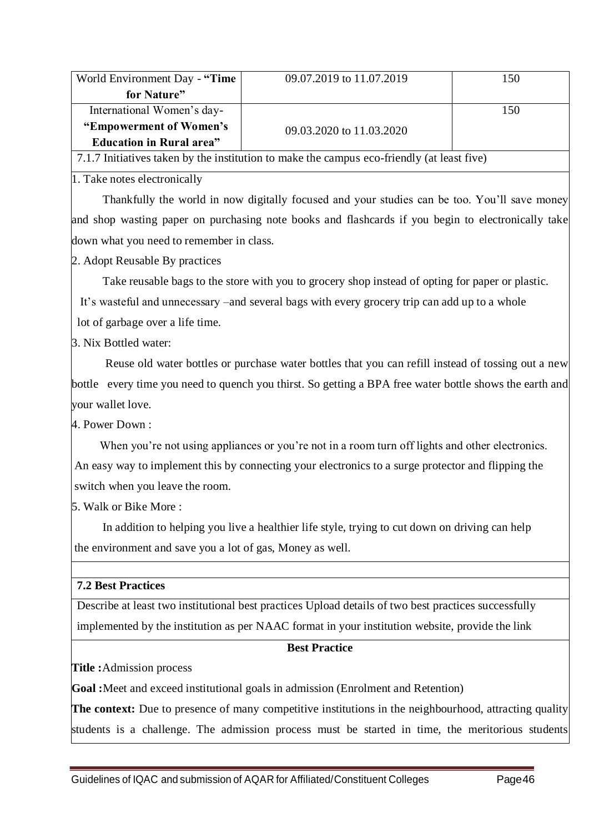| World Environment Day - "Time    | 09.07.2019 to 11.07.2019 | 150 |
|----------------------------------|--------------------------|-----|
| for Nature"                      |                          |     |
| International Women's day-       |                          | 150 |
| "Empowerment of Women's          | 09.03.2020 to 11.03.2020 |     |
| <b>Education in Rural area</b> " |                          |     |

7.1.7 Initiatives taken by the institution to make the campus eco-friendly (at least five)

1. Take notes electronically

Thankfully the world in now digitally focused and your studies can be too. You'll save money and shop wasting paper on purchasing note books and flashcards if you begin to electronically take down what you need to remember in class.

2. Adopt Reusable By practices

Take reusable bags to the store with you to grocery shop instead of opting for paper or plastic.

It's wasteful and unnecessary –and several bags with every grocery trip can add up to a whole

lot of garbage over a life time.

3. Nix Bottled water:

Reuse old water bottles or purchase water bottles that you can refill instead of tossing out a new bottle every time you need to quench you thirst. So getting a BPA free water bottle shows the earth and your wallet love.

4. Power Down :

When you're not using appliances or you're not in a room turn off lights and other electronics. An easy way to implement this by connecting your electronics to a surge protector and flipping the switch when you leave the room.

5. Walk or Bike More :

In addition to helping you live a healthier life style, trying to cut down on driving can help the environment and save you a lot of gas, Money as well.

### **7.2 Best Practices**

Describe at least two institutional best practices Upload details of two best practices successfully implemented by the institution as per NAAC format in your institution website, provide the link

### **Best Practice**

**Title :**Admission process

**Goal :**Meet and exceed institutional goals in admission (Enrolment and Retention)

**The context:** Due to presence of many competitive institutions in the neighbourhood, attracting quality students is a challenge. The admission process must be started in time, the meritorious students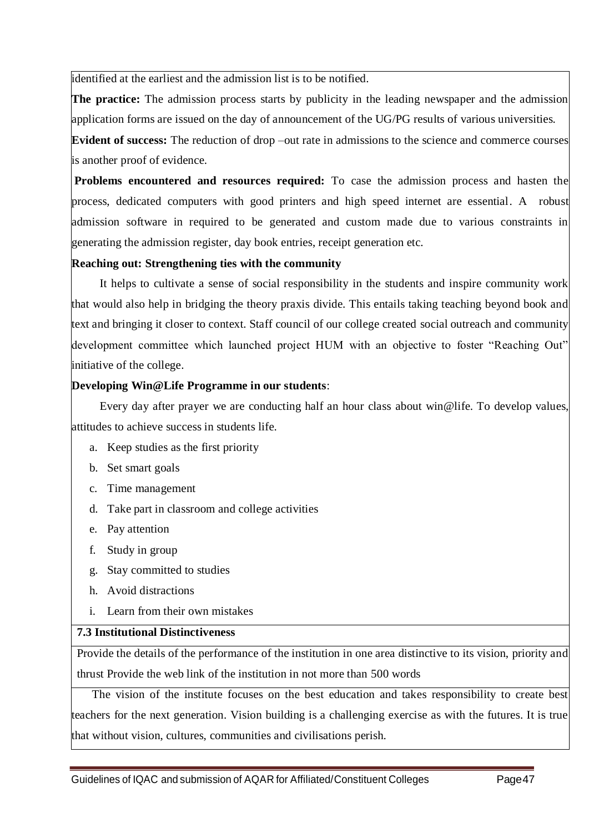identified at the earliest and the admission list is to be notified.

**The practice:** The admission process starts by publicity in the leading newspaper and the admission application forms are issued on the day of announcement of the UG/PG results of various universities.

**Evident of success:** The reduction of drop –out rate in admissions to the science and commerce courses is another proof of evidence.

**Problems encountered and resources required:** To case the admission process and hasten the process, dedicated computers with good printers and high speed internet are essential. A robust admission software in required to be generated and custom made due to various constraints in generating the admission register, day book entries, receipt generation etc.

### **Reaching out: Strengthening ties with the community**

It helps to cultivate a sense of social responsibility in the students and inspire community work that would also help in bridging the theory praxis divide. This entails taking teaching beyond book and text and bringing it closer to context. Staff council of our college created social outreach and community development committee which launched project HUM with an objective to foster "Reaching Out" initiative of the college.

### **Developing Win@Life Programme in our students**:

Every day after prayer we are conducting half an hour class about win@life. To develop values, attitudes to achieve success in students life.

- a. Keep studies as the first priority
- b. Set smart goals
- c. Time management
- d. Take part in classroom and college activities
- e. Pay attention
- f. Study in group
- g. Stay committed to studies
- h. Avoid distractions
- i. Learn from their own mistakes

# **7.3 Institutional Distinctiveness**

Provide the details of the performance of the institution in one area distinctive to its vision, priority and thrust Provide the web link of the institution in not more than 500 words

 The vision of the institute focuses on the best education and takes responsibility to create best teachers for the next generation. Vision building is a challenging exercise as with the futures. It is true that without vision, cultures, communities and civilisations perish.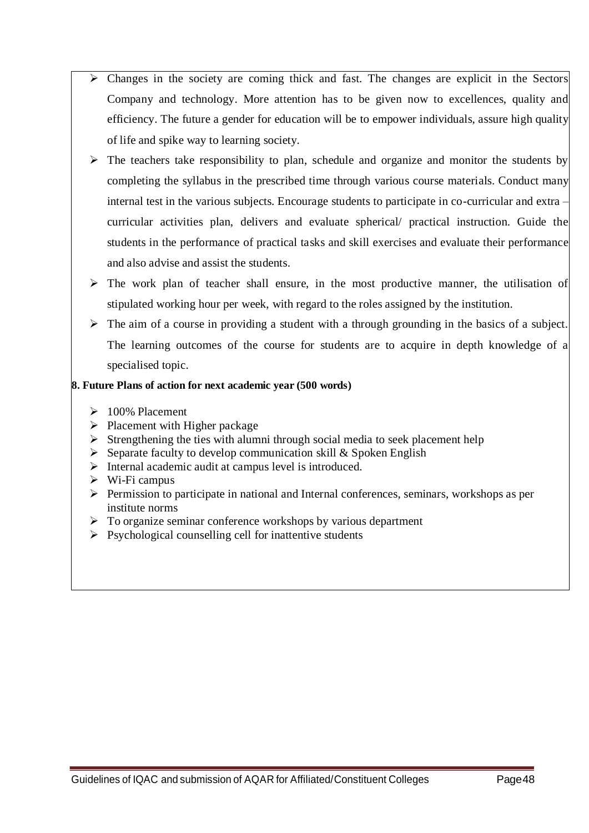- Changes in the society are coming thick and fast. The changes are explicit in the Sectors Company and technology. More attention has to be given now to excellences, quality and efficiency. The future a gender for education will be to empower individuals, assure high quality of life and spike way to learning society.
- $\triangleright$  The teachers take responsibility to plan, schedule and organize and monitor the students by completing the syllabus in the prescribed time through various course materials. Conduct many internal test in the various subjects. Encourage students to participate in co-curricular and extra – curricular activities plan, delivers and evaluate spherical/ practical instruction. Guide the students in the performance of practical tasks and skill exercises and evaluate their performance and also advise and assist the students.
- $\triangleright$  The work plan of teacher shall ensure, in the most productive manner, the utilisation of stipulated working hour per week, with regard to the roles assigned by the institution.
- The aim of a course in providing a student with a through grounding in the basics of a subject. The learning outcomes of the course for students are to acquire in depth knowledge of a specialised topic.

### **8. Future Plans of action for next academic year (500 words)**

- $\geq 100\%$  Placement
- $\triangleright$  Placement with Higher package
- $\triangleright$  Strengthening the ties with alumni through social media to seek placement help
- $\triangleright$  Separate faculty to develop communication skill & Spoken English
- $\triangleright$  Internal academic audit at campus level is introduced.
- $\triangleright$  Wi-Fi campus
- $\triangleright$  Permission to participate in national and Internal conferences, seminars, workshops as per institute norms
- $\triangleright$  To organize seminar conference workshops by various department
- $\triangleright$  Psychological counselling cell for inattentive students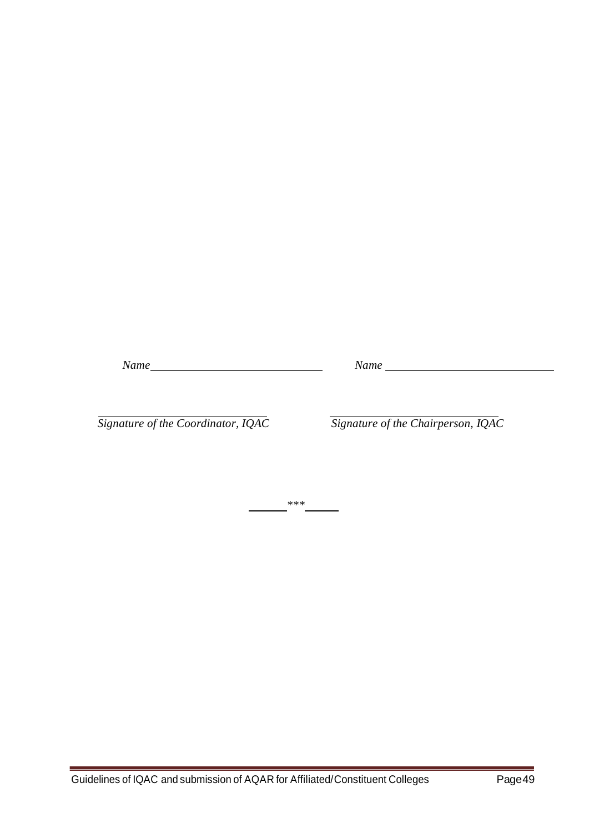*Name Name Name Name Name <i>Name Name Name Name Name Name Name Name Name Name Name Name Name Name <i>Name <i>Name <i>Name <i>Me <i><i>A <i><i>A*

 *Signature of the Coordinator, IQAC Signature of the Chairperson, IQAC*

*\*\*\**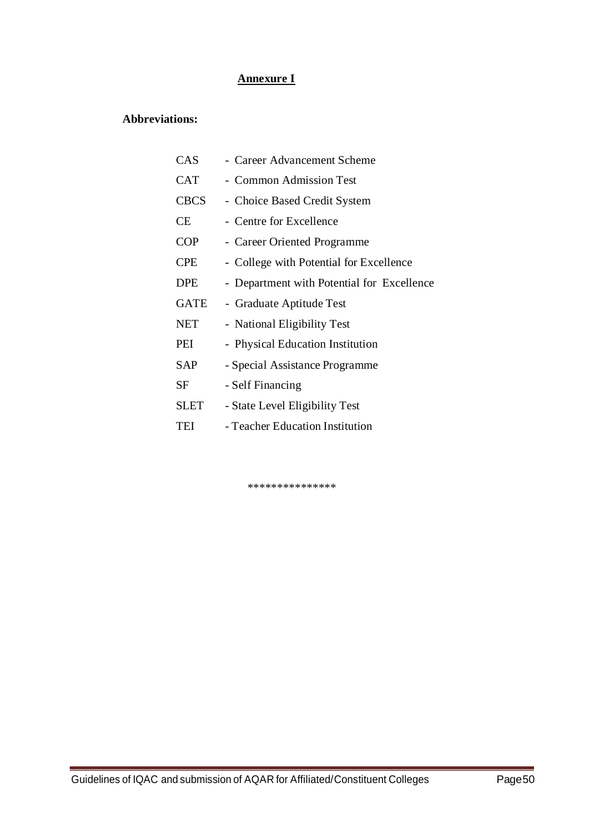### **Annexure I**

# **Abbreviations:**

| CAS         | - Career Advancement Scheme                |
|-------------|--------------------------------------------|
| <b>CAT</b>  | - Common Admission Test                    |
| <b>CBCS</b> | - Choice Based Credit System               |
| СE          | - Centre for Excellence                    |
| COP         | - Career Oriented Programme                |
| <b>CPE</b>  | - College with Potential for Excellence    |
| <b>DPE</b>  | - Department with Potential for Excellence |
| <b>GATE</b> | - Graduate Aptitude Test                   |
| <b>NET</b>  | - National Eligibility Test                |
| PEI         | - Physical Education Institution           |
| SAP         | - Special Assistance Programme             |
| SF          | - Self Financing                           |
| <b>SLET</b> | - State Level Eligibility Test             |
| TEI         | - Teacher Education Institution            |

\*\*\*\*\*\*\*\*\*\*\*\*\*\*\*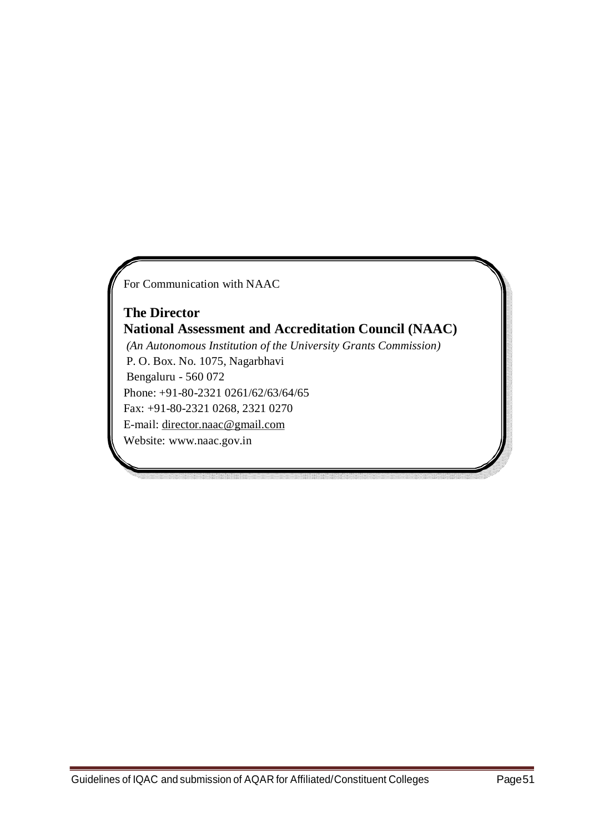For Communication with NAAC

**The Director National Assessment and Accreditation Council (NAAC)** *(An Autonomous Institution of the University Grants Commission)* P. O. Box. No. 1075, Nagarbhavi Bengaluru - 560 072 Phone: +91-80-2321 0261/62/63/64/65 Fax: +91-80-2321 0268, 2321 0270 E-mail: [director.naac@gmail.com](mailto:director.naac@gmail.com) Website: [www.naac.gov.in](http://www.naac.gov.in/)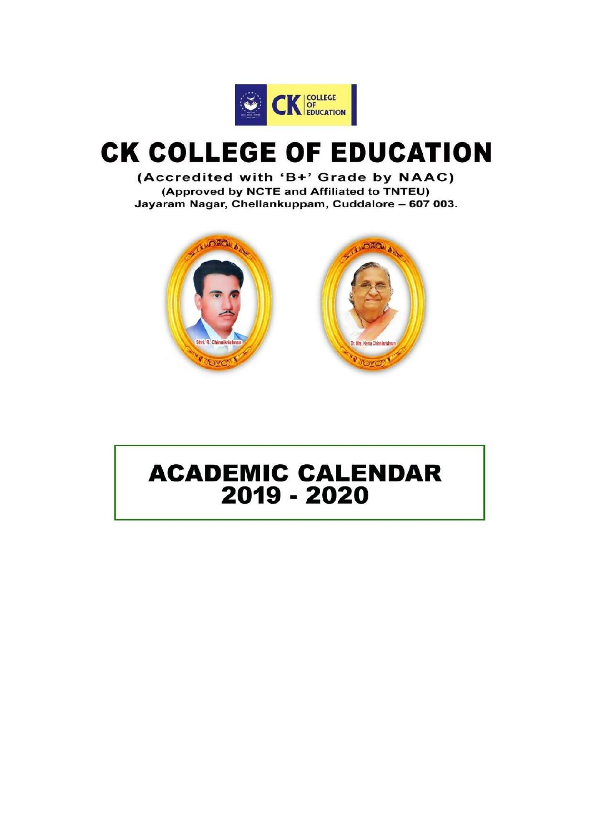

# **CK COLLEGE OF EDUCATION**

(Accredited with 'B+' Grade by NAAC) (Approved by NCTE and Affiliated to TNTEU) Jayaram Nagar, Chellankuppam, Cuddalore - 607 003.



# **ACADEMIC CALENDAR** 2019 - 2020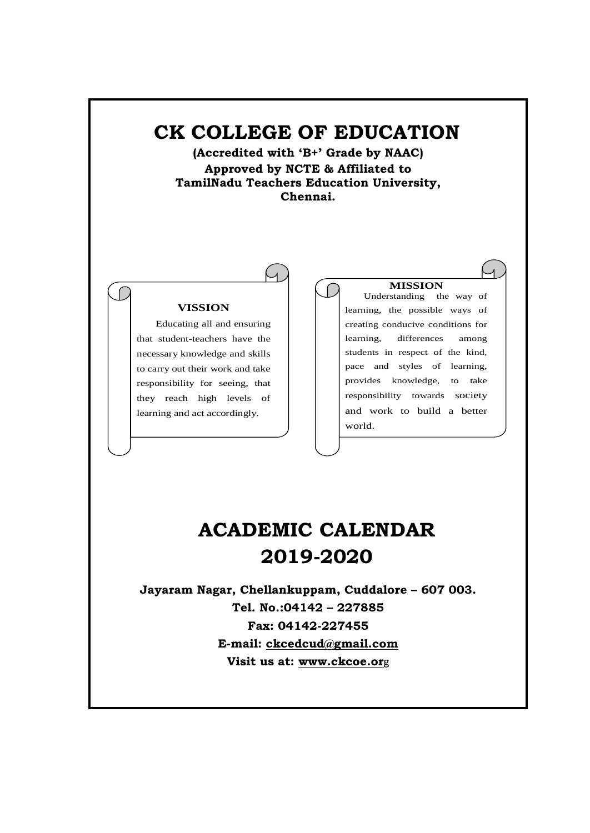# **CK COLLEGE OF EDUCATION**

**(Accredited with 'B+' Grade by NAAC) Approved by NCTE & Affiliated to TamilNadu Teachers Education University, Chennai.**

### **VISSION**

Educating all and ensuring that student-teachers have the necessary knowledge and skills to carry out their work and take responsibility for seeing, that they reach high levels of learning and act accordingly.

#### **MISSION**

Understanding the way of learning, the possible ways of creating conducive conditions for learning, differences among students in respect of the kind, pace and styles of learning, provides knowledge, to take responsibility towards society and work to build a better world.

# **ACADEMIC CALENDAR 2019-2020**

**Jayaram Nagar, Chellankuppam, Cuddalore – 607 003. Tel. No.:04142 – 227885 Fax: 04142-227455 E-mail: [ckcedcud@gmail.com](mailto:ckcedcud@gmail.com) Visit us at: [www.ckcoe.or](http://www.ckcet.com/)**g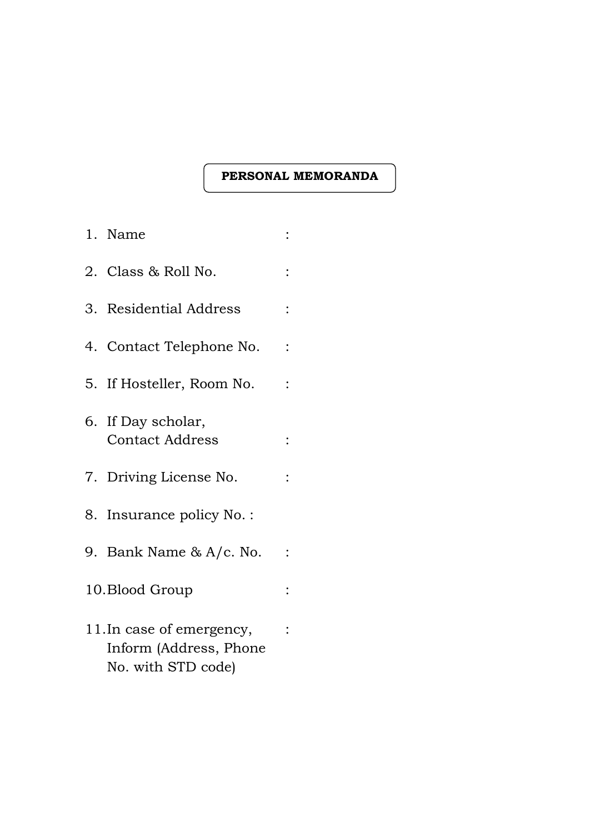### **PERSONAL MEMORANDA**

| 1. Name                                                                   |  |
|---------------------------------------------------------------------------|--|
| 2. Class & Roll No.                                                       |  |
| 3. Residential Address                                                    |  |
| 4. Contact Telephone No.                                                  |  |
| 5. If Hosteller, Room No.                                                 |  |
| 6. If Day scholar,<br><b>Contact Address</b>                              |  |
| 7. Driving License No.                                                    |  |
| 8. Insurance policy No. :                                                 |  |
| 9. Bank Name & A/c. No.                                                   |  |
| 10. Blood Group                                                           |  |
| 11. In case of emergency,<br>Inform (Address, Phone<br>No. with STD code) |  |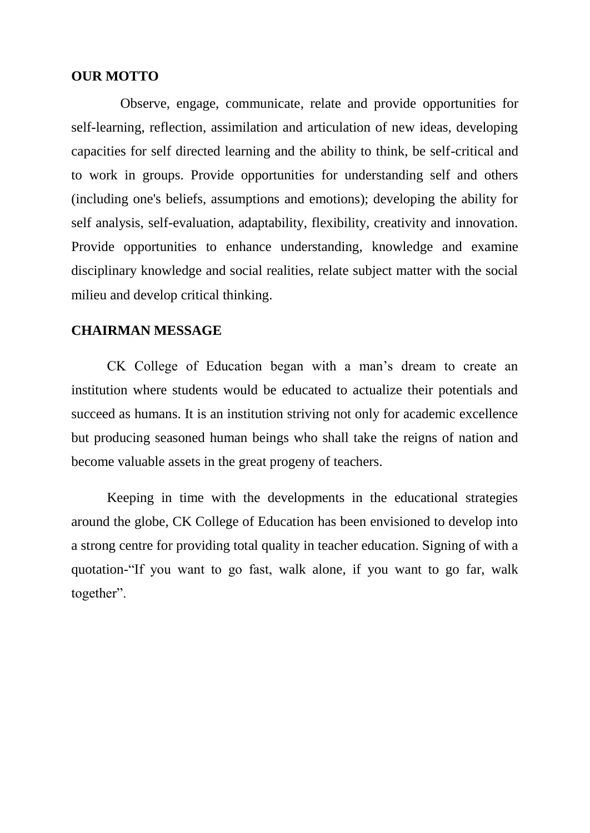### **OUR MOTTO**

Observe, engage, communicate, relate and provide opportunities for self-learning, reflection, assimilation and articulation of new ideas, developing capacities for self directed learning and the ability to think, be self-critical and to work in groups. Provide opportunities for understanding self and others (including one's beliefs, assumptions and emotions); developing the ability for self analysis, self-evaluation, adaptability, flexibility, creativity and innovation. Provide opportunities to enhance understanding, knowledge and examine disciplinary knowledge and social realities, relate subject matter with the social milieu and develop critical thinking.

### **CHAIRMAN MESSAGE**

CK College of Education began with a man's dream to create an institution where students would be educated to actualize their potentials and succeed as humans. It is an institution striving not only for academic excellence but producing seasoned human beings who shall take the reigns of nation and become valuable assets in the great progeny of teachers.

Keeping in time with the developments in the educational strategies around the globe, CK College of Education has been envisioned to develop into a strong centre for providing total quality in teacher education. Signing of with a quotation-"If you want to go fast, walk alone, if you want to go far, walk together".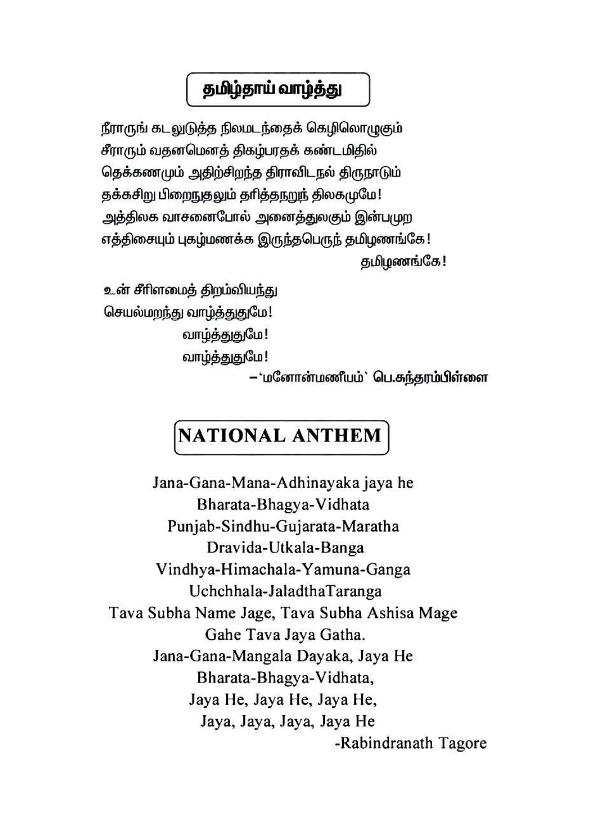# தமிழ்தாய் வாழ்த்து

நீராருங் கடலுடுத்த நிலமடந்தைக் கெழிலொழுகும் சீராரும் வதனமெனத் திகழ்பரதக் கண்டமிதில் தெக்கணமும் அதிற்சிறந்த திராவிடநல் திருநாடும் தக்கசிறு பிறைநுதலும் தரித்தநறுந் திலகமுமே! அத்திலக வாசனைபோல் அனைத்துலகும் இன்புமுற எத்திசையும் புகழ்மணக்க இருந்தபெருந் தமிழணங்கே ! தமிழணங்கே!

உன் சீரிளமைத் திறம்வியந்து செயல்மறந்து வாழ்த்துதுமே! வாழ்த்துதுமே! வாழ்த்துதுமே!

– 'மனோன்மணீயம்' பெ.சுந்தரம்பிள்ளை

# **NATIONAL ANTHEM**

Jana-Gana-Mana-Adhinayaka jaya he Bharata-Bhagya-Vidhata Punjab-Sindhu-Gujarata-Maratha Dravida-Utkala-Banga Vindhya-Himachala-Yamuna-Ganga Uchchhala-JaladthaTaranga Tava Subha Name Jage, Tava Subha Ashisa Mage Gahe Tava Jaya Gatha. Jana-Gana-Mangala Dayaka, Jaya He Bharata-Bhagya-Vidhata, Jaya He, Jaya He, Jaya He, Jaya, Jaya, Jaya, Jaya He -Rabindranath Tagore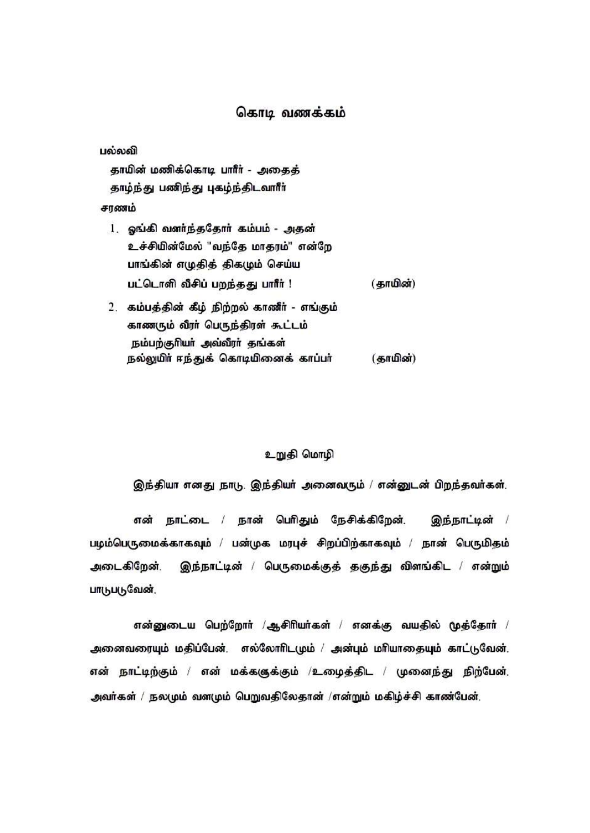### கொடி வணக்கம்

பல்லவி

காயின் மணிக்கொடி பாரீர் - அகைக் தாழ்ந்து பணிந்து புகழ்ந்திடவாரீர்

சாணம்

- 1. ஓங்கி வளர்ந்ததோர் கம்பம் அதன் உச்சியின்மேல் "வந்தே மாகரம்" என்றே பாங்கின் எழுதித் திகழும் செய்ய பட்டொளி வீசிப் பறந்தது பாரீர் ! (காமின்)
- 2. கம்பத்தின் கீழ் நிற்றல் காணீர் எங்கும். காணரும் வீரர் பெருந்திரள் கூட்டம் நம்பற்குரியா் அவ்வீரா் தங்கள் நல்லுமிர் ஈந்துக் கொடியினைக் காப்பர் (காமின்)

### உறுதி மொழி

இந்தியா எனது நாடு. இந்தியர் அனைவரும் / என்னுடன் பிறந்தவர்கள்.

என் நாட்டை / நான் பெரிதும் நேசிக்கிறேன், ெந்நாட்டின் / பழம்பெருமைக்காகவும் / பன்முக மரபுச் சிறப்பிற்காகவும் / நான் பெருமிதம் அடைகிறேன். இந்நாட்டின் / பெருமைக்குத் தகுந்து விளங்கிட / என்றும் பாடுபடுவேன்.

என்னுடைய பெற்றோர் /ஆசிரியர்கள் / எனக்கு வயதில் மூத்தோர் / அனைவரையும் மதிப்பேன், எல்லோரிடமும் / அன்பும் மரியாதையும் காட்டுவேன், என் நாட்டிற்கும் / என் மக்கஞுக்கும் /உழைத்திட / முனைந்து நிற்பேன். அவர்கள் / நலமும் வளமும் பெறுவதிலேதான் /என்றும் மகிழ்ச்சி காண்பேன்.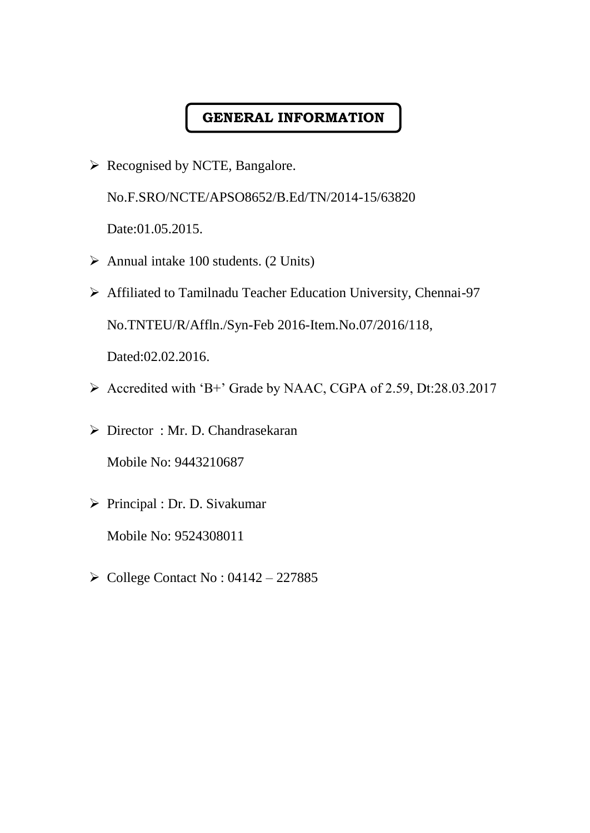# **GENERAL INFORMATION**

➢ Recognised by NCTE, Bangalore.

No.F.SRO/NCTE/APSO8652/B.Ed/TN/2014-15/63820

Date:01.05.2015.

- ➢ Annual intake 100 students. (2 Units)
- ➢ Affiliated to Tamilnadu Teacher Education University, Chennai-97 No.TNTEU/R/Affln./Syn-Feb 2016-Item.No.07/2016/118,

Dated:02.02.2016.

- ➢ Accredited with 'B+' Grade by NAAC, CGPA of 2.59, Dt:28.03.2017
- ➢ Director : Mr. D. Chandrasekaran Mobile No: 9443210687
- ➢ Principal : Dr. D. Sivakumar Mobile No: 9524308011
- $\triangleright$  College Contact No : 04142 227885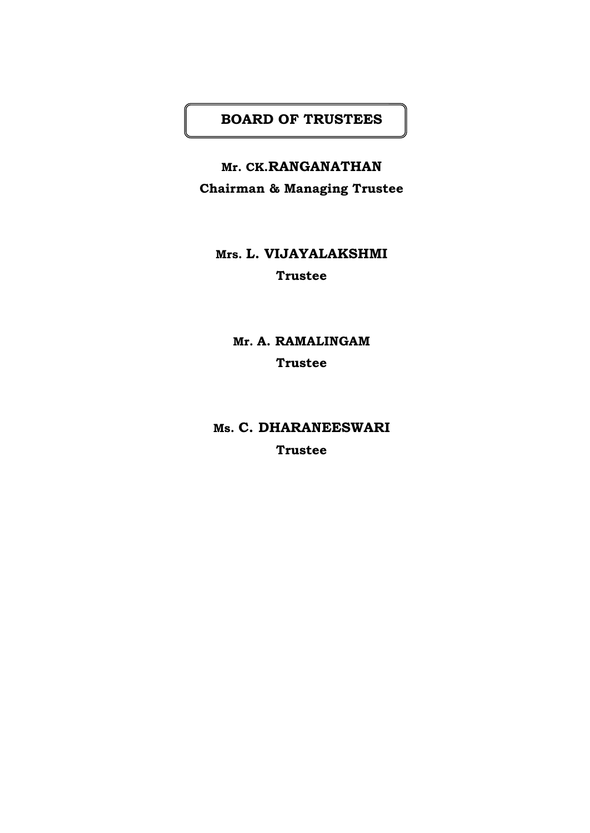# **BOARD OF TRUSTEES**

**Mr. CK.RANGANATHAN Chairman & Managing Trustee**

# **Mrs. L. VIJAYALAKSHMI Trustee**

**Mr. A. RAMALINGAM Trustee**

**Ms. C. DHARANEESWARI Trustee**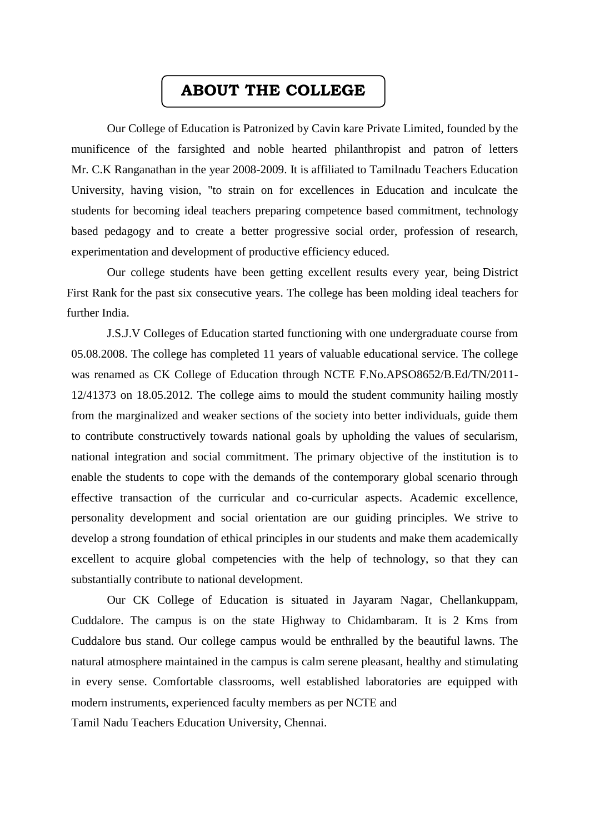# **ABOUT THE COLLEGE**

Our College of Education is Patronized by Cavin kare Private Limited, founded by the munificence of the farsighted and noble hearted philanthropist and patron of letters Mr. C.K Ranganathan in the year 2008-2009. It is affiliated to Tamilnadu Teachers Education University, having vision, "to strain on for excellences in Education and inculcate the students for becoming ideal teachers preparing competence based commitment, technology based pedagogy and to create a better progressive social order, profession of research, experimentation and development of productive efficiency educed.

Our college students have been getting excellent results every year, being District First Rank for the past six consecutive years. The college has been molding ideal teachers for further India.

J.S.J.V Colleges of Education started functioning with one undergraduate course from 05.08.2008. The college has completed 11 years of valuable educational service. The college was renamed as CK College of Education through NCTE F.No.APSO8652/B.Ed/TN/2011- 12/41373 on 18.05.2012. The college aims to mould the student community hailing mostly from the marginalized and weaker sections of the society into better individuals, guide them to contribute constructively towards national goals by upholding the values of secularism, national integration and social commitment. The primary objective of the institution is to enable the students to cope with the demands of the contemporary global scenario through effective transaction of the curricular and co-curricular aspects. Academic excellence, personality development and social orientation are our guiding principles. We strive to develop a strong foundation of ethical principles in our students and make them academically excellent to acquire global competencies with the help of technology, so that they can substantially contribute to national development.

Our CK College of Education is situated in Jayaram Nagar, Chellankuppam, Cuddalore. The campus is on the state Highway to Chidambaram. It is 2 Kms from Cuddalore bus stand. Our college campus would be enthralled by the beautiful lawns. The natural atmosphere maintained in the campus is calm serene pleasant, healthy and stimulating in every sense. Comfortable classrooms, well established laboratories are equipped with modern instruments, experienced faculty members as per NCTE and

Tamil Nadu Teachers Education University, Chennai.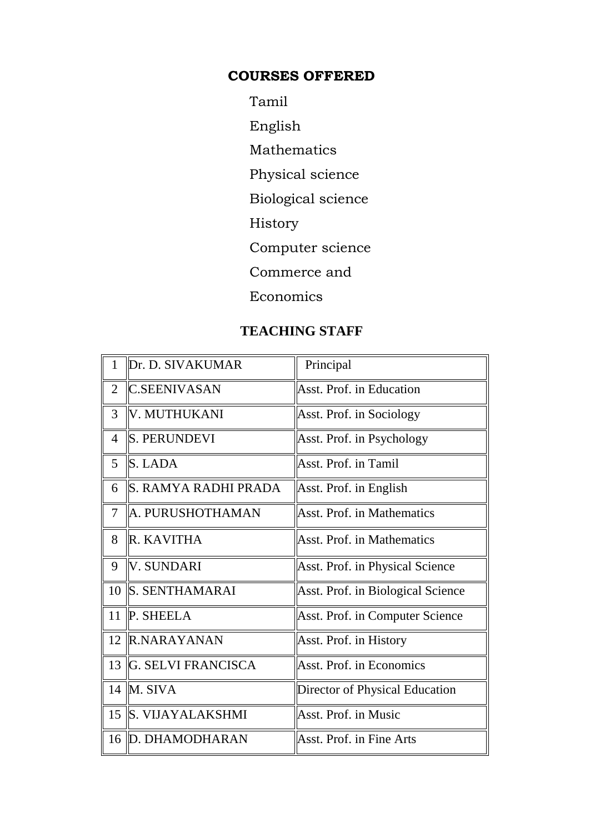# **COURSES OFFERED**

- Tamil
- English
- Mathematics
- Physical science
- Biological science
- History
- Computer science
- Commerce and
- Economics

# **TEACHING STAFF**

| 1              | Dr. D. SIVAKUMAR          | Principal                              |
|----------------|---------------------------|----------------------------------------|
| $\overline{2}$ | <b>IC.SEENIVASAN</b>      | Asst. Prof. in Education               |
| 3              | V. MUTHUKANI              | Asst. Prof. in Sociology               |
| $\overline{4}$ | <b>S. PERUNDEVI</b>       | Asst. Prof. in Psychology              |
| 5              | $\vert$ S. LADA           | Asst. Prof. in Tamil                   |
| 6              | S. RAMYA RADHI PRADA      | Asst. Prof. in English                 |
| $\overline{7}$ | A. PURUSHOTHAMAN          | <b>Asst. Prof. in Mathematics</b>      |
| 8              | R. KAVITHA                | <b>Asst. Prof. in Mathematics</b>      |
| 9              | V. SUNDARI                | <b>Asst. Prof. in Physical Science</b> |
| 10             | S. SENTHAMARAI            | Asst. Prof. in Biological Science      |
| 11             | <b>P. SHEELA</b>          | <b>Asst. Prof. in Computer Science</b> |
| 12             | <b>R.NARAYANAN</b>        | Asst. Prof. in History                 |
| 13             | <b>G. SELVI FRANCISCA</b> | Asst. Prof. in Economics               |
|                | 14 $\mathbb{M}$ . SIVA    | Director of Physical Education         |
|                | 15 S. VIJAYALAKSHMI       | Asst. Prof. in Music                   |
|                | 16 D. DHAMODHARAN         | Asst. Prof. in Fine Arts               |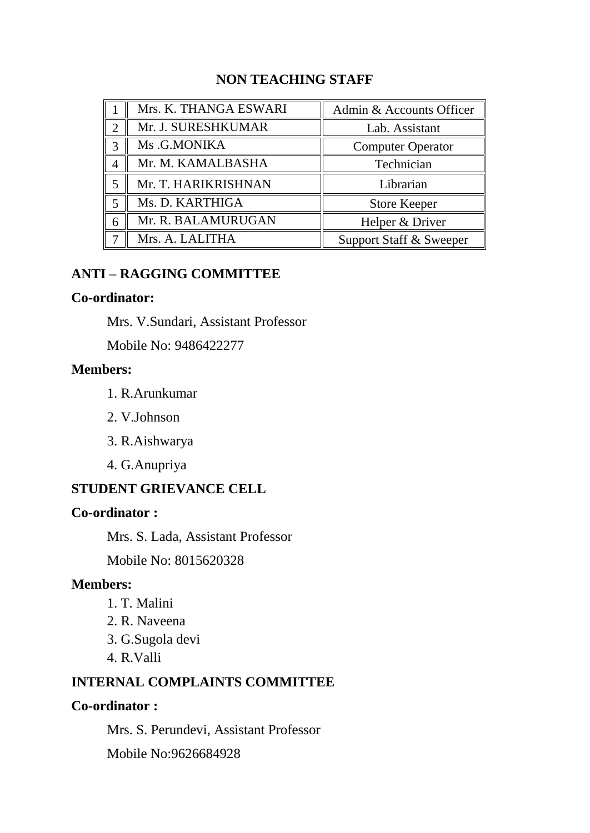# **NON TEACHING STAFF**

|                         | Mrs. K. THANGA ESWARI | Admin & Accounts Officer |
|-------------------------|-----------------------|--------------------------|
| 2                       | Mr. J. SURESHKUMAR    | Lab. Assistant           |
| 3                       | Ms.G.MONIKA           | <b>Computer Operator</b> |
|                         | Mr. M. KAMALBASHA     | Technician               |
| 5                       | Mr. T. HARIKRISHNAN   | Librarian                |
| $\overline{\mathbf{5}}$ | Ms. D. KARTHIGA       | <b>Store Keeper</b>      |
| 6                       | Mr. R. BALAMURUGAN    | Helper & Driver          |
|                         | Mrs. A. LALITHA       | Support Staff & Sweeper  |

# **ANTI – RAGGING COMMITTEE**

## **Co-ordinator:**

Mrs. V.Sundari, Assistant Professor

Mobile No: 9486422277

# **Members:**

- 1. R.Arunkumar
- 2. V.Johnson
- 3. R.Aishwarya
- 4. G.Anupriya

# **STUDENT GRIEVANCE CELL**

# **Co-ordinator :**

Mrs. S. Lada, Assistant Professor

Mobile No: 8015620328

# **Members:**

- 1. T. Malini
- 2. R. Naveena
- 3. G.Sugola devi
- 4. R.Valli

# **INTERNAL COMPLAINTS COMMITTEE**

### **Co-ordinator :**

Mrs. S. Perundevi, Assistant Professor

Mobile No:9626684928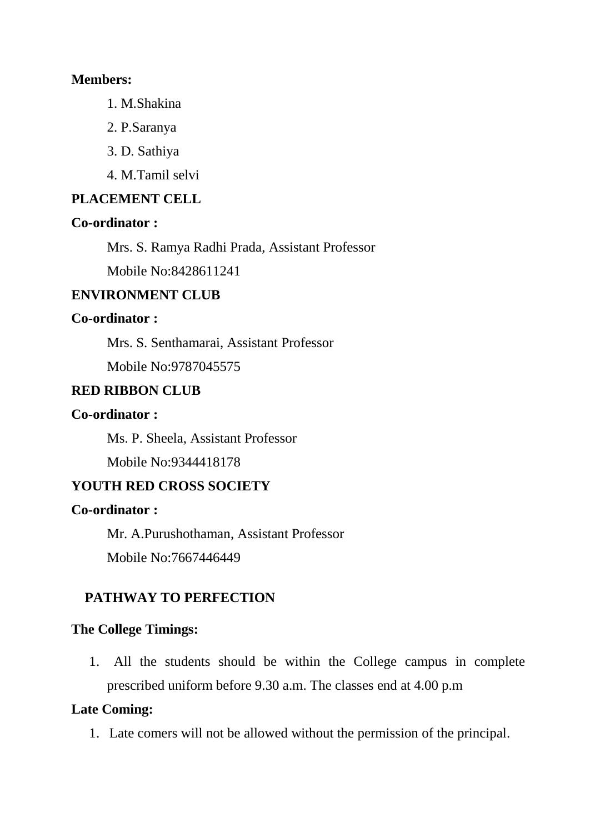## **Members:**

- 1. M.Shakina
- 2. P.Saranya
- 3. D. Sathiya
- 4. M.Tamil selvi

# **PLACEMENT CELL**

# **Co-ordinator :**

Mrs. S. Ramya Radhi Prada, Assistant Professor

Mobile No:8428611241

# **ENVIRONMENT CLUB**

# **Co-ordinator :**

Mrs. S. Senthamarai, Assistant Professor

Mobile No:9787045575

# **RED RIBBON CLUB**

# **Co-ordinator :**

Ms. P. Sheela, Assistant Professor

Mobile No:9344418178

# **YOUTH RED CROSS SOCIETY**

# **Co-ordinator :**

Mr. A.Purushothaman, Assistant Professor Mobile No:7667446449

# **PATHWAY TO PERFECTION**

# **The College Timings:**

1. All the students should be within the College campus in complete prescribed uniform before 9.30 a.m. The classes end at 4.00 p.m

# **Late Coming:**

1. Late comers will not be allowed without the permission of the principal.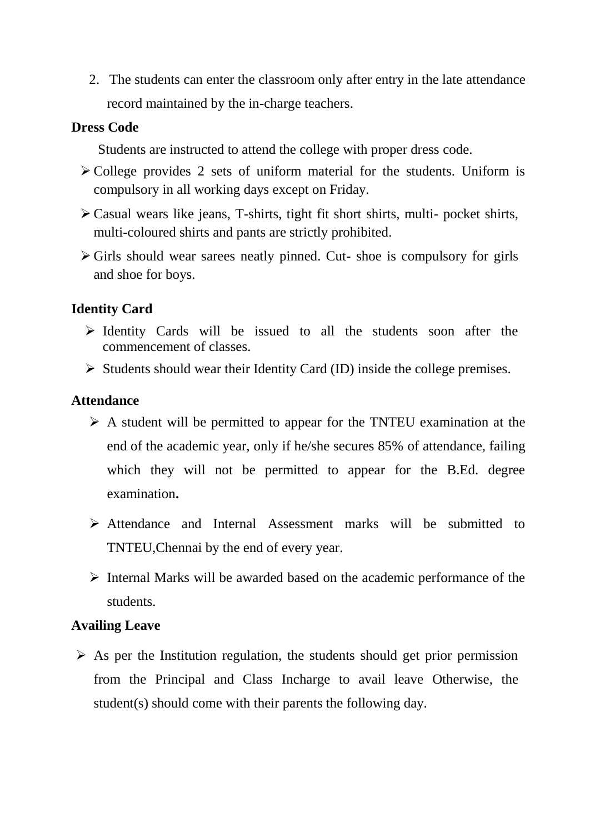2. The students can enter the classroom only after entry in the late attendance record maintained by the in-charge teachers.

# **Dress Code**

Students are instructed to attend the college with proper dress code.

- ➢ College provides 2 sets of uniform material for the students. Uniform is compulsory in all working days except on Friday.
- ➢ Casual wears like jeans, T-shirts, tight fit short shirts, multi- pocket shirts, multi-coloured shirts and pants are strictly prohibited.
- $\triangleright$  Girls should wear sarees neatly pinned. Cut- shoe is compulsory for girls and shoe for boys.

# **Identity Card**

- ➢ Identity Cards will be issued to all the students soon after the commencement of classes.
- $\triangleright$  Students should wear their Identity Card (ID) inside the college premises.

## **Attendance**

- ➢ A student will be permitted to appear for the TNTEU examination at the end of the academic year, only if he/she secures 85% of attendance, failing which they will not be permitted to appear for the B.Ed. degree examination**.**
- ➢ Attendance and Internal Assessment marks will be submitted to TNTEU,Chennai by the end of every year.
- ➢ Internal Marks will be awarded based on the academic performance of the students.

# **Availing Leave**

 $\triangleright$  As per the Institution regulation, the students should get prior permission from the Principal and Class Incharge to avail leave Otherwise, the student(s) should come with their parents the following day.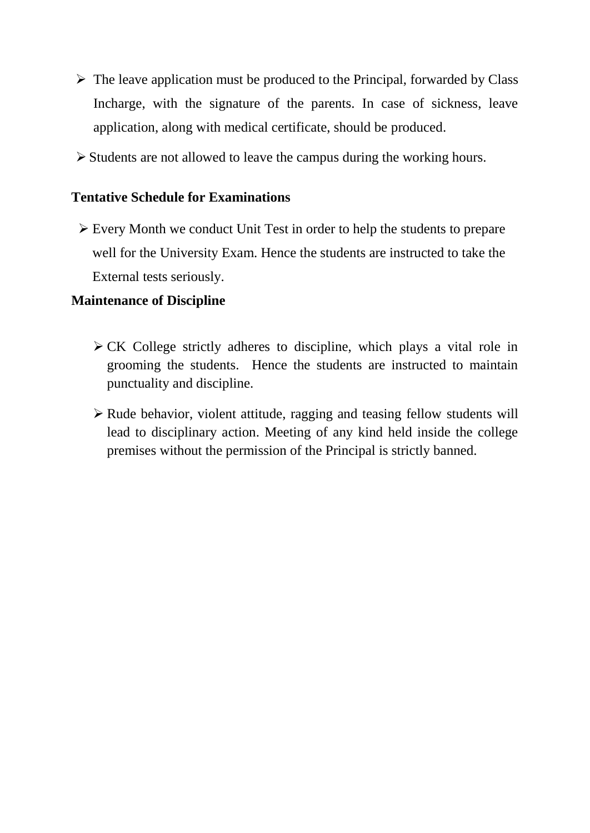- ➢ The leave application must be produced to the Principal, forwarded by Class Incharge, with the signature of the parents. In case of sickness, leave application, along with medical certificate, should be produced.
- ➢ Students are not allowed to leave the campus during the working hours.

# **Tentative Schedule for Examinations**

➢ Every Month we conduct Unit Test in order to help the students to prepare well for the University Exam. Hence the students are instructed to take the External tests seriously.

# **Maintenance of Discipline**

- ➢ CK College strictly adheres to discipline, which plays a vital role in grooming the students. Hence the students are instructed to maintain punctuality and discipline.
- ➢ Rude behavior, violent attitude, ragging and teasing fellow students will lead to disciplinary action. Meeting of any kind held inside the college premises without the permission of the Principal is strictly banned.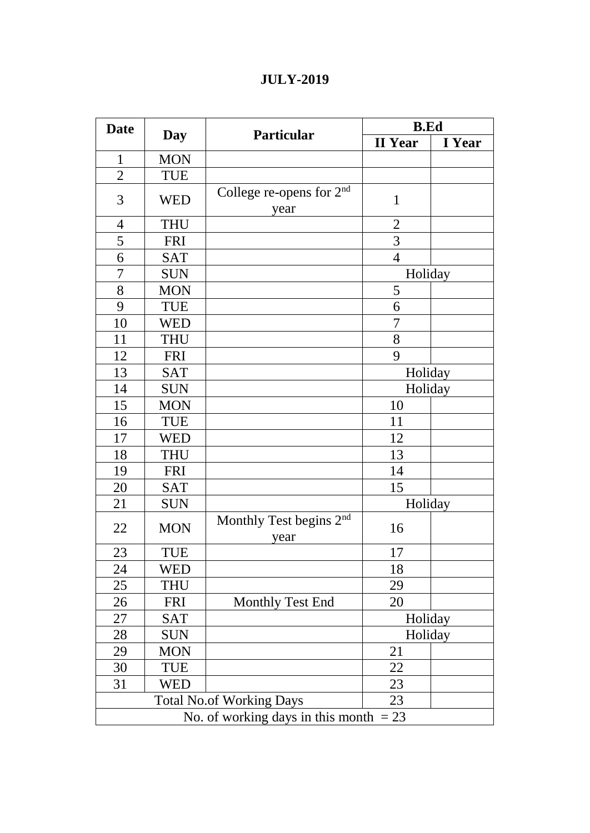|  |  | <b>JULY-2019</b> |
|--|--|------------------|
|  |  |                  |

| <b>Date</b>    |                                          | <b>Particular</b>                           | <b>B.Ed</b>    |        |  |
|----------------|------------------------------------------|---------------------------------------------|----------------|--------|--|
|                | Day                                      |                                             | <b>II</b> Year | I Year |  |
| 1              | <b>MON</b>                               |                                             |                |        |  |
| $\overline{2}$ | TUE                                      |                                             |                |        |  |
| 3              | <b>WED</b>                               | College re-opens for $2nd$<br>year          | $\mathbf{1}$   |        |  |
| $\overline{4}$ | <b>THU</b>                               |                                             | $\overline{2}$ |        |  |
| 5              | <b>FRI</b>                               |                                             | 3              |        |  |
| 6              | <b>SAT</b>                               |                                             | $\overline{4}$ |        |  |
| 7              | <b>SUN</b>                               |                                             | Holiday        |        |  |
| 8              | <b>MON</b>                               |                                             | 5              |        |  |
| 9              | TUE                                      |                                             | 6              |        |  |
| 10             | <b>WED</b>                               |                                             | 7              |        |  |
| 11             | <b>THU</b>                               |                                             | 8              |        |  |
| 12             | <b>FRI</b>                               |                                             | 9              |        |  |
| 13             | <b>SAT</b>                               |                                             | Holiday        |        |  |
| 14             | <b>SUN</b>                               |                                             | Holiday        |        |  |
| 15             | <b>MON</b>                               |                                             | 10             |        |  |
| 16             | <b>TUE</b>                               |                                             | 11             |        |  |
| 17             | <b>WED</b>                               |                                             | 12             |        |  |
| 18             | <b>THU</b>                               |                                             | 13             |        |  |
| 19             | <b>FRI</b>                               |                                             | 14             |        |  |
| 20             | <b>SAT</b>                               |                                             | 15             |        |  |
| 21             | <b>SUN</b>                               |                                             | Holiday        |        |  |
| 22             | <b>MON</b>                               | Monthly Test begins 2 <sup>nd</sup><br>year | 16             |        |  |
| 23             | <b>TUE</b>                               |                                             | 17             |        |  |
| 24             | WED                                      |                                             | 18             |        |  |
| 25             | <b>THU</b>                               |                                             | 29             |        |  |
| 26             | <b>FRI</b>                               | Monthly Test End                            | 20             |        |  |
| 27             | <b>SAT</b>                               |                                             | Holiday        |        |  |
| 28             | <b>SUN</b>                               |                                             | Holiday        |        |  |
| 29             | <b>MON</b>                               |                                             | 21             |        |  |
| 30             | TUE                                      |                                             | 22             |        |  |
| 31             | <b>WED</b>                               |                                             | 23             |        |  |
|                |                                          | <b>Total No.of Working Days</b>             | 23             |        |  |
|                | No. of working days in this month $= 23$ |                                             |                |        |  |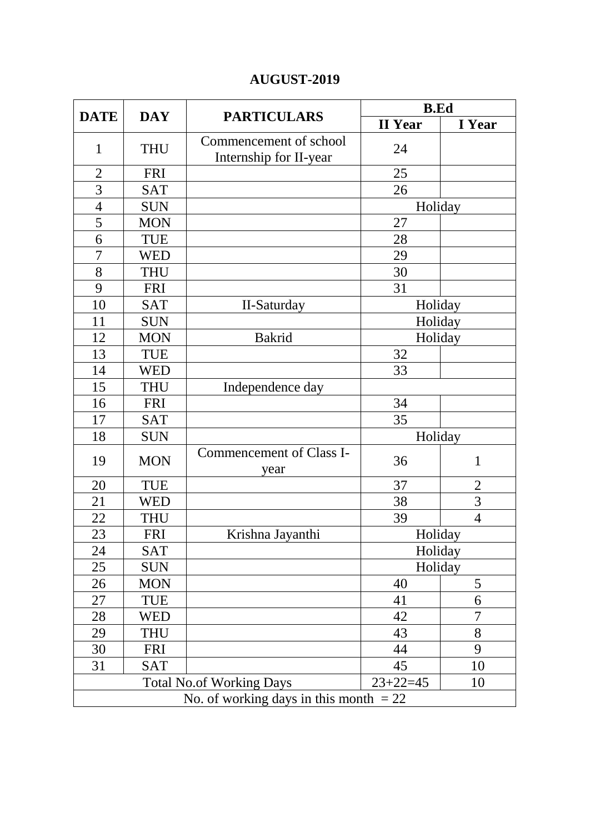# **AUGUST-2019**

|                                          |            |                                                  | <b>B.Ed</b>    |                |
|------------------------------------------|------------|--------------------------------------------------|----------------|----------------|
| <b>DATE</b>                              | <b>DAY</b> | <b>PARTICULARS</b>                               | <b>II</b> Year | I Year         |
| $\mathbf{1}$                             | <b>THU</b> | Commencement of school<br>Internship for II-year | 24             |                |
| $\overline{2}$                           | <b>FRI</b> |                                                  | 25             |                |
| $\overline{3}$                           | <b>SAT</b> |                                                  | 26             |                |
| $\overline{4}$                           | <b>SUN</b> |                                                  | Holiday        |                |
| $\overline{5}$                           | <b>MON</b> |                                                  | 27             |                |
| 6                                        | TUE        |                                                  | 28             |                |
| 7                                        | <b>WED</b> |                                                  | 29             |                |
| 8                                        | <b>THU</b> |                                                  | 30             |                |
| 9                                        | <b>FRI</b> |                                                  | 31             |                |
| 10                                       | <b>SAT</b> | II-Saturday                                      | Holiday        |                |
| 11                                       | <b>SUN</b> |                                                  | Holiday        |                |
| 12                                       | <b>MON</b> | <b>Bakrid</b>                                    | Holiday        |                |
| 13                                       | <b>TUE</b> |                                                  | 32             |                |
| 14                                       | <b>WED</b> |                                                  | 33             |                |
| 15                                       | <b>THU</b> | Independence day                                 |                |                |
| 16                                       | <b>FRI</b> |                                                  | 34             |                |
| 17                                       | <b>SAT</b> |                                                  | 35             |                |
| 18                                       | <b>SUN</b> |                                                  | Holiday        |                |
| 19                                       | <b>MON</b> | Commencement of Class I-<br>year                 | 36             | $\mathbf{1}$   |
| 20                                       | <b>TUE</b> |                                                  | 37             | $\overline{2}$ |
| 21                                       | <b>WED</b> |                                                  | 38             | $\overline{3}$ |
| 22                                       | <b>THU</b> |                                                  | 39             | $\overline{4}$ |
| 23                                       | <b>FRI</b> | Krishna Jayanthi                                 | Holiday        |                |
| 24                                       | <b>SAT</b> |                                                  | Holiday        |                |
| 25                                       | <b>SUN</b> |                                                  | Holiday        |                |
| 26                                       | <b>MON</b> |                                                  | 40             | 5              |
| 27                                       | TUE        |                                                  | 41             | 6              |
| 28                                       | <b>WED</b> |                                                  | 42             | 7              |
| 29                                       | <b>THU</b> |                                                  | 43             | 8              |
| 30                                       | <b>FRI</b> |                                                  | 44             | 9              |
| 31                                       | <b>SAT</b> |                                                  | 45             | 10             |
|                                          |            | <b>Total No.of Working Days</b>                  | $23 + 22 = 45$ | 10             |
| No. of working days in this month $= 22$ |            |                                                  |                |                |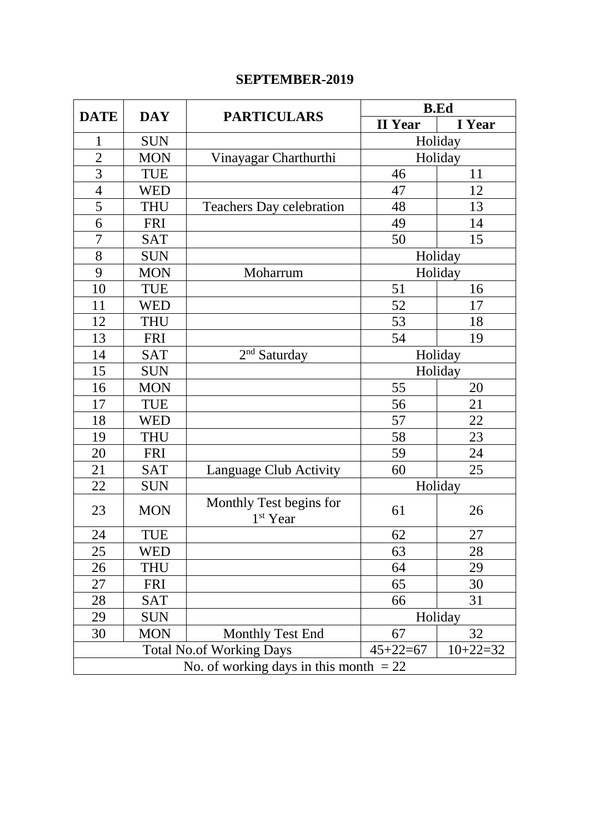# **SEPTEMBER-2019**

|                                          |            |                                                 |                | <b>B.Ed</b> |  |
|------------------------------------------|------------|-------------------------------------------------|----------------|-------------|--|
| <b>DATE</b>                              | <b>DAY</b> | <b>PARTICULARS</b>                              | <b>II</b> Year | I Year      |  |
| 1                                        | <b>SUN</b> |                                                 |                | Holiday     |  |
| $\overline{2}$                           | <b>MON</b> | Vinayagar Charthurthi                           |                | Holiday     |  |
| 3                                        | <b>TUE</b> |                                                 | 46             | 11          |  |
| $\overline{4}$                           | <b>WED</b> |                                                 | 47             | 12          |  |
| 5                                        | <b>THU</b> | <b>Teachers Day celebration</b>                 | 48             | 13          |  |
| 6                                        | <b>FRI</b> |                                                 | 49             | 14          |  |
| $\overline{7}$                           | <b>SAT</b> |                                                 | 50             | 15          |  |
| 8                                        | <b>SUN</b> |                                                 |                | Holiday     |  |
| 9                                        | <b>MON</b> | Moharrum                                        |                | Holiday     |  |
| 10                                       | <b>TUE</b> |                                                 | 51             | 16          |  |
| 11                                       | <b>WED</b> |                                                 | 52             | 17          |  |
| 12                                       | <b>THU</b> |                                                 | 53             | 18          |  |
| 13                                       | <b>FRI</b> |                                                 | 54             | 19          |  |
| 14                                       | <b>SAT</b> | $2nd$ Saturday                                  | Holiday        |             |  |
| 15                                       | <b>SUN</b> |                                                 | Holiday        |             |  |
| 16                                       | <b>MON</b> |                                                 | 55             | 20          |  |
| 17                                       | <b>TUE</b> |                                                 | 56             | 21          |  |
| 18                                       | <b>WED</b> |                                                 | 57             | 22          |  |
| 19                                       | <b>THU</b> |                                                 | 58             | 23          |  |
| 20                                       | <b>FRI</b> |                                                 | 59             | 24          |  |
| 21                                       | <b>SAT</b> | Language Club Activity                          | 60             | 25          |  |
| 22                                       | <b>SUN</b> |                                                 |                | Holiday     |  |
| 23                                       | <b>MON</b> | Monthly Test begins for<br>1 <sup>st</sup> Year | 61             | 26          |  |
| 24                                       | <b>TUE</b> |                                                 | 62             | 27          |  |
| 25                                       | WED        |                                                 | 63             | 28          |  |
| 26                                       | <b>THU</b> |                                                 | 64             | 29          |  |
| 27                                       | <b>FRI</b> |                                                 | 65             | 30          |  |
| 28                                       | <b>SAT</b> |                                                 | 66             | 31          |  |
| 29                                       | <b>SUN</b> |                                                 | Holiday        |             |  |
| 30                                       | <b>MON</b> | Monthly Test End                                | 67             | 32          |  |
|                                          |            | <b>Total No.of Working Days</b>                 | $45 + 22 = 67$ | $10+22=32$  |  |
| No. of working days in this month $= 22$ |            |                                                 |                |             |  |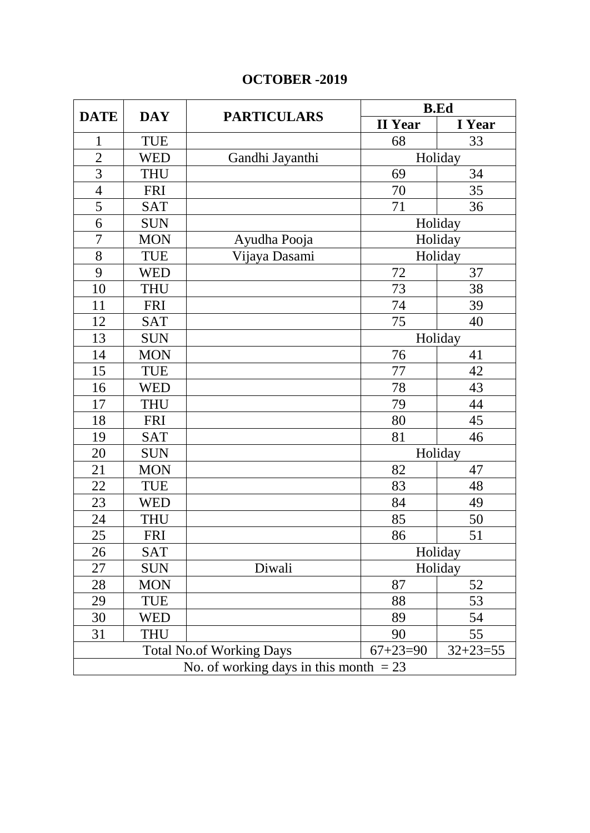# **OCTOBER -2019**

|                |                                          |                                 |                | <b>B.Ed</b>    |  |
|----------------|------------------------------------------|---------------------------------|----------------|----------------|--|
| <b>DATE</b>    | <b>DAY</b>                               | <b>PARTICULARS</b>              | <b>II</b> Year | I Year         |  |
| $\mathbf{1}$   | <b>TUE</b>                               |                                 | 68             | 33             |  |
| $\overline{2}$ | <b>WED</b>                               | Gandhi Jayanthi                 | Holiday        |                |  |
| 3              | <b>THU</b>                               |                                 | 69             | 34             |  |
| $\overline{4}$ | <b>FRI</b>                               |                                 | 70             | 35             |  |
| 5              | <b>SAT</b>                               |                                 | 71             | 36             |  |
| 6              | <b>SUN</b>                               |                                 |                | Holiday        |  |
| $\overline{7}$ | <b>MON</b>                               | Ayudha Pooja                    |                | Holiday        |  |
| 8              | <b>TUE</b>                               | Vijaya Dasami                   |                | Holiday        |  |
| 9              | <b>WED</b>                               |                                 | 72             | 37             |  |
| 10             | <b>THU</b>                               |                                 | 73             | 38             |  |
| 11             | <b>FRI</b>                               |                                 | 74             | 39             |  |
| 12             | <b>SAT</b>                               |                                 | 75             | 40             |  |
| 13             | <b>SUN</b>                               |                                 | Holiday        |                |  |
| 14             | <b>MON</b>                               |                                 | 76             | 41             |  |
| 15             | <b>TUE</b>                               |                                 | 77             | 42             |  |
| 16             | <b>WED</b>                               |                                 | 78             | 43             |  |
| 17             | <b>THU</b>                               |                                 | 79             | 44             |  |
| 18             | <b>FRI</b>                               |                                 | 80             | 45             |  |
| 19             | <b>SAT</b>                               |                                 | 81             | 46             |  |
| 20             | <b>SUN</b>                               |                                 |                | Holiday        |  |
| 21             | <b>MON</b>                               |                                 | 82             | 47             |  |
| 22             | <b>TUE</b>                               |                                 | 83             | 48             |  |
| 23             | <b>WED</b>                               |                                 | 84             | 49             |  |
| 24             | <b>THU</b>                               |                                 | 85             | 50             |  |
| 25             | <b>FRI</b>                               |                                 | 86             | 51             |  |
| 26             | <b>SAT</b>                               |                                 |                | Holiday        |  |
| 27             | <b>SUN</b>                               | Diwali                          |                | Holiday        |  |
| 28             | <b>MON</b>                               |                                 | 87             | 52             |  |
| 29             | TUE                                      |                                 | 88             | 53             |  |
| 30             | <b>WED</b>                               |                                 | 89             | 54             |  |
| 31             | <b>THU</b>                               |                                 | 90             | 55             |  |
|                |                                          | <b>Total No.of Working Days</b> | $67 + 23 = 90$ | $32 + 23 = 55$ |  |
|                | No. of working days in this month $= 23$ |                                 |                |                |  |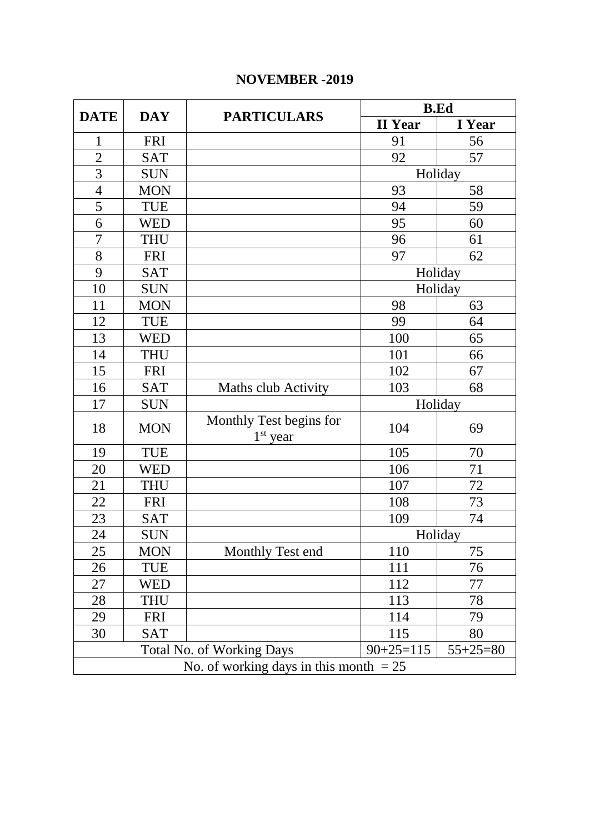# **NOVEMBER -2019**

|                |                                          | <b>PARTICULARS</b>                    | <b>B.Ed</b>    |            |  |
|----------------|------------------------------------------|---------------------------------------|----------------|------------|--|
| <b>DATE</b>    | <b>DAY</b>                               |                                       | <b>II</b> Year | I Year     |  |
| 1              | <b>FRI</b>                               |                                       | 91             | 56         |  |
| $\overline{2}$ | <b>SAT</b>                               |                                       | 92             | 57         |  |
| $\overline{3}$ | <b>SUN</b>                               |                                       |                | Holiday    |  |
| $\overline{4}$ | <b>MON</b>                               |                                       | 93             | 58         |  |
| $\overline{5}$ | <b>TUE</b>                               |                                       | 94             | 59         |  |
| 6              | <b>WED</b>                               |                                       | 95             | 60         |  |
| $\overline{7}$ | <b>THU</b>                               |                                       | 96             | 61         |  |
| 8              | <b>FRI</b>                               |                                       | 97             | 62         |  |
| 9              | <b>SAT</b>                               |                                       |                | Holiday    |  |
| 10             | <b>SUN</b>                               |                                       |                | Holiday    |  |
| 11             | <b>MON</b>                               |                                       | 98             | 63         |  |
| 12             | <b>TUE</b>                               |                                       | 99             | 64         |  |
| 13             | WED                                      |                                       | 100            | 65         |  |
| 14             | <b>THU</b>                               |                                       | 101            | 66         |  |
| 15             | <b>FRI</b>                               |                                       | 102            | 67         |  |
| 16             | <b>SAT</b>                               | <b>Maths club Activity</b>            | 103            | 68         |  |
| 17             | <b>SUN</b>                               |                                       |                | Holiday    |  |
| 18             | <b>MON</b>                               | Monthly Test begins for<br>$1st$ year | 104            | 69         |  |
| 19             | <b>TUE</b>                               |                                       | 105            | 70         |  |
| 20             | <b>WED</b>                               |                                       | 106            | 71         |  |
| 21             | <b>THU</b>                               |                                       | 107            | 72         |  |
| 22             | <b>FRI</b>                               |                                       | 108            | 73         |  |
| 23             | <b>SAT</b>                               |                                       | 109            | 74         |  |
| 24             | <b>SUN</b>                               |                                       |                | Holiday    |  |
| 25             | <b>MON</b>                               | Monthly Test end                      | 110            | 75         |  |
| 26             | TUE                                      |                                       | 111            | 76         |  |
| 27             | WED                                      |                                       | 112            | 77         |  |
| 28             | <b>THU</b>                               |                                       | 113            | 78         |  |
| 29             | <b>FRI</b>                               |                                       | 114            | 79         |  |
| 30             | <b>SAT</b>                               |                                       | 115            | 80         |  |
|                |                                          | <b>Total No. of Working Days</b>      | $90+25=115$    | $55+25=80$ |  |
|                | No. of working days in this month $= 25$ |                                       |                |            |  |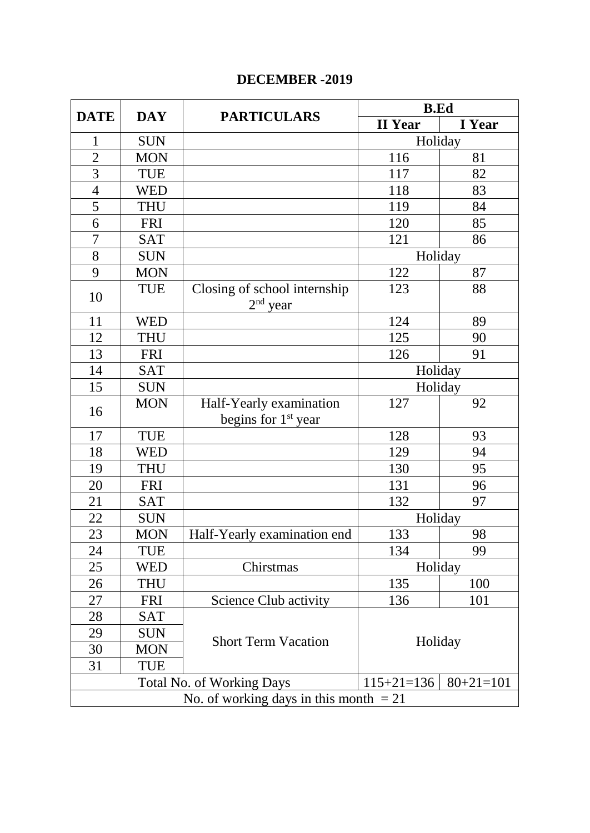# **DECEMBER -2019**

|                                          |            | <b>PARTICULARS</b>                         | <b>B.Ed</b>    |                 |
|------------------------------------------|------------|--------------------------------------------|----------------|-----------------|
| <b>DATE</b>                              | <b>DAY</b> |                                            | <b>II</b> Year | I Year          |
| $\mathbf{1}$                             | <b>SUN</b> |                                            | Holiday        |                 |
| $\overline{2}$                           | <b>MON</b> |                                            | 116            | 81              |
| 3                                        | <b>TUE</b> |                                            | 117            | 82              |
| $\overline{4}$                           | <b>WED</b> |                                            | 118            | 83              |
| 5                                        | <b>THU</b> |                                            | 119            | 84              |
| 6                                        | <b>FRI</b> |                                            | 120            | 85              |
| $\overline{7}$                           | <b>SAT</b> |                                            | 121            | 86              |
| 8                                        | <b>SUN</b> |                                            | Holiday        |                 |
| 9                                        | <b>MON</b> |                                            | 122            | 87              |
| 10                                       | <b>TUE</b> | Closing of school internship<br>$2nd$ year | 123            | 88              |
| 11                                       | <b>WED</b> |                                            | 124            | 89              |
| 12                                       | <b>THU</b> |                                            | 125            | 90              |
| 13                                       | <b>FRI</b> |                                            | 126            | 91              |
| 14                                       | <b>SAT</b> |                                            | Holiday        |                 |
| 15                                       | <b>SUN</b> |                                            | Holiday        |                 |
| 16                                       | <b>MON</b> | Half-Yearly examination                    | 127            | 92              |
|                                          |            | begins for 1 <sup>st</sup> year            |                |                 |
| 17                                       | <b>TUE</b> |                                            | 128            | 93              |
| 18                                       | <b>WED</b> |                                            | 129            | 94              |
| 19                                       | <b>THU</b> |                                            | 130            | 95              |
| 20                                       | <b>FRI</b> |                                            | 131            | 96              |
| 21                                       | <b>SAT</b> |                                            | 132            | 97              |
| 22                                       | <b>SUN</b> |                                            | Holiday        |                 |
| 23                                       | <b>MON</b> | Half-Yearly examination end                | 133            | 98              |
| 24                                       | <b>TUE</b> |                                            | 134            | 99              |
| 25                                       | <b>WED</b> | Chirstmas                                  | Holiday        |                 |
| 26                                       | THU        |                                            | 135            | 100             |
| 27                                       | <b>FRI</b> | <b>Science Club activity</b>               | 136            | 101             |
| 28                                       | <b>SAT</b> |                                            |                |                 |
| 29                                       | <b>SUN</b> | <b>Short Term Vacation</b>                 |                |                 |
| 30                                       | <b>MON</b> |                                            | Holiday        |                 |
| 31                                       | <b>TUE</b> |                                            |                |                 |
|                                          |            | <b>Total No. of Working Days</b>           | $115+21=136$   | $80 + 21 = 101$ |
| No. of working days in this month $= 21$ |            |                                            |                |                 |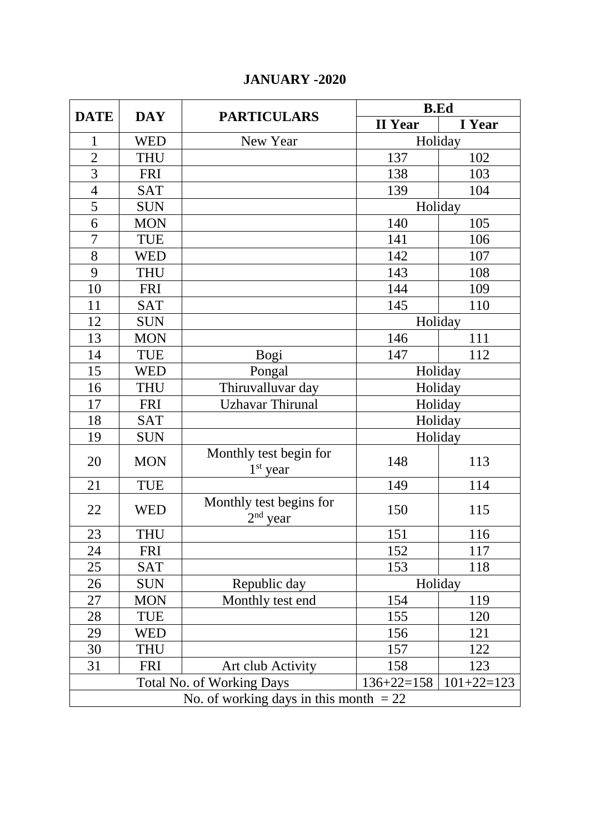## **JANUARY -2020**

| <b>DATE</b>                              | <b>DAY</b> | <b>PARTICULARS</b>                    | <b>B.Ed</b>    |              |
|------------------------------------------|------------|---------------------------------------|----------------|--------------|
|                                          |            |                                       | <b>II</b> Year | I Year       |
| 1                                        | <b>WED</b> | New Year                              |                | Holiday      |
| $\overline{c}$                           | <b>THU</b> |                                       | 137            | 102          |
| $\overline{3}$                           | <b>FRI</b> |                                       | 138            | 103          |
| $\overline{4}$                           | <b>SAT</b> |                                       | 139            | 104          |
| 5                                        | <b>SUN</b> |                                       | Holiday        |              |
| 6                                        | <b>MON</b> |                                       | 140            | 105          |
| 7                                        | TUE        |                                       | 141            | 106          |
| 8                                        | <b>WED</b> |                                       | 142            | 107          |
| 9                                        | <b>THU</b> |                                       | 143            | 108          |
| 10                                       | <b>FRI</b> |                                       | 144            | 109          |
| 11                                       | <b>SAT</b> |                                       | 145            | 110          |
| 12                                       | <b>SUN</b> |                                       | Holiday        |              |
| 13                                       | <b>MON</b> |                                       | 146            | 111          |
| 14                                       | <b>TUE</b> | Bogi                                  | 147            | 112          |
| 15                                       | <b>WED</b> | Pongal                                | Holiday        |              |
| 16                                       | <b>THU</b> | Thiruvalluvar day                     | Holiday        |              |
| 17                                       | <b>FRI</b> | <b>Uzhavar Thirunal</b>               | Holiday        |              |
| 18                                       | <b>SAT</b> |                                       | Holiday        |              |
| 19                                       | <b>SUN</b> |                                       | Holiday        |              |
| 20                                       | <b>MON</b> | Monthly test begin for<br>$1st$ year  | 148            | 113          |
| 21                                       | <b>TUE</b> |                                       | 149            | 114          |
| 22                                       | <b>WED</b> | Monthly test begins for<br>$2nd$ year | 150            | 115          |
| 23                                       | <b>THU</b> |                                       | 151            | 116          |
| 24                                       | <b>FRI</b> |                                       | 152            | 117          |
| 25                                       | <b>SAT</b> |                                       | 153            | 118          |
| 26                                       | <b>SUN</b> | Republic day                          | Holiday        |              |
| 27                                       | <b>MON</b> | Monthly test end                      | 154            | 119          |
| 28                                       | TUE        |                                       | 155            | 120          |
| 29                                       | <b>WED</b> |                                       | 156            | 121          |
| 30                                       | <b>THU</b> |                                       | 157            | 122          |
| 31                                       | <b>FRI</b> | Art club Activity                     | 158            | 123          |
|                                          |            | <b>Total No. of Working Days</b>      | $136+22=158$   | $101+22=123$ |
| No. of working days in this month $= 22$ |            |                                       |                |              |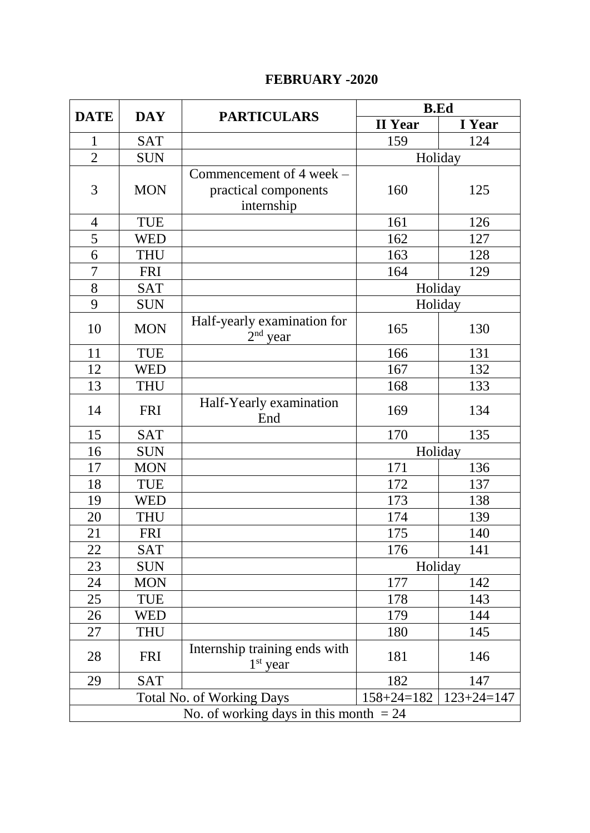### **FEBRUARY -2020**

| <b>DATE</b>                              | <b>DAY</b> | <b>PARTICULARS</b>                          | <b>B.Ed</b>      |                  |
|------------------------------------------|------------|---------------------------------------------|------------------|------------------|
|                                          |            |                                             | <b>II</b> Year   | I Year           |
| $\mathbf{1}$                             | <b>SAT</b> |                                             | 159              | 124              |
| $\overline{2}$                           | <b>SUN</b> |                                             | Holiday          |                  |
|                                          |            | Commencement of $4$ week $-$                |                  |                  |
| 3                                        | <b>MON</b> | practical components                        | 160              | 125              |
|                                          |            | internship                                  |                  |                  |
| $\overline{4}$                           | <b>TUE</b> |                                             | 161              | 126              |
| 5                                        | <b>WED</b> |                                             | 162              | 127              |
| $\overline{6}$                           | <b>THU</b> |                                             | 163              | 128              |
| $\overline{7}$                           | <b>FRI</b> |                                             | 164              | 129              |
| 8                                        | <b>SAT</b> |                                             | Holiday          |                  |
| 9                                        | <b>SUN</b> |                                             | Holiday          |                  |
| 10                                       | <b>MON</b> | Half-yearly examination for<br>$2nd$ year   | 165              | 130              |
| 11                                       | <b>TUE</b> |                                             | 166              | 131              |
| 12                                       | <b>WED</b> |                                             | 167              | 132              |
| 13                                       | <b>THU</b> |                                             | 168              | 133              |
| 14                                       | <b>FRI</b> | Half-Yearly examination<br>End              | 169              | 134              |
| 15                                       | <b>SAT</b> |                                             | 170              | 135              |
| 16                                       | <b>SUN</b> |                                             | Holiday          |                  |
| 17                                       | <b>MON</b> |                                             | 171              | 136              |
| 18                                       | <b>TUE</b> |                                             | 172              | 137              |
| 19                                       | <b>WED</b> |                                             | 173              | 138              |
| 20                                       | <b>THU</b> |                                             | 174              | 139              |
| 21                                       | <b>FRI</b> |                                             | 175              | 140              |
| 22                                       | <b>SAT</b> |                                             | 176              | 141              |
| 23                                       | <b>SUN</b> |                                             | Holiday          |                  |
| 24                                       | <b>MON</b> |                                             | 177              | 142              |
| 25                                       | TUE        |                                             | 178              | 143              |
| 26                                       | WED        |                                             | 179              | 144              |
| 27                                       | <b>THU</b> |                                             | 180              | 145              |
| 28                                       | <b>FRI</b> | Internship training ends with<br>$1st$ year | 181              | 146              |
| 29                                       | <b>SAT</b> |                                             | 182              | 147              |
|                                          |            | <b>Total No. of Working Days</b>            | $158 + 24 = 182$ | $123 + 24 = 147$ |
| No. of working days in this month $= 24$ |            |                                             |                  |                  |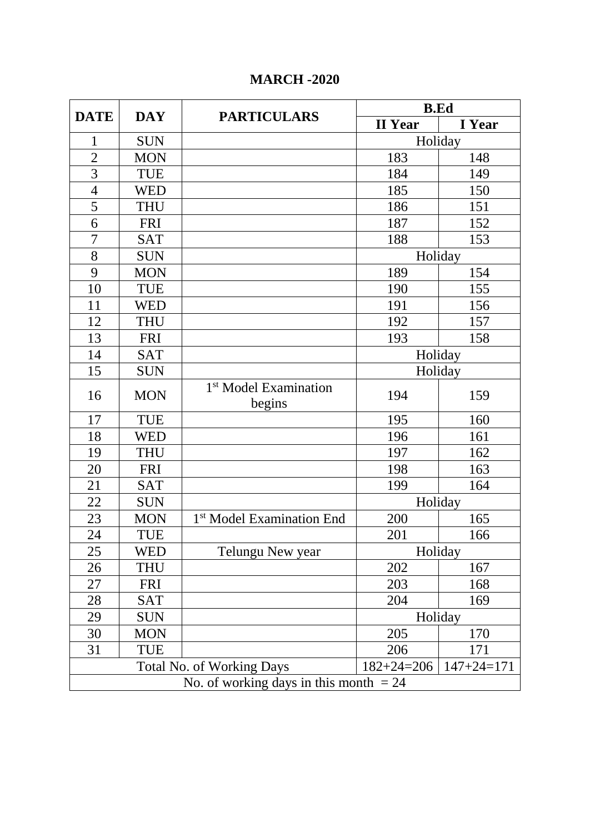## **MARCH -2020**

|                                                                          |            |                                             | <b>B.Ed</b>    |        |
|--------------------------------------------------------------------------|------------|---------------------------------------------|----------------|--------|
| <b>DATE</b>                                                              | <b>DAY</b> | <b>PARTICULARS</b>                          | <b>II</b> Year | I Year |
| 1                                                                        | <b>SUN</b> |                                             | Holiday        |        |
| $\overline{c}$                                                           | <b>MON</b> |                                             | 183            | 148    |
| $\overline{3}$                                                           | <b>TUE</b> |                                             | 184            | 149    |
| $\overline{4}$                                                           | WED        |                                             | 185            | 150    |
| 5                                                                        | <b>THU</b> |                                             | 186            | 151    |
| 6                                                                        | <b>FRI</b> |                                             | 187            | 152    |
| $\overline{7}$                                                           | <b>SAT</b> |                                             | 188            | 153    |
| 8                                                                        | <b>SUN</b> |                                             | Holiday        |        |
| 9                                                                        | <b>MON</b> |                                             | 189            | 154    |
| 10                                                                       | <b>TUE</b> |                                             | 190            | 155    |
| 11                                                                       | <b>WED</b> |                                             | 191            | 156    |
| 12                                                                       | <b>THU</b> |                                             | 192            | 157    |
| 13                                                                       | <b>FRI</b> |                                             | 193            | 158    |
| 14                                                                       | <b>SAT</b> |                                             | Holiday        |        |
| 15                                                                       | <b>SUN</b> |                                             | Holiday        |        |
| 16                                                                       | <b>MON</b> | 1 <sup>st</sup> Model Examination<br>begins | 194            | 159    |
| 17                                                                       | <b>TUE</b> |                                             | 195            | 160    |
| 18                                                                       | <b>WED</b> |                                             | 196            | 161    |
| 19                                                                       | <b>THU</b> |                                             | 197            | 162    |
| 20                                                                       | <b>FRI</b> |                                             | 198            | 163    |
| 21                                                                       | <b>SAT</b> |                                             | 199            | 164    |
| 22                                                                       | <b>SUN</b> |                                             | Holiday        |        |
| 23                                                                       | <b>MON</b> | 1 <sup>st</sup> Model Examination End       | 200            | 165    |
| 24                                                                       | TUE        |                                             | 201            | 166    |
| 25                                                                       | WED        | Telungu New year                            | Holiday        |        |
| 26                                                                       | THU        |                                             | 202            | 167    |
| 27                                                                       | <b>FRI</b> |                                             | 203            | 168    |
| 28                                                                       | <b>SAT</b> |                                             | 204            | 169    |
| 29                                                                       | <b>SUN</b> |                                             | Holiday        |        |
| 30                                                                       | <b>MON</b> |                                             | 205            | 170    |
| 31                                                                       | <b>TUE</b> |                                             | 206            | 171    |
| $147 + 24 = 171$<br><b>Total No. of Working Days</b><br>$182 + 24 = 206$ |            |                                             |                |        |
| No. of working days in this month $= 24$                                 |            |                                             |                |        |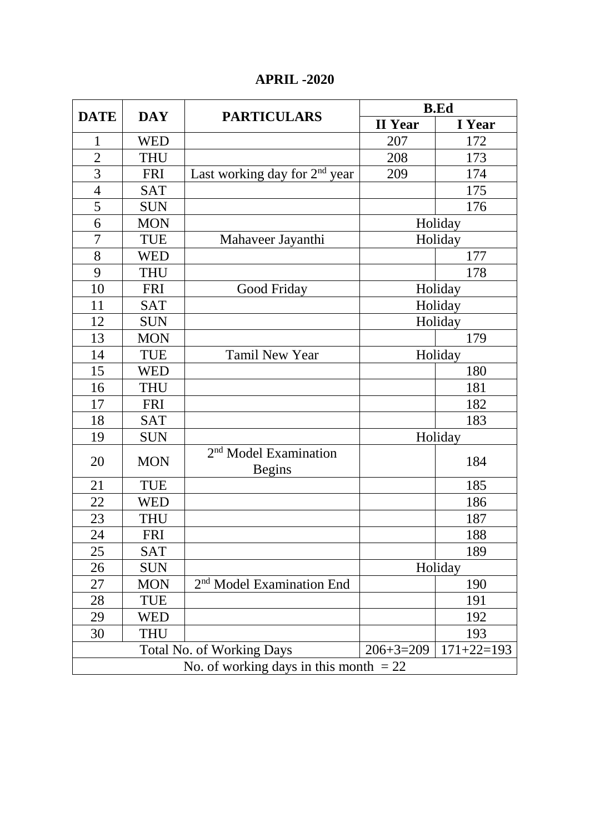# **APRIL -2020**

| <b>DATE</b>                                                         | <b>DAY</b> | <b>PARTICULARS</b>                                 | <b>B.Ed</b>    |        |
|---------------------------------------------------------------------|------------|----------------------------------------------------|----------------|--------|
|                                                                     |            |                                                    | <b>II</b> Year | I Year |
| 1                                                                   | <b>WED</b> |                                                    | 207            | 172    |
| $\overline{c}$                                                      | <b>THU</b> |                                                    | 208            | 173    |
| $\overline{3}$                                                      | <b>FRI</b> | Last working day for 2 <sup>nd</sup> year          | 209            | 174    |
| $\overline{4}$                                                      | <b>SAT</b> |                                                    |                | 175    |
| 5                                                                   | <b>SUN</b> |                                                    |                | 176    |
| 6                                                                   | <b>MON</b> |                                                    | Holiday        |        |
| $\overline{7}$                                                      | <b>TUE</b> | Mahaveer Jayanthi                                  | Holiday        |        |
| 8                                                                   | <b>WED</b> |                                                    |                | 177    |
| 9                                                                   | <b>THU</b> |                                                    |                | 178    |
| 10                                                                  | <b>FRI</b> | Good Friday                                        | Holiday        |        |
| 11                                                                  | <b>SAT</b> |                                                    | Holiday        |        |
| 12                                                                  | <b>SUN</b> |                                                    | Holiday        |        |
| 13                                                                  | <b>MON</b> |                                                    |                | 179    |
| 14                                                                  | <b>TUE</b> | <b>Tamil New Year</b>                              | Holiday        |        |
| 15                                                                  | <b>WED</b> |                                                    |                | 180    |
| 16                                                                  | <b>THU</b> |                                                    |                | 181    |
| 17                                                                  | <b>FRI</b> |                                                    |                | 182    |
| 18                                                                  | <b>SAT</b> |                                                    |                | 183    |
| 19                                                                  | <b>SUN</b> |                                                    | Holiday        |        |
| 20                                                                  | <b>MON</b> | 2 <sup>nd</sup> Model Examination<br><b>Begins</b> |                | 184    |
| 21                                                                  | <b>TUE</b> |                                                    |                | 185    |
| 22                                                                  | <b>WED</b> |                                                    |                | 186    |
| 23                                                                  | <b>THU</b> |                                                    |                | 187    |
| 24                                                                  | <b>FRI</b> |                                                    |                | 188    |
| 25                                                                  | <b>SAT</b> |                                                    |                | 189    |
| 26                                                                  | <b>SUN</b> |                                                    | Holiday        |        |
| 27                                                                  | <b>MON</b> | 2 <sup>nd</sup> Model Examination End              |                | 190    |
| 28                                                                  | TUE        |                                                    |                | 191    |
| 29                                                                  | WED        |                                                    |                | 192    |
| 30                                                                  | THU        |                                                    |                | 193    |
| $171+22=193$<br>$206 + 3 = 209$<br><b>Total No. of Working Days</b> |            |                                                    |                |        |
| No. of working days in this month $= 22$                            |            |                                                    |                |        |